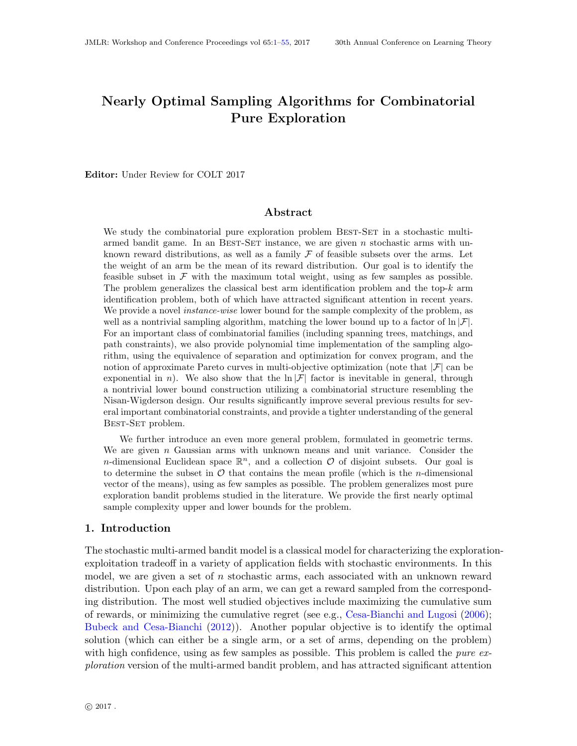# <span id="page-0-0"></span>Nearly Optimal Sampling Algorithms for Combinatorial Pure Exploration

Editor: Under Review for COLT 2017

## Abstract

We study the combinatorial pure exploration problem BEST-SET in a stochastic multiarmed bandit game. In an BEST-SET instance, we are given  $n$  stochastic arms with unknown reward distributions, as well as a family  $\mathcal F$  of feasible subsets over the arms. Let the weight of an arm be the mean of its reward distribution. Our goal is to identify the feasible subset in  $\mathcal F$  with the maximum total weight, using as few samples as possible. The problem generalizes the classical best arm identification problem and the top- $k$  arm identification problem, both of which have attracted significant attention in recent years. We provide a novel *instance-wise* lower bound for the sample complexity of the problem, as well as a nontrivial sampling algorithm, matching the lower bound up to a factor of  $\ln |\mathcal{F}|$ . For an important class of combinatorial families (including spanning trees, matchings, and path constraints), we also provide polynomial time implementation of the sampling algorithm, using the equivalence of separation and optimization for convex program, and the notion of approximate Pareto curves in multi-objective optimization (note that  $|\mathcal{F}|$  can be exponential in n). We also show that the  $\ln |\mathcal{F}|$  factor is inevitable in general, through a nontrivial lower bound construction utilizing a combinatorial structure resembling the Nisan-Wigderson design. Our results significantly improve several previous results for several important combinatorial constraints, and provide a tighter understanding of the general Best-Set problem.

We further introduce an even more general problem, formulated in geometric terms. We are given  $n$  Gaussian arms with unknown means and unit variance. Consider the *n*-dimensional Euclidean space  $\mathbb{R}^n$ , and a collection  $\mathcal O$  of disjoint subsets. Our goal is to determine the subset in  $\mathcal O$  that contains the mean profile (which is the *n*-dimensional vector of the means), using as few samples as possible. The problem generalizes most pure exploration bandit problems studied in the literature. We provide the first nearly optimal sample complexity upper and lower bounds for the problem.

### 1. Introduction

The stochastic multi-armed bandit model is a classical model for characterizing the explorationexploitation tradeoff in a variety of application fields with stochastic environments. In this model, we are given a set of n stochastic arms, each associated with an unknown reward distribution. Upon each play of an arm, we can get a reward sampled from the corresponding distribution. The most well studied objectives include maximizing the cumulative sum of rewards, or minimizing the cumulative regret (see e.g., [Cesa-Bianchi and Lugosi](#page-38-0) [\(2006\)](#page-38-0); [Bubeck and Cesa-Bianchi](#page-37-0) [\(2012\)](#page-37-0)). Another popular objective is to identify the optimal solution (which can either be a single arm, or a set of arms, depending on the problem) with high confidence, using as few samples as possible. This problem is called the *pure ex*ploration version of the multi-armed bandit problem, and has attracted significant attention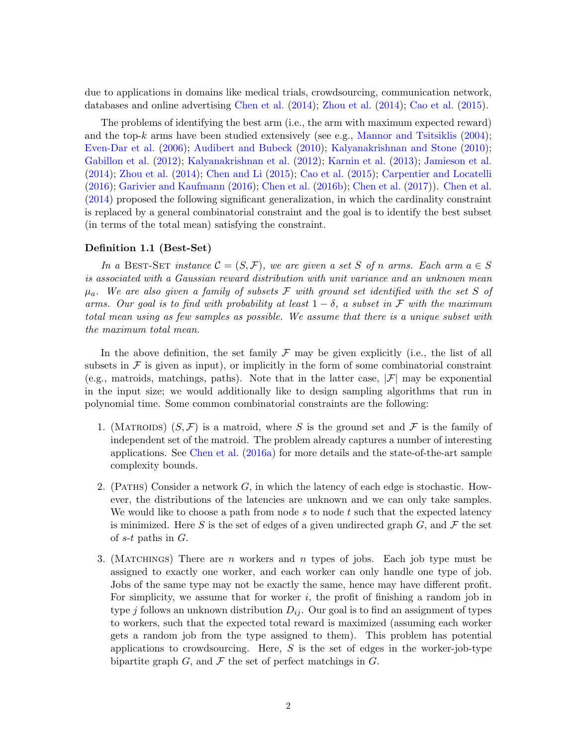due to applications in domains like medical trials, crowdsourcing, communication network, databases and online advertising [Chen et al.](#page-38-1) [\(2014\)](#page-38-1); [Zhou et al.](#page-40-0) [\(2014\)](#page-40-0); [Cao et al.](#page-37-1) [\(2015\)](#page-37-1).

The problems of identifying the best arm (i.e., the arm with maximum expected reward) and the top-k arms have been studied extensively (see e.g., [Mannor and Tsitsiklis](#page-39-0)  $(2004)$ ; [Even-Dar et al.](#page-38-2) [\(2006\)](#page-38-2); [Audibert and Bubeck](#page-37-2) [\(2010\)](#page-37-2); [Kalyanakrishnan and Stone](#page-39-1) [\(2010\)](#page-39-1); [Gabillon et al.](#page-38-3) [\(2012\)](#page-38-3); [Kalyanakrishnan et al.](#page-39-2) [\(2012\)](#page-39-2); [Karnin et al.](#page-39-3) [\(2013\)](#page-39-3); [Jamieson et al.](#page-39-4) [\(2014\)](#page-39-4); [Zhou et al.](#page-40-0) [\(2014\)](#page-40-0); [Chen and Li](#page-38-4) [\(2015\)](#page-38-4); [Cao et al.](#page-37-1) [\(2015\)](#page-37-1); [Carpentier and Locatelli](#page-37-3) [\(2016\)](#page-37-3); [Garivier and Kaufmann](#page-39-5) [\(2016\)](#page-39-5); [Chen et al.](#page-38-5) [\(2016b\)](#page-38-5); [Chen et al.](#page-38-6) [\(2017\)](#page-38-6)). [Chen et al.](#page-38-1) [\(2014\)](#page-38-1) proposed the following significant generalization, in which the cardinality constraint is replaced by a general combinatorial constraint and the goal is to identify the best subset (in terms of the total mean) satisfying the constraint.

## <span id="page-1-0"></span>Definition 1.1 (Best-Set)

In a BEST-SET instance  $\mathcal{C} = (S, \mathcal{F})$ , we are given a set S of n arms. Each arm  $a \in S$ is associated with a Gaussian reward distribution with unit variance and an unknown mean  $\mu_a$ . We are also given a family of subsets F with ground set identified with the set S of arms. Our goal is to find with probability at least  $1 - \delta$ , a subset in F with the maximum total mean using as few samples as possible. We assume that there is a unique subset with the maximum total mean.

In the above definition, the set family  $\mathcal F$  may be given explicitly (i.e., the list of all subsets in  $\mathcal F$  is given as input), or implicitly in the form of some combinatorial constraint (e.g., matroids, matchings, paths). Note that in the latter case,  $|\mathcal{F}|$  may be exponential in the input size; we would additionally like to design sampling algorithms that run in polynomial time. Some common combinatorial constraints are the following:

- 1. (MATROIDS)  $(S, \mathcal{F})$  is a matroid, where S is the ground set and  $\mathcal{F}$  is the family of independent set of the matroid. The problem already captures a number of interesting applications. See [Chen et al.](#page-38-7) [\(2016a\)](#page-38-7) for more details and the state-of-the-art sample complexity bounds.
- 2. (PATHS) Consider a network  $G$ , in which the latency of each edge is stochastic. However, the distributions of the latencies are unknown and we can only take samples. We would like to choose a path from node  $s$  to node  $t$  such that the expected latency is minimized. Here S is the set of edges of a given undirected graph  $G$ , and  $\mathcal F$  the set of  $s$ -t paths in  $G$ .
- 3. (MATCHINGS) There are n workers and n types of jobs. Each job type must be assigned to exactly one worker, and each worker can only handle one type of job. Jobs of the same type may not be exactly the same, hence may have different profit. For simplicity, we assume that for worker  $i$ , the profit of finishing a random job in type j follows an unknown distribution  $D_{ij}$ . Our goal is to find an assignment of types to workers, such that the expected total reward is maximized (assuming each worker gets a random job from the type assigned to them). This problem has potential applications to crowdsourcing. Here,  $S$  is the set of edges in the worker-job-type bipartite graph  $G$ , and  $\mathcal F$  the set of perfect matchings in  $G$ .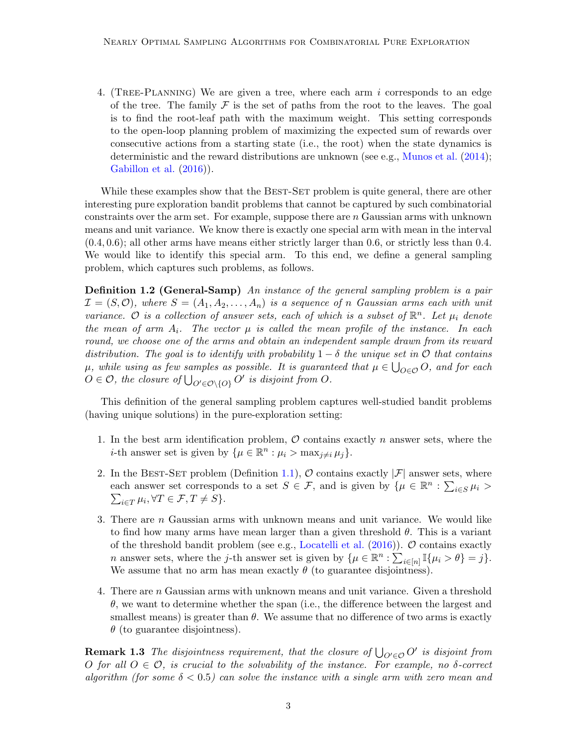4. (TREE-PLANNING) We are given a tree, where each arm  $i$  corresponds to an edge of the tree. The family  $\mathcal F$  is the set of paths from the root to the leaves. The goal is to find the root-leaf path with the maximum weight. This setting corresponds to the open-loop planning problem of maximizing the expected sum of rewards over consecutive actions from a starting state (i.e., the root) when the state dynamics is deterministic and the reward distributions are unknown (see e.g., [Munos et al.](#page-39-6) [\(2014\)](#page-39-6); [Gabillon et al.](#page-38-8)  $(2016)$ ).

While these examples show that the BEST-SET problem is quite general, there are other interesting pure exploration bandit problems that cannot be captured by such combinatorial constraints over the arm set. For example, suppose there are  $n$  Gaussian arms with unknown means and unit variance. We know there is exactly one special arm with mean in the interval (0.4, 0.6); all other arms have means either strictly larger than 0.6, or strictly less than 0.4. We would like to identify this special arm. To this end, we define a general sampling problem, which captures such problems, as follows.

**Definition 1.2 (General-Samp)** An instance of the general sampling problem is a pair  $\mathcal{I} = (S, \mathcal{O})$ , where  $S = (A_1, A_2, \ldots, A_n)$  is a sequence of n Gaussian arms each with unit variance. O is a collection of answer sets, each of which is a subset of  $\mathbb{R}^n$ . Let  $\mu_i$  denote the mean of arm  $A_i$ . The vector  $\mu$  is called the mean profile of the instance. In each round, we choose one of the arms and obtain an independent sample drawn from its reward distribution. The goal is to identify with probability  $1 - \delta$  the unique set in  $\mathcal O$  that contains  $\mu$ , while using as few samples as possible. It is guaranteed that  $\mu \in \bigcup_{O \in \mathcal{O}} O$ , and for each  $O \in \mathcal{O}$ , the closure of  $\bigcup_{O' \in \mathcal{O} \setminus \{O\}} O'$  is disjoint from  $O$ .

This definition of the general sampling problem captures well-studied bandit problems (having unique solutions) in the pure-exploration setting:

- 1. In the best arm identification problem,  $\hat{O}$  contains exactly n answer sets, where the *i*-th answer set is given by  $\{\mu \in \mathbb{R}^n : \mu_i > \max_{j \neq i} \mu_j\}.$
- 2. In the BEST-SET problem (Definition [1.1\)](#page-1-0),  $\mathcal O$  contains exactly  $|\mathcal F|$  answer sets, where each answer set corresponds to a set  $S \in \mathcal{F}$ , and is given by  $\{\mu \in \mathbb{R}^n : \sum_{i \in S} \mu_i > \}$  $\sum_{i\in T} \mu_i, \forall T \in \mathcal{F}, T \neq S$ .
- 3. There are n Gaussian arms with unknown means and unit variance. We would like to find how many arms have mean larger than a given threshold  $\theta$ . This is a variant of the threshold bandit problem (see e.g., [Locatelli et al.](#page-39-7)  $(2016)$ ).  $\mathcal{O}$  contains exactly *n* answer sets, where the *j*-th answer set is given by  $\{\mu \in \mathbb{R}^n : \sum_{i \in [n]} \mathbb{I}\{\mu_i > \theta\} = j\}.$ We assume that no arm has mean exactly  $\theta$  (to guarantee disjointness).
- 4. There are n Gaussian arms with unknown means and unit variance. Given a threshold  $\theta$ , we want to determine whether the span (i.e., the difference between the largest and smallest means) is greater than  $\theta$ . We assume that no difference of two arms is exactly  $\theta$  (to guarantee disjointness).

**Remark 1.3** The disjointness requirement, that the closure of  $\bigcup_{O' \in \mathcal{O}} O'$  is disjoint from O for all  $O \in \mathcal{O}$ , is crucial to the solvability of the instance. For example, no  $\delta$ -correct algorithm (for some  $\delta < 0.5$ ) can solve the instance with a single arm with zero mean and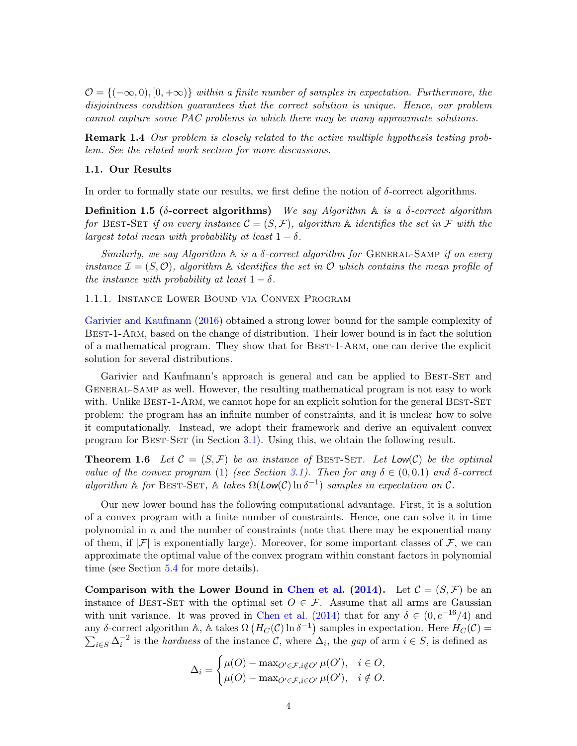$\mathcal{O} = \{(-\infty, 0), [0, +\infty)\}\$  within a finite number of samples in expectation. Furthermore, the disjointness condition guarantees that the correct solution is unique. Hence, our problem cannot capture some PAC problems in which there may be many approximate solutions.

Remark 1.4 Our problem is closely related to the active multiple hypothesis testing problem. See the related work section for more discussions.

### 1.1. Our Results

In order to formally state our results, we first define the notion of  $\delta$ -correct algorithms.

Definition 1.5 (δ-correct algorithms) We say Algorithm  $\mathbb A$  is a δ-correct algorithm for BEST-SET if on every instance  $\mathcal{C} = (S, \mathcal{F})$ , algorithm  $\mathbb A$  identifies the set in  $\mathcal F$  with the largest total mean with probability at least  $1 - \delta$ .

Similarly, we say Algorithm  $\mathbb A$  is a  $\delta$ -correct algorithm for GENERAL-SAMP if on every instance  $\mathcal{I} = (S, \mathcal{O})$ , algorithm  $\mathbb A$  identifies the set in  $\mathcal O$  which contains the mean profile of the instance with probability at least  $1 - \delta$ .

1.1.1. Instance Lower Bound via Convex Program

[Garivier and Kaufmann](#page-39-5) [\(2016\)](#page-39-5) obtained a strong lower bound for the sample complexity of Best-1-Arm, based on the change of distribution. Their lower bound is in fact the solution of a mathematical program. They show that for Best-1-Arm, one can derive the explicit solution for several distributions.

Garivier and Kaufmann's approach is general and can be applied to BEST-SET and General-Samp as well. However, the resulting mathematical program is not easy to work with. Unlike BEST-1-ARM, we cannot hope for an explicit solution for the general BEST-SET problem: the program has an infinite number of constraints, and it is unclear how to solve it computationally. Instead, we adopt their framework and derive an equivalent convex program for Best-Set (in Section [3.1\)](#page-12-0). Using this, we obtain the following result.

<span id="page-3-0"></span>**Theorem 1.6** Let  $\mathcal{C} = (S, \mathcal{F})$  be an instance of BEST-SET. Let Low(C) be the optimal value of the convex program [\(1\)](#page-12-1) (see Section [3.1\)](#page-12-0). Then for any  $\delta \in (0,0.1)$  and  $\delta$ -correct algorithm A for BEST-SET, A takes  $\Omega(\text{Low}(\mathcal{C}) \ln \delta^{-1})$  samples in expectation on C.

Our new lower bound has the following computational advantage. First, it is a solution of a convex program with a finite number of constraints. Hence, one can solve it in time polynomial in  $n$  and the number of constraints (note that there may be exponential many of them, if  $|\mathcal{F}|$  is exponentially large). Moreover, for some important classes of  $\mathcal{F}$ , we can approximate the optimal value of the convex program within constant factors in polynomial time (see Section [5.4](#page-26-0) for more details).

Comparison with the Lower Bound in [Chen et al.](#page-38-1) [\(2014\)](#page-38-1). Let  $\mathcal{C} = (S, \mathcal{F})$  be an instance of BEST-SET with the optimal set  $O \in \mathcal{F}$ . Assume that all arms are Gaussian with unit variance. It was proved in [Chen et al.](#page-38-1) [\(2014\)](#page-38-1) that for any  $\delta \in (0, e^{-16}/4)$  and any δ-correct algorithm A, A takes  $\Omega(H_C(\mathcal{C}) \ln \delta^{-1})$  samples in expectation. Here  $H_C(\mathcal{C})$  =  $\sum_{i\in S}\Delta_i^{-2}$  is the *hardness* of the instance C, where  $\Delta_i$ , the gap of arm  $i \in S$ , is defined as

$$
\Delta_i = \begin{cases} \mu(O) - \max_{O' \in \mathcal{F}, i \notin O'} \mu(O'), & i \in O, \\ \mu(O) - \max_{O' \in \mathcal{F}, i \in O'} \mu(O'), & i \notin O. \end{cases}
$$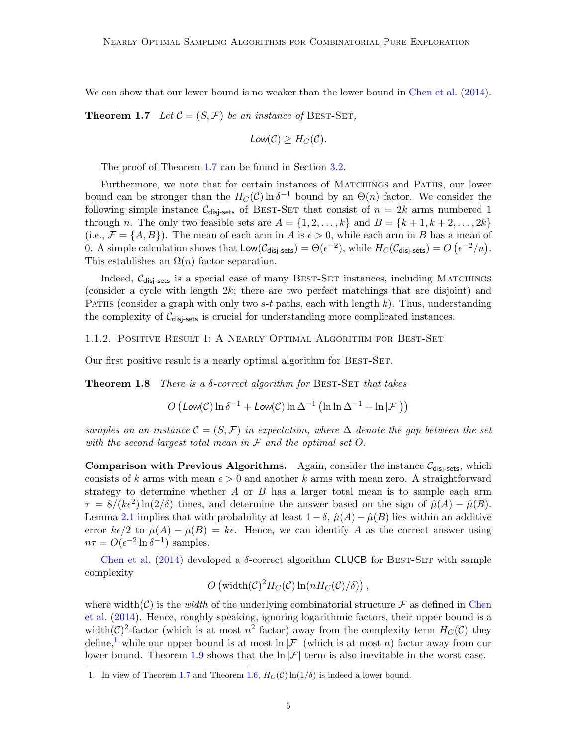<span id="page-4-0"></span>We can show that our lower bound is no weaker than the lower bound in [Chen et al.](#page-38-1) [\(2014\)](#page-38-1).

**Theorem 1.7** Let  $\mathcal{C} = (S, \mathcal{F})$  be an instance of BEST-SET,

$$
Low(C) \geq H_C(C).
$$

The proof of Theorem [1.7](#page-4-0) can be found in Section [3.2.](#page-13-0)

Furthermore, we note that for certain instances of MATCHINGS and PATHS, our lower bound can be stronger than the  $H_C(\mathcal{C}) \ln \delta^{-1}$  bound by an  $\Theta(n)$  factor. We consider the following simple instance  $C_{\text{disi-sets}}$  of BEST-SET that consist of  $n = 2k$  arms numbered 1 through n. The only two feasible sets are  $A = \{1, 2, \ldots, k\}$  and  $B = \{k+1, k+2, \ldots, 2k\}$ (i.e.,  $\mathcal{F} = \{A, B\}$ ). The mean of each arm in A is  $\epsilon > 0$ , while each arm in B has a mean of 0. A simple calculation shows that  $\mathsf{Low}(\mathcal{C}_{\mathsf{disj}\text{-sets}}) = \Theta(\epsilon^{-2}),$  while  $H_C(\mathcal{C}_{\mathsf{disj\text{-sets}}}) = O(\epsilon^{-2}/n).$ This establishes an  $\Omega(n)$  factor separation.

Indeed,  $C_{\text{disj-sets}}$  is a special case of many BEST-SET instances, including MATCHINGS (consider a cycle with length 2k; there are two perfect matchings that are disjoint) and PATHS (consider a graph with only two  $s-t$  paths, each with length k). Thus, understanding the complexity of  $C_{\text{disj-sets}}$  is crucial for understanding more complicated instances.

1.1.2. Positive Result I: A Nearly Optimal Algorithm for Best-Set

<span id="page-4-2"></span>Our first positive result is a nearly optimal algorithm for BEST-SET.

**Theorem 1.8** There is a  $\delta$ -correct algorithm for BEST-SET that takes

$$
O\left(\text{Low}(\mathcal{C})\ln \delta^{-1} + \text{Low}(\mathcal{C})\ln \Delta^{-1}\left(\ln \ln \Delta^{-1} + \ln |\mathcal{F}|\right)\right)
$$

samples on an instance  $\mathcal{C} = (S, \mathcal{F})$  in expectation, where  $\Delta$  denote the gap between the set with the second largest total mean in  $\mathcal F$  and the optimal set  $O$ .

Comparison with Previous Algorithms. Again, consider the instance  $C_{disi-sets}$ , which consists of k arms with mean  $\epsilon > 0$  and another k arms with mean zero. A straightforward strategy to determine whether  $A$  or  $B$  has a larger total mean is to sample each arm  $\tau = 8/(k\epsilon^2)\ln(2/\delta)$  times, and determine the answer based on the sign of  $\hat{\mu}(A) - \hat{\mu}(B)$ . Lemma [2.1](#page-11-0) implies that with probability at least  $1 - \delta$ ,  $\hat{\mu}(A) - \hat{\mu}(B)$  lies within an additive error  $k\epsilon/2$  to  $\mu(A) - \mu(B) = k\epsilon$ . Hence, we can identify A as the correct answer using  $n\tau = O(\epsilon^{-2} \ln \delta^{-1})$  samples.

[Chen et al.](#page-38-1) [\(2014\)](#page-38-1) developed a  $\delta$ -correct algorithm CLUCB for BEST-SET with sample complexity

$$
O\left(\text{width}(\mathcal{C})^2H_C(\mathcal{C})\ln(nH_C(\mathcal{C})/\delta)\right),
$$

where width(C) is the *width* of the underlying combinatorial structure  $\mathcal F$  as defined in [Chen](#page-38-1) [et al.](#page-38-1) [\(2014\)](#page-38-1). Hence, roughly speaking, ignoring logarithmic factors, their upper bound is a width $(C)^2$ -factor (which is at most  $n^2$  factor) away from the complexity term  $H_C(C)$  they define,<sup>[1](#page-4-1)</sup> while our upper bound is at most ln  $|\mathcal{F}|$  (which is at most n) factor away from our lower bound. Theorem [1.9](#page-5-0) shows that the  $\ln |\mathcal{F}|$  term is also inevitable in the worst case.

<span id="page-4-1"></span><sup>1.</sup> In view of Theorem [1.7](#page-4-0) and Theorem [1.6,](#page-3-0)  $H_C(\mathcal{C}) \ln(1/\delta)$  is indeed a lower bound.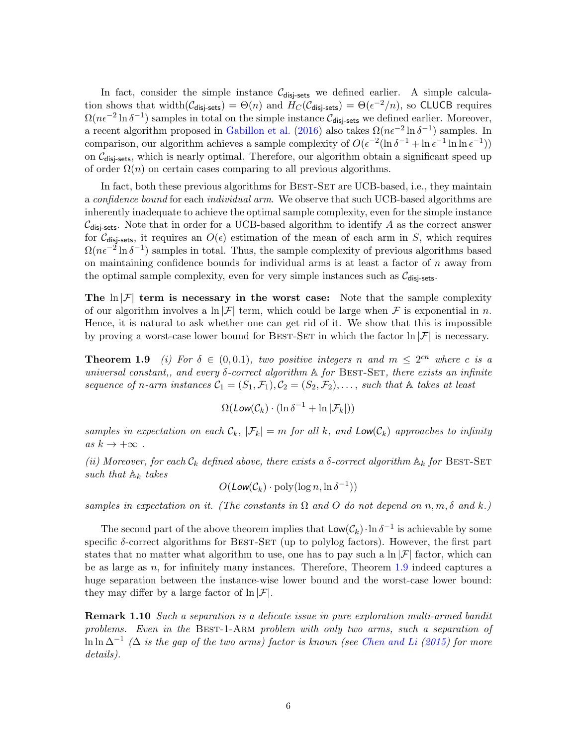In fact, consider the simple instance  $C_{disi-sets}$  we defined earlier. A simple calculation shows that width $(\mathcal{C}_{\text{disj-sets}}) = \Theta(n)$  and  $H_C(\mathcal{C}_{\text{disj-sets}}) = \Theta(\epsilon^{-2}/n)$ , so CLUCB requires  $\Omega(n\epsilon^{-2}\ln\delta^{-1})$  samples in total on the simple instance  $\mathcal{C}_{\text{disj-sets}}$  we defined earlier. Moreover, a recent algorithm proposed in [Gabillon et al.](#page-38-8) [\(2016\)](#page-38-8) also takes  $\Omega(n\epsilon^{-2} \ln \delta^{-1})$  samples. In comparison, our algorithm achieves a sample complexity of  $O(\epsilon^{-2}(\ln \delta^{-1} + \ln \epsilon^{-1} \ln \ln \epsilon^{-1}))$ on  $C_{\text{disi-sets}}$ , which is nearly optimal. Therefore, our algorithm obtain a significant speed up of order  $\Omega(n)$  on certain cases comparing to all previous algorithms.

In fact, both these previous algorithms for BEST-SET are UCB-based, i.e., they maintain a *confidence bound* for each *individual arm*. We observe that such UCB-based algorithms are inherently inadequate to achieve the optimal sample complexity, even for the simple instance  $\mathcal{C}_{\text{disi-sets}}$ . Note that in order for a UCB-based algorithm to identify A as the correct answer for  $\mathcal{C}_{disi-sets}$ , it requires an  $O(\epsilon)$  estimation of the mean of each arm in S, which requires  $\Omega(n\epsilon^{-2}\ln\delta^{-1})$  samples in total. Thus, the sample complexity of previous algorithms based on maintaining confidence bounds for individual arms is at least a factor of  $n$  away from the optimal sample complexity, even for very simple instances such as  $C_{\text{disj-sets}}$ .

The  $\ln |\mathcal{F}|$  term is necessary in the worst case: Note that the sample complexity of our algorithm involves a  $\ln |\mathcal{F}|$  term, which could be large when  $\mathcal F$  is exponential in n. Hence, it is natural to ask whether one can get rid of it. We show that this is impossible by proving a worst-case lower bound for BEST-SET in which the factor  $\ln |\mathcal{F}|$  is necessary.

<span id="page-5-0"></span>**Theorem 1.9** (i) For  $\delta \in (0, 0.1)$ , two positive integers n and  $m \leq 2^{cn}$  where c is a universal constant,, and every  $\delta$ -correct algorithm  $\mathbb A$  for BEST-SET, there exists an infinite sequence of n-arm instances  $C_1 = (S_1, \mathcal{F}_1), C_2 = (S_2, \mathcal{F}_2), \ldots$ , such that A takes at least

$$
\Omega(\text{Low}(\mathcal{C}_k) \cdot (\ln \delta^{-1} + \ln |\mathcal{F}_k|))
$$

samples in expectation on each  $\mathcal{C}_k$ ,  $|\mathcal{F}_k| = m$  for all k, and  $\text{Low}(\mathcal{C}_k)$  approaches to infinity as  $k \to +\infty$ .

(ii) Moreover, for each  $\mathcal{C}_k$  defined above, there exists a  $\delta$ -correct algorithm  $\mathbb{A}_k$  for BEST-SET such that  $A_k$  takes

 $O(\text{Low}(\mathcal{C}_k) \cdot \text{poly}(\log n, \ln \delta^{-1}))$ 

samples in expectation on it. (The constants in  $\Omega$  and  $O$  do not depend on  $n, m, \delta$  and k.)

The second part of the above theorem implies that  $\mathsf{Low}(\mathcal{C}_k) \cdot \ln \delta^{-1}$  is achievable by some specific  $\delta$ -correct algorithms for BEST-SET (up to polylog factors). However, the first part states that no matter what algorithm to use, one has to pay such a  $\ln |\mathcal{F}|$  factor, which can be as large as  $n$ , for infinitely many instances. Therefore, Theorem [1.9](#page-5-0) indeed captures a huge separation between the instance-wise lower bound and the worst-case lower bound: they may differ by a large factor of  $\ln |\mathcal{F}|$ .

**Remark 1.10** Such a separation is a delicate issue in pure exploration multi-armed bandit problems. Even in the Best-1-Arm problem with only two arms, such a separation of  $\ln \ln \Delta^{-1}$  ( $\Delta$  is the gap of the two arms) factor is known (see [Chen and Li](#page-38-4) [\(2015\)](#page-38-4) for more details).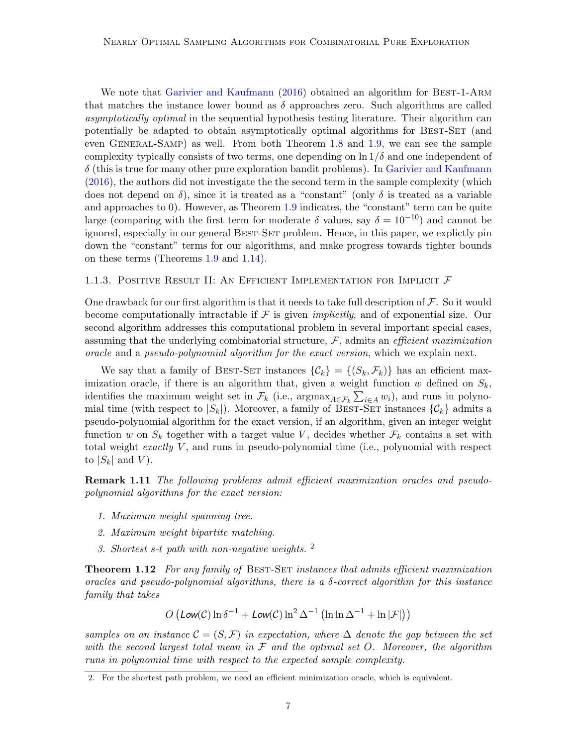We note that [Garivier and Kaufmann](#page-39-5) [\(2016\)](#page-39-5) obtained an algorithm for BEST-1-ARM that matches the instance lower bound as  $\delta$  approaches zero. Such algorithms are called asymptotically optimal in the sequential hypothesis testing literature. Their algorithm can potentially be adapted to obtain asymptotically optimal algorithms for BEST-SET (and even General-Samp) as well. From both Theorem [1.8](#page-4-2) and [1.9,](#page-5-0) we can see the sample complexity typically consists of two terms, one depending on  $\ln 1/\delta$  and one independent of  $\delta$  (this is true for many other pure exploration bandit problems). In [Garivier and Kaufmann](#page-39-5) [\(2016\)](#page-39-5), the authors did not investigate the the second term in the sample complexity (which does not depend on  $\delta$ ), since it is treated as a "constant" (only  $\delta$  is treated as a variable and approaches to 0). However, as Theorem [1.9](#page-5-0) indicates, the "constant" term can be quite large (comparing with the first term for moderate  $\delta$  values, say  $\delta = 10^{-10}$ ) and cannot be ignored, especially in our general BEST-SET problem. Hence, in this paper, we explictly pin down the "constant" terms for our algorithms, and make progress towards tighter bounds on these terms (Theorems [1.9](#page-5-0) and [1.14\)](#page-7-0).

### 1.1.3. POSITIVE RESULT II: AN EFFICIENT IMPLEMENTATION FOR IMPLICIT  $\mathcal F$

One drawback for our first algorithm is that it needs to take full description of  $\mathcal F$ . So it would become computationally intractable if  $\mathcal F$  is given *implicitly*, and of exponential size. Our second algorithm addresses this computational problem in several important special cases, assuming that the underlying combinatorial structure,  $F$ , admits an *efficient maximization* oracle and a pseudo-polynomial algorithm for the exact version, which we explain next.

We say that a family of BEST-SET instances  $\{\mathcal{C}_k\} = \{(S_k, \mathcal{F}_k)\}\$  has an efficient maximization oracle, if there is an algorithm that, given a weight function  $w$  defined on  $S_k$ , identifies the maximum weight set in  $\mathcal{F}_k$  (i.e.,  $\arg\max_{A \in \mathcal{F}_k} \sum_{i \in A} w_i$ ), and runs in polynomial time (with respect to  $|S_k|$ ). Moreover, a family of BEST-SET instances  $\{\mathcal{C}_k\}$  admits a pseudo-polynomial algorithm for the exact version, if an algorithm, given an integer weight function w on  $S_k$  together with a target value V, decides whether  $\mathcal{F}_k$  contains a set with total weight *exactly*  $V$ , and runs in pseudo-polynomial time (i.e., polynomial with respect to  $|S_k|$  and  $V$ ).

**Remark 1.11** The following problems admit efficient maximization oracles and pseudopolynomial algorithms for the exact version:

- 1. Maximum weight spanning tree.
- 2. Maximum weight bipartite matching.
- 3. Shortest s-t path with non-negative weights. [2](#page-6-0)

<span id="page-6-1"></span>**Theorem 1.12** For any family of BEST-SET instances that admits efficient maximization oracles and pseudo-polynomial algorithms, there is a  $\delta$ -correct algorithm for this instance family that takes

$$
O\left(\text{Low}(\mathcal{C})\ln \delta^{-1} + \text{Low}(\mathcal{C})\ln^2 \Delta^{-1}\left(\ln \ln \Delta^{-1} + \ln |\mathcal{F}|\right)\right)
$$

samples on an instance  $\mathcal{C} = (S, \mathcal{F})$  in expectation, where  $\Delta$  denote the gap between the set with the second largest total mean in  $\mathcal F$  and the optimal set O. Moreover, the algorithm runs in polynomial time with respect to the expected sample complexity.

<span id="page-6-0"></span><sup>2.</sup> For the shortest path problem, we need an efficient minimization oracle, which is equivalent.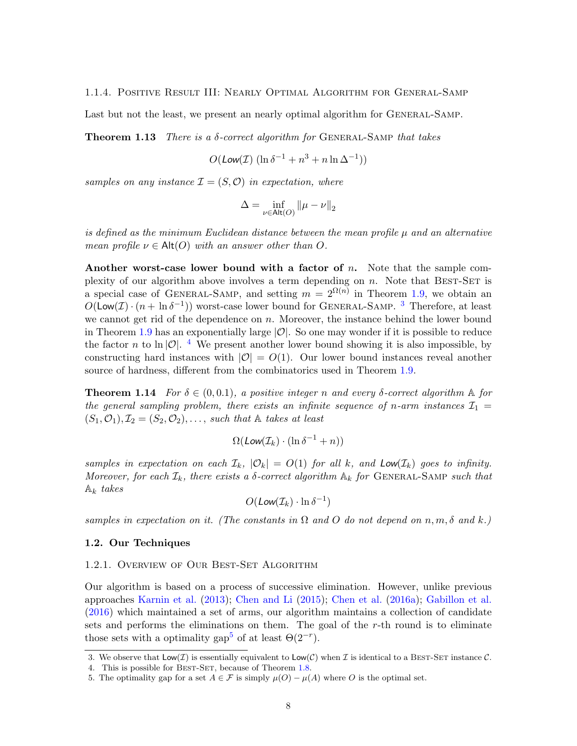### 1.1.4. Positive Result III: Nearly Optimal Algorithm for General-Samp

<span id="page-7-4"></span>Last but not the least, we present an nearly optimal algorithm for GENERAL-SAMP.

**Theorem 1.13** There is a  $\delta$ -correct algorithm for GENERAL-SAMP that takes

$$
O(\text{Low}(\mathcal{I}) \left( \ln \delta^{-1} + n^3 + n \ln \Delta^{-1} \right))
$$

samples on any instance  $\mathcal{I} = (S, \mathcal{O})$  in expectation, where

$$
\Delta = \inf_{\nu \in \mathsf{Alt}(O)} \|\mu - \nu\|_2
$$

is defined as the minimum Euclidean distance between the mean profile  $\mu$  and an alternative mean profile  $\nu \in \mathsf{Alt}(O)$  with an answer other than O.

Another worst-case lower bound with a factor of  $n$ . Note that the sample complexity of our algorithm above involves a term depending on  $n$ . Note that BEST-SET is a special case of GENERAL-SAMP, and setting  $m = 2^{\Omega(n)}$  in Theorem [1.9,](#page-5-0) we obtain an  $O(\textsf{Low}(\mathcal{I}) \cdot (n + \ln \delta^{-1}))$  worst-case lower bound for GENERAL-SAMP. <sup>[3](#page-7-1)</sup> Therefore, at least we cannot get rid of the dependence on n. Moreover, the instance behind the lower bound in Theorem [1.9](#page-5-0) has an exponentially large  $|O|$ . So one may wonder if it is possible to reduce the factor n to ln |O|. <sup>[4](#page-7-2)</sup> We present another lower bound showing it is also impossible, by constructing hard instances with  $|O| = O(1)$ . Our lower bound instances reveal another source of hardness, different from the combinatorics used in Theorem [1.9.](#page-5-0)

<span id="page-7-0"></span>**Theorem 1.14** For  $\delta \in (0, 0.1)$ , a positive integer n and every  $\delta$ -correct algorithm  $\mathbb{A}$  for the general sampling problem, there exists an infinite sequence of n-arm instances  $\mathcal{I}_1$  =  $(S_1, \mathcal{O}_1), \mathcal{I}_2 = (S_2, \mathcal{O}_2), \ldots$ , such that  $\mathbb A$  takes at least

$$
\Omega(\text{Low}(\mathcal{I}_k) \cdot (\ln \delta^{-1} + n))
$$

samples in expectation on each  $\mathcal{I}_k$ ,  $|\mathcal{O}_k| = O(1)$  for all k, and  $\text{Low}(\mathcal{I}_k)$  goes to infinity. Moreover, for each  $\mathcal{I}_k$ , there exists a  $\delta$ -correct algorithm  $\mathbb{A}_k$  for GENERAL-SAMP such that  $A_k$  takes

$$
O(\text{Low}(\mathcal{I}_k) \cdot \ln \delta^{-1})
$$

samples in expectation on it. (The constants in  $\Omega$  and  $O$  do not depend on n, m,  $\delta$  and k.)

### 1.2. Our Techniques

## 1.2.1. Overview of Our Best-Set Algorithm

Our algorithm is based on a process of successive elimination. However, unlike previous approaches [Karnin et al.](#page-39-3) [\(2013\)](#page-39-3); [Chen and Li](#page-38-4) [\(2015\)](#page-38-4); [Chen et al.](#page-38-7) [\(2016a\)](#page-38-7); [Gabillon et al.](#page-38-8) [\(2016\)](#page-38-8) which maintained a set of arms, our algorithm maintains a collection of candidate sets and performs the eliminations on them. The goal of the r-th round is to eliminate those sets with a optimality gap<sup>[5](#page-7-3)</sup> of at least  $\Theta(2^{-r})$ .

<span id="page-7-1"></span><sup>3.</sup> We observe that  $\textsf{Low}(\mathcal{I})$  is essentially equivalent to  $\textsf{Low}(\mathcal{C})$  when  $\mathcal{I}$  is identical to a BEST-SET instance  $\mathcal{C}$ .

<span id="page-7-2"></span><sup>4.</sup> This is possible for BEST-SET, because of Theorem [1.8.](#page-4-2)

<span id="page-7-3"></span><sup>5.</sup> The optimality gap for a set  $A \in \mathcal{F}$  is simply  $\mu(O) - \mu(A)$  where O is the optimal set.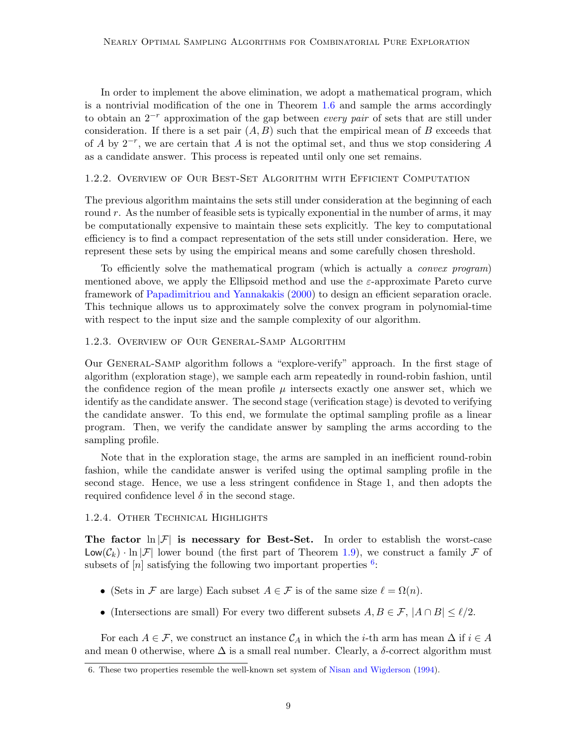In order to implement the above elimination, we adopt a mathematical program, which is a nontrivial modification of the one in Theorem [1.6](#page-3-0) and sample the arms accordingly to obtain an  $2^{-r}$  approximation of the gap between every pair of sets that are still under consideration. If there is a set pair  $(A, B)$  such that the empirical mean of B exceeds that of A by  $2^{-r}$ , we are certain that A is not the optimal set, and thus we stop considering A as a candidate answer. This process is repeated until only one set remains.

## 1.2.2. Overview of Our Best-Set Algorithm with Efficient Computation

The previous algorithm maintains the sets still under consideration at the beginning of each round  $r$ . As the number of feasible sets is typically exponential in the number of arms, it may be computationally expensive to maintain these sets explicitly. The key to computational efficiency is to find a compact representation of the sets still under consideration. Here, we represent these sets by using the empirical means and some carefully chosen threshold.

To efficiently solve the mathematical program (which is actually a convex program) mentioned above, we apply the Ellipsoid method and use the  $\varepsilon$ -approximate Pareto curve framework of [Papadimitriou and Yannakakis](#page-39-8) [\(2000\)](#page-39-8) to design an efficient separation oracle. This technique allows us to approximately solve the convex program in polynomial-time with respect to the input size and the sample complexity of our algorithm.

## 1.2.3. Overview of Our General-Samp Algorithm

Our General-Samp algorithm follows a "explore-verify" approach. In the first stage of algorithm (exploration stage), we sample each arm repeatedly in round-robin fashion, until the confidence region of the mean profile  $\mu$  intersects exactly one answer set, which we identify as the candidate answer. The second stage (verification stage) is devoted to verifying the candidate answer. To this end, we formulate the optimal sampling profile as a linear program. Then, we verify the candidate answer by sampling the arms according to the sampling profile.

Note that in the exploration stage, the arms are sampled in an inefficient round-robin fashion, while the candidate answer is verifed using the optimal sampling profile in the second stage. Hence, we use a less stringent confidence in Stage 1, and then adopts the required confidence level  $\delta$  in the second stage.

## 1.2.4. Other Technical Highlights

The factor  $\ln |\mathcal{F}|$  is necessary for Best-Set. In order to establish the worst-case  $\mathsf{Low}(\mathcal{C}_k) \cdot \ln |\mathcal{F}|$  lower bound (the first part of Theorem [1.9\)](#page-5-0), we construct a family  $\mathcal F$  of subsets of  $[n]$  satisfying the following two important properties  $6$ .

- (Sets in F are large) Each subset  $A \in \mathcal{F}$  is of the same size  $\ell = \Omega(n)$ .
- (Intersections are small) For every two different subsets  $A, B \in \mathcal{F}$ ,  $|A \cap B| \leq \ell/2$ .

For each  $A \in \mathcal{F}$ , we construct an instance  $\mathcal{C}_A$  in which the *i*-th arm has mean  $\Delta$  if  $i \in A$ and mean 0 otherwise, where  $\Delta$  is a small real number. Clearly, a  $\delta$ -correct algorithm must

<span id="page-8-0"></span><sup>6.</sup> These two properties resemble the well-known set system of [Nisan and Wigderson](#page-39-9) [\(1994\)](#page-39-9).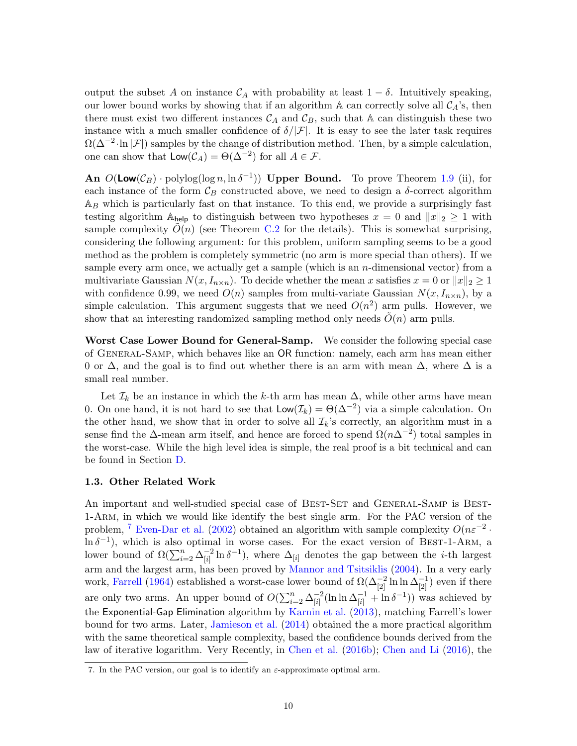output the subset A on instance  $\mathcal{C}_A$  with probability at least  $1 - \delta$ . Intuitively speaking, our lower bound works by showing that if an algorithm  $A$  can correctly solve all  $\mathcal{C}_A$ 's, then there must exist two different instances  $\mathcal{C}_A$  and  $\mathcal{C}_B$ , such that A can distinguish these two instance with a much smaller confidence of  $\delta/|\mathcal{F}|$ . It is easy to see the later task requires  $\Omega(\Delta^{-2} \cdot \ln |\mathcal{F}|)$  samples by the change of distribution method. Then, by a simple calculation, one can show that  $\mathsf{Low}(\mathcal{C}_A) = \Theta(\Delta^{-2})$  for all  $A \in \mathcal{F}$ .

An  $O(\text{Low}(\mathcal{C}_B) \cdot \text{polylog}(\log n, \ln \delta^{-1}))$  Upper Bound. To prove Theorem [1.9](#page-5-0) (ii), for each instance of the form  $\mathcal{C}_B$  constructed above, we need to design a  $\delta$ -correct algorithm  $\mathbb{A}_B$  which is particularly fast on that instance. To this end, we provide a surprisingly fast testing algorithm A<sub>help</sub> to distinguish between two hypotheses  $x = 0$  and  $||x||_2 \ge 1$  with sample complexity  $O(n)$  (see Theorem [C.2](#page-49-0) for the details). This is somewhat surprising, considering the following argument: for this problem, uniform sampling seems to be a good method as the problem is completely symmetric (no arm is more special than others). If we sample every arm once, we actually get a sample (which is an  $n$ -dimensional vector) from a multivariate Gaussian  $N(x, I_{n\times n})$ . To decide whether the mean x satisfies  $x = 0$  or  $||x||_2 \geq 1$ with confidence 0.99, we need  $O(n)$  samples from multi-variate Gaussian  $N(x, I_{n \times n})$ , by a simple calculation. This argument suggests that we need  $O(n^2)$  arm pulls. However, we show that an interesting randomized sampling method only needs  $O(n)$  arm pulls.

Worst Case Lower Bound for General-Samp. We consider the following special case of General-Samp, which behaves like an OR function: namely, each arm has mean either 0 or  $\Delta$ , and the goal is to find out whether there is an arm with mean  $\Delta$ , where  $\Delta$  is a small real number.

Let  $\mathcal{I}_k$  be an instance in which the k-th arm has mean  $\Delta$ , while other arms have mean 0. On one hand, it is not hard to see that  $\mathsf{Low}(\mathcal{I}_k) = \Theta(\Delta^{-2})$  via a simple calculation. On the other hand, we show that in order to solve all  $\mathcal{I}_k$ 's correctly, an algorithm must in a sense find the  $\Delta$ -mean arm itself, and hence are forced to spend  $\Omega(n\Delta^{-2})$  total samples in the worst-case. While the high level idea is simple, the real proof is a bit technical and can be found in Section [D.](#page-52-0)

### 1.3. Other Related Work

An important and well-studied special case of BEST-SET and GENERAL-SAMP is BEST-1-Arm, in which we would like identify the best single arm. For the PAC version of the problem, <sup>[7](#page-9-0)</sup> [Even-Dar et al.](#page-38-9) [\(2002\)](#page-38-9) obtained an algorithm with sample complexity  $O(n\varepsilon^{-2} \cdot$  $\ln \delta^{-1}$ ), which is also optimal in worse cases. For the exact version of BEST-1-ARM, a lower bound of  $\Omega(\sum_{i=2}^n \Delta_{[i]}^{-2})$  $\frac{-2}{[i]} \ln \delta^{-1}$ , where  $\Delta_{[i]}$  denotes the gap between the *i*-th largest arm and the largest arm, has been proved by [Mannor and Tsitsiklis](#page-39-0) [\(2004\)](#page-39-0). In a very early work, [Farrell](#page-38-10) [\(1964\)](#page-38-10) established a worst-case lower bound of  $\Omega(\Delta_{[2]}^{-2} \ln \ln \Delta_{[2]}^{-1})$  even if there are only two arms. An upper bound of  $O(\sum_{i=2}^n \Delta_{[i]}^{-2})$  $\frac{-2}{[i]}(\ln \ln \Delta_{[i]}^{-1} + \ln \delta^{-1}))$  was achieved by the Exponential-Gap Elimination algorithm by [Karnin et al.](#page-39-3) [\(2013\)](#page-39-3), matching Farrell's lower bound for two arms. Later, [Jamieson et al.](#page-39-4) [\(2014\)](#page-39-4) obtained the a more practical algorithm with the same theoretical sample complexity, based the confidence bounds derived from the law of iterative logarithm. Very Recently, in [Chen et al.](#page-38-5) [\(2016b\)](#page-38-5); [Chen and Li](#page-38-11) [\(2016\)](#page-38-11), the

<span id="page-9-0"></span><sup>7.</sup> In the PAC version, our goal is to identify an  $\varepsilon$ -approximate optimal arm.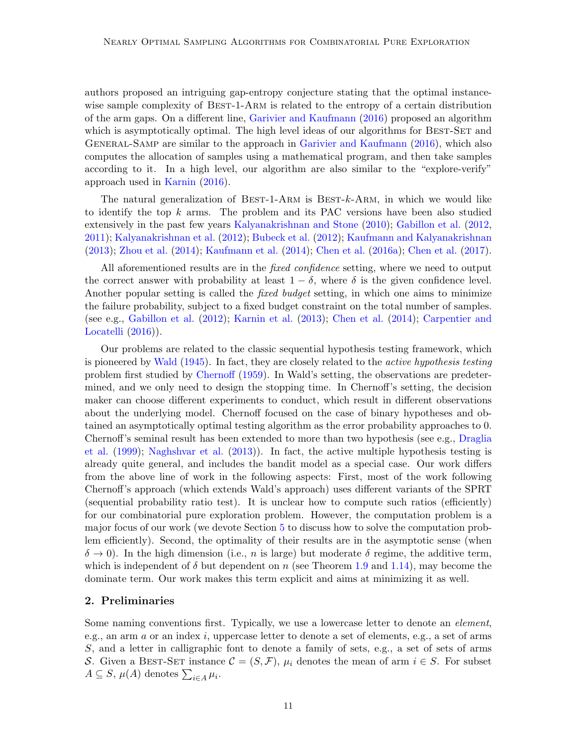authors proposed an intriguing gap-entropy conjecture stating that the optimal instancewise sample complexity of BEST-1-ARM is related to the entropy of a certain distribution of the arm gaps. On a different line, [Garivier and Kaufmann](#page-39-5) [\(2016\)](#page-39-5) proposed an algorithm which is asymptotically optimal. The high level ideas of our algorithms for BEST-SET and General-Samp are similar to the approach in [Garivier and Kaufmann](#page-39-5) [\(2016\)](#page-39-5), which also computes the allocation of samples using a mathematical program, and then take samples according to it. In a high level, our algorithm are also similar to the "explore-verify" approach used in [Karnin](#page-39-10) [\(2016\)](#page-39-10).

The natural generalization of BEST-1-ARM is BEST- $k$ -ARM, in which we would like to identify the top  $k$  arms. The problem and its PAC versions have been also studied extensively in the past few years [Kalyanakrishnan and Stone](#page-39-1) [\(2010\)](#page-39-1); [Gabillon et al.](#page-38-3) [\(2012,](#page-38-3) [2011\)](#page-38-12); [Kalyanakrishnan et al.](#page-39-2) [\(2012\)](#page-39-2); [Bubeck et al.](#page-37-4) [\(2012\)](#page-37-4); [Kaufmann and Kalyanakrishnan](#page-39-11) [\(2013\)](#page-39-11); [Zhou et al.](#page-40-0) [\(2014\)](#page-40-0); [Kaufmann et al.](#page-39-12) [\(2014\)](#page-39-12); [Chen et al.](#page-38-7) [\(2016a\)](#page-38-7); [Chen et al.](#page-38-6) [\(2017\)](#page-38-6).

All aforementioned results are in the *fixed confidence* setting, where we need to output the correct answer with probability at least  $1 - \delta$ , where  $\delta$  is the given confidence level. Another popular setting is called the *fixed budget* setting, in which one aims to minimize the failure probability, subject to a fixed budget constraint on the total number of samples. (see e.g., [Gabillon et al.](#page-38-3) [\(2012\)](#page-38-3); [Karnin et al.](#page-39-3) [\(2013\)](#page-39-3); [Chen et al.](#page-38-1) [\(2014\)](#page-38-1); [Carpentier and](#page-37-3) [Locatelli](#page-37-3)  $(2016)$ ).

Our problems are related to the classic sequential hypothesis testing framework, which is pioneered by [Wald](#page-40-1) [\(1945\)](#page-40-1). In fact, they are closely related to the *active hypothesis testing* problem first studied by [Chernoff](#page-38-13) [\(1959\)](#page-38-13). In Wald's setting, the observations are predetermined, and we only need to design the stopping time. In Chernoff's setting, the decision maker can choose different experiments to conduct, which result in different observations about the underlying model. Chernoff focused on the case of binary hypotheses and obtained an asymptotically optimal testing algorithm as the error probability approaches to 0. Chernoff's seminal result has been extended to more than two hypothesis (see e.g., [Draglia](#page-38-14) [et al.](#page-38-14) [\(1999\)](#page-38-14); [Naghshvar et al.](#page-39-13) [\(2013\)](#page-39-13)). In fact, the active multiple hypothesis testing is already quite general, and includes the bandit model as a special case. Our work differs from the above line of work in the following aspects: First, most of the work following Chernoff's approach (which extends Wald's approach) uses different variants of the SPRT (sequential probability ratio test). It is unclear how to compute such ratios (efficiently) for our combinatorial pure exploration problem. However, the computation problem is a major focus of our work (we devote Section [5](#page-22-0) to discuss how to solve the computation problem efficiently). Second, the optimality of their results are in the asymptotic sense (when  $\delta \to 0$ ). In the high dimension (i.e., n is large) but moderate  $\delta$  regime, the additive term, which is independent of  $\delta$  but dependent on n (see Theorem [1.9](#page-5-0) and [1.14\)](#page-7-0), may become the dominate term. Our work makes this term explicit and aims at minimizing it as well.

### 2. Preliminaries

Some naming conventions first. Typically, we use a lowercase letter to denote an *element*, e.g., an arm  $a$  or an index  $i$ , uppercase letter to denote a set of elements, e.g., a set of arms S, and a letter in calligraphic font to denote a family of sets, e.g., a set of sets of arms S. Given a BEST-SET instance  $\mathcal{C} = (S, \mathcal{F}), \mu_i$  denotes the mean of arm  $i \in S$ . For subset  $A \subseteq S$ ,  $\mu(A)$  denotes  $\sum_{i \in A} \mu_i$ .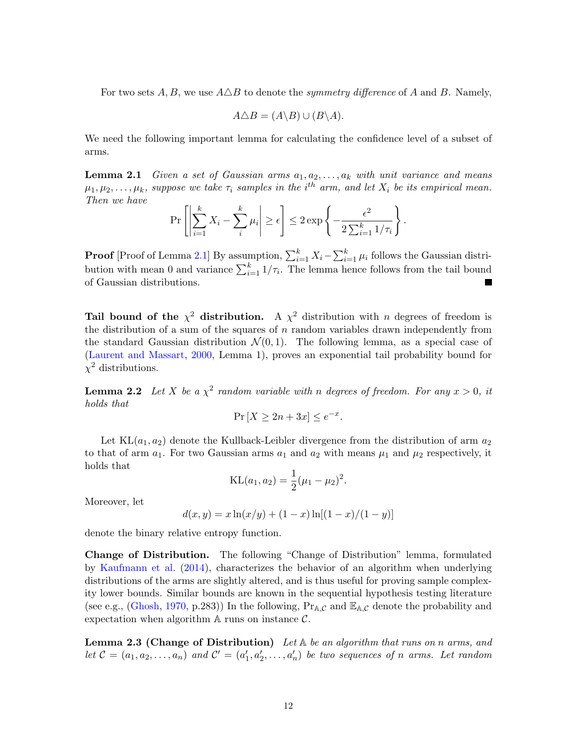For two sets  $A, B$ , we use  $A \triangle B$  to denote the *symmetry difference* of A and B. Namely,

$$
A \triangle B = (A \backslash B) \cup (B \backslash A).
$$

We need the following important lemma for calculating the confidence level of a subset of arms.

<span id="page-11-0"></span>**Lemma 2.1** Given a set of Gaussian arms  $a_1, a_2, \ldots, a_k$  with unit variance and means  $\mu_1, \mu_2, \ldots, \mu_k$ , suppose we take  $\tau_i$  samples in the i<sup>th</sup> arm, and let  $X_i$  be its empirical mean. Then we have

$$
\Pr\left[\left|\sum_{i=1}^k X_i - \sum_{i}^k \mu_i\right| \ge \epsilon\right] \le 2 \exp\left\{-\frac{\epsilon^2}{2\sum_{i=1}^k 1/\tau_i}\right\}.
$$

**Proof** [Proof of Lemma [2.1\]](#page-11-0) By assumption,  $\sum_{i=1}^{k} X_i - \sum_{i=1}^{k} \mu_i$  follows the Gaussian distribution with mean 0 and variance  $\sum_{i=1}^{k} 1/\tau_i$ . The lemma hence follows from the tail bound of Gaussian distributions.

Tail bound of the  $\chi^2$  distribution. A  $\chi^2$  distribution with n degrees of freedom is the distribution of a sum of the squares of  $n$  random variables drawn independently from the standard Gaussian distribution  $\mathcal{N}(0,1)$ . The following lemma, as a special case of [\(Laurent and Massart,](#page-39-14) [2000,](#page-39-14) Lemma 1), proves an exponential tail probability bound for  $\chi^2$  distributions.

<span id="page-11-2"></span>**Lemma 2.2** Let X be a  $\chi^2$  random variable with n degrees of freedom. For any  $x > 0$ , it holds that

$$
\Pr\left[X \ge 2n + 3x\right] \le e^{-x}.
$$

Let  $KL(a_1, a_2)$  denote the Kullback-Leibler divergence from the distribution of arm  $a_2$ to that of arm  $a_1$ . For two Gaussian arms  $a_1$  and  $a_2$  with means  $\mu_1$  and  $\mu_2$  respectively, it holds that

$$
KL(a_1, a_2) = \frac{1}{2}(\mu_1 - \mu_2)^2.
$$

Moreover, let

$$
d(x, y) = x \ln(x/y) + (1 - x) \ln[(1 - x)/(1 - y)]
$$

denote the binary relative entropy function.

Change of Distribution. The following "Change of Distribution" lemma, formulated by [Kaufmann et al.](#page-39-12) [\(2014\)](#page-39-12), characterizes the behavior of an algorithm when underlying distributions of the arms are slightly altered, and is thus useful for proving sample complexity lower bounds. Similar bounds are known in the sequential hypothesis testing literature (see e.g., [\(Ghosh,](#page-39-15) [1970,](#page-39-15) p.283)) In the following,  $Pr_{A,C}$  and  $\mathbb{E}_{A,C}$  denote the probability and expectation when algorithm  $A$  runs on instance  $C$ .

<span id="page-11-1"></span>**Lemma 2.3 (Change of Distribution)** Let  $A$  be an algorithm that runs on n arms, and let  $C = (a_1, a_2, \ldots, a_n)$  and  $C' = (a'_1, a'_2, \ldots, a'_n)$  be two sequences of n arms. Let random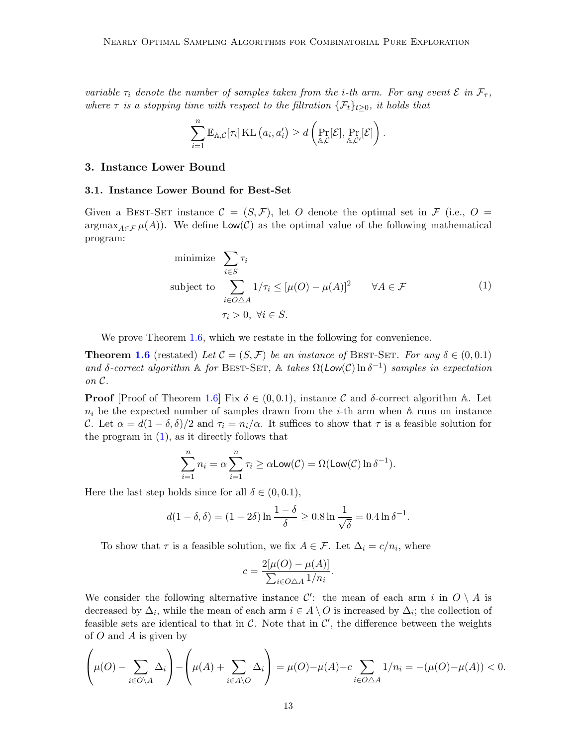variable  $\tau_i$  denote the number of samples taken from the *i*-th arm. For any event  $\mathcal E$  in  $\mathcal F_\tau$ , where  $\tau$  is a stopping time with respect to the filtration  $\{\mathcal{F}_t\}_{t>0}$ , it holds that

$$
\sum_{i=1}^n \mathbb{E}_{\mathbb{A},\mathcal{C}}[\tau_i] \operatorname{KL}(a_i,a'_i) \geq d\left(\Pr_{\mathbb{A},\mathcal{C}}[\mathcal{E}],\Pr_{\mathbb{A},\mathcal{C}'}[\mathcal{E}]\right).
$$

## <span id="page-12-2"></span>3. Instance Lower Bound

#### <span id="page-12-0"></span>3.1. Instance Lower Bound for Best-Set

Given a BEST-SET instance  $\mathcal{C} = (S, \mathcal{F})$ , let O denote the optimal set in  $\mathcal{F}$  (i.e., O =  $\argmax_{A \in \mathcal{F}} \mu(A)$ . We define  $\textsf{Low}(\mathcal{C})$  as the optimal value of the following mathematical program:

minimize 
$$
\sum_{i \in S} \tau_i
$$
  
\nsubject to  $\sum_{i \in O \triangle A} 1/\tau_i \leq [\mu(O) - \mu(A)]^2 \quad \forall A \in \mathcal{F}$   
\n $\tau_i > 0, \forall i \in S.$  (1)

<span id="page-12-1"></span>We prove Theorem [1.6,](#page-3-0) which we restate in the following for convenience.

**Theorem [1.6](#page-3-0)** (restated) Let  $\mathcal{C} = (S, \mathcal{F})$  be an instance of BEST-SET. For any  $\delta \in (0, 0.1)$ and  $\delta$ -correct algorithm  $\mathbb A$  for BEST-SET,  $\mathbb A$  takes  $\Omega(\text{Low}(\mathcal{C}) \ln \delta^{-1})$  samples in expectation on C.

**Proof** [Proof of Theorem [1.6\]](#page-3-0) Fix  $\delta \in (0, 0.1)$ , instance C and  $\delta$ -correct algorithm A. Let  $n_i$  be the expected number of samples drawn from the *i*-th arm when A runs on instance C. Let  $\alpha = d(1 - \delta, \delta)/2$  and  $\tau_i = n_i/\alpha$ . It suffices to show that  $\tau$  is a feasible solution for the program in  $(1)$ , as it directly follows that

$$
\sum_{i=1}^{n} n_i = \alpha \sum_{i=1}^{n} \tau_i \ge \alpha \text{Low}(\mathcal{C}) = \Omega(\text{Low}(\mathcal{C}) \ln \delta^{-1}).
$$

Here the last step holds since for all  $\delta \in (0, 0.1)$ ,

$$
d(1 - \delta, \delta) = (1 - 2\delta) \ln \frac{1 - \delta}{\delta} \ge 0.8 \ln \frac{1}{\sqrt{\delta}} = 0.4 \ln \delta^{-1}.
$$

To show that  $\tau$  is a feasible solution, we fix  $A \in \mathcal{F}$ . Let  $\Delta_i = c/n_i$ , where

$$
c = \frac{2[\mu(O) - \mu(A)]}{\sum_{i \in O \triangle A} 1/n_i}.
$$

We consider the following alternative instance  $\mathcal{C}'$ : the mean of each arm i in  $O \setminus A$  is decreased by  $\Delta_i$ , while the mean of each arm  $i \in A \setminus O$  is increased by  $\Delta_i$ ; the collection of feasible sets are identical to that in  $\mathcal{C}$ . Note that in  $\mathcal{C}'$ , the difference between the weights of  $O$  and  $A$  is given by

$$
\left(\mu(O) - \sum_{i \in O \setminus A} \Delta_i\right) - \left(\mu(A) + \sum_{i \in A \setminus O} \Delta_i\right) = \mu(O) - \mu(A) - c \sum_{i \in O \bigtriangleup A} 1/n_i = -(\mu(O) - \mu(A)) < 0.
$$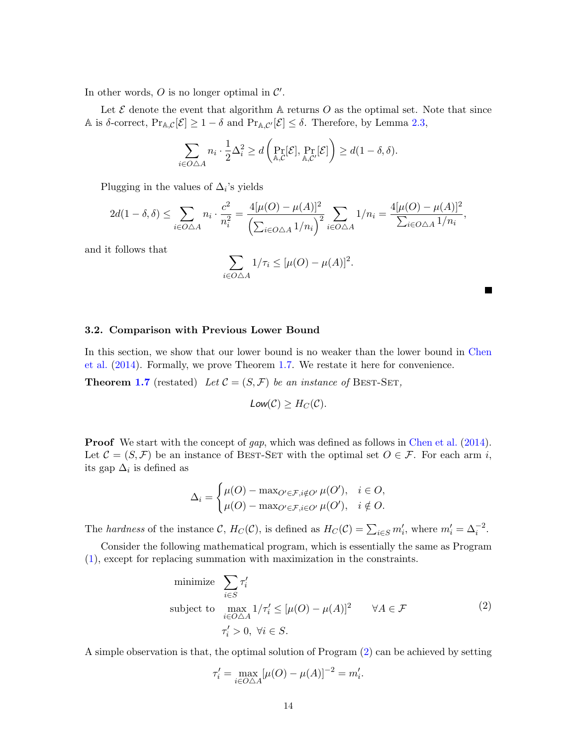In other words,  $O$  is no longer optimal in  $\mathcal{C}'$ .

Let  $\mathcal E$  denote the event that algorithm  $\mathbb A$  returns  $\mathcal O$  as the optimal set. Note that since A is  $\delta$ -correct,  $Pr_{A,C}[\mathcal{E}] \geq 1 - \delta$  and  $Pr_{A,C'}[\mathcal{E}] \leq \delta$ . Therefore, by Lemma [2.3,](#page-11-1)

$$
\sum_{i \in O \triangle A} n_i \cdot \frac{1}{2} \Delta_i^2 \ge d \left( \Pr_{\mathbb{A}, \mathcal{C}}[\mathcal{E}], \Pr_{\mathbb{A}, \mathcal{C}'}[\mathcal{E}] \right) \ge d(1 - \delta, \delta).
$$

Plugging in the values of  $\Delta_i$ 's yields

$$
2d(1-\delta,\delta) \le \sum_{i \in O\triangle A} n_i \cdot \frac{c^2}{n_i^2} = \frac{4[\mu(O) - \mu(A)]^2}{\left(\sum_{i \in O\triangle A} 1/n_i\right)^2} \sum_{i \in O\triangle A} 1/n_i = \frac{4[\mu(O) - \mu(A)]^2}{\sum_{i \in O\triangle A} 1/n_i},
$$

and it follows that

$$
\sum_{i \in O \triangle A} 1/\tau_i \leq [\mu(O) - \mu(A)]^2.
$$

#### <span id="page-13-0"></span>3.2. Comparison with Previous Lower Bound

In this section, we show that our lower bound is no weaker than the lower bound in [Chen](#page-38-1) [et al.](#page-38-1) [\(2014\)](#page-38-1). Formally, we prove Theorem [1.7.](#page-4-0) We restate it here for convenience.

**Theorem [1.7](#page-4-0)** (restated) Let  $C = (S, \mathcal{F})$  be an instance of BEST-SET,

$$
Low(C) \geq H_C(C).
$$

**Proof** We start with the concept of gap, which was defined as follows in [Chen et al.](#page-38-1) [\(2014\)](#page-38-1). Let  $\mathcal{C} = (S, \mathcal{F})$  be an instance of BEST-SET with the optimal set  $O \in \mathcal{F}$ . For each arm i, its gap  $\Delta_i$  is defined as

$$
\Delta_i = \begin{cases} \mu(O) - \max_{O' \in \mathcal{F}, i \notin O'} \mu(O'), & i \in O, \\ \mu(O) - \max_{O' \in \mathcal{F}, i \in O'} \mu(O'), & i \notin O. \end{cases}
$$

The hardness of the instance C,  $H_C(\mathcal{C})$ , is defined as  $H_C(\mathcal{C}) = \sum_{i \in S} m'_i$ , where  $m'_i = \Delta_i^{-2}$ .

Consider the following mathematical program, which is essentially the same as Program [\(1\)](#page-12-1), except for replacing summation with maximization in the constraints.

minimize 
$$
\sum_{i \in S} \tau'_i
$$
  
subject to 
$$
\max_{i \in O \triangle A} 1/\tau'_i \leq [\mu(O) - \mu(A)]^2 \quad \forall A \in \mathcal{F}
$$

$$
\tau'_i > 0, \forall i \in S.
$$
 (2)

<span id="page-13-1"></span>A simple observation is that, the optimal solution of Program [\(2\)](#page-13-1) can be achieved by setting

$$
\tau'_{i} = \max_{i \in O \triangle A} [\mu(O) - \mu(A)]^{-2} = m'_{i}.
$$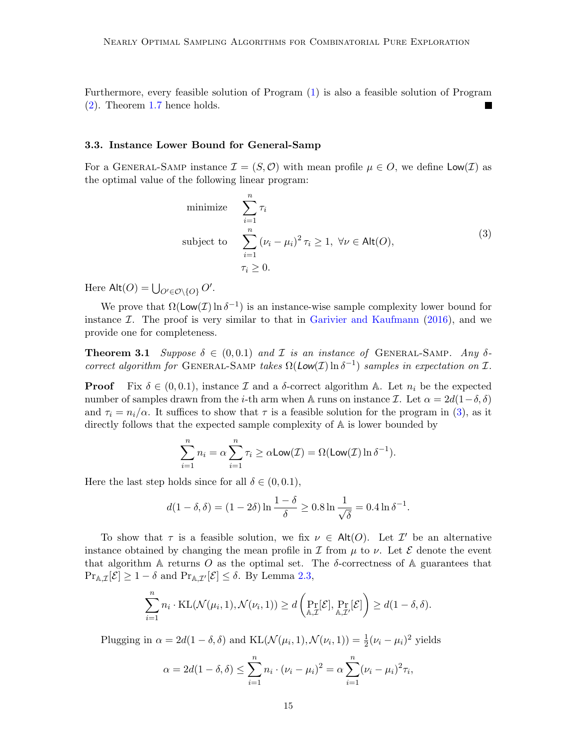Furthermore, every feasible solution of Program [\(1\)](#page-12-1) is also a feasible solution of Program [\(2\)](#page-13-1). Theorem [1.7](#page-4-0) hence holds.

## 3.3. Instance Lower Bound for General-Samp

For a GENERAL-SAMP instance  $\mathcal{I} = (S, \mathcal{O})$  with mean profile  $\mu \in \mathcal{O}$ , we define  $\mathsf{Low}(\mathcal{I})$  as the optimal value of the following linear program:

minimize 
$$
\sum_{i=1}^{n} \tau_i
$$
  
subject to 
$$
\sum_{i=1}^{n} (\nu_i - \mu_i)^2 \tau_i \ge 1, \ \forall \nu \in \text{Alt}(O),
$$

$$
\tau_i \ge 0.
$$
 (3)

<span id="page-14-0"></span>Here  $\mathsf{Alt}(O) = \bigcup_{O' \in \mathcal{O} \setminus \{O\}} O'.$ 

We prove that  $\Omega(\textsf{Low}(\mathcal{I}) \ln \delta^{-1})$  is an instance-wise sample complexity lower bound for instance  $\mathcal{I}$ . The proof is very similar to that in [Garivier and Kaufmann](#page-39-5) [\(2016\)](#page-39-5), and we provide one for completeness.

<span id="page-14-1"></span>**Theorem 3.1** Suppose  $\delta \in (0, 0.1)$  and  $\mathcal I$  is an instance of GENERAL-SAMP. Any  $\delta$ correct algorithm for GENERAL-SAMP takes  $\Omega(Low(\mathcal{I}) \ln \delta^{-1})$  samples in expectation on  $\mathcal{I}$ .

**Proof** Fix  $\delta \in (0, 0.1)$ , instance  $\mathcal I$  and a  $\delta$ -correct algorithm  $\mathbb A$ . Let  $n_i$  be the expected number of samples drawn from the i-th arm when A runs on instance I. Let  $\alpha = 2d(1-\delta, \delta)$ and  $\tau_i = n_i/\alpha$ . It suffices to show that  $\tau$  is a feasible solution for the program in [\(3\)](#page-14-0), as it directly follows that the expected sample complexity of A is lower bounded by

$$
\sum_{i=1}^{n} n_i = \alpha \sum_{i=1}^{n} \tau_i \ge \alpha \text{Low}(\mathcal{I}) = \Omega(\text{Low}(\mathcal{I}) \ln \delta^{-1}).
$$

Here the last step holds since for all  $\delta \in (0, 0.1)$ ,

$$
d(1 - \delta, \delta) = (1 - 2\delta) \ln \frac{1 - \delta}{\delta} \ge 0.8 \ln \frac{1}{\sqrt{\delta}} = 0.4 \ln \delta^{-1}.
$$

To show that  $\tau$  is a feasible solution, we fix  $\nu \in \text{Alt}(O)$ . Let  $\mathcal{I}'$  be an alternative instance obtained by changing the mean profile in  $\mathcal I$  from  $\mu$  to  $\nu$ . Let  $\mathcal E$  denote the event that algorithm A returns O as the optimal set. The  $\delta$ -correctness of A guarantees that  $\Pr_{\mathbb{A},\mathcal{I}}[\mathcal{E}] \geq 1-\delta$  and  $\Pr_{\mathbb{A},\mathcal{I}'}[\mathcal{E}] \leq \delta$ . By Lemma [2.3,](#page-11-1)

$$
\sum_{i=1}^n n_i \cdot \mathrm{KL}(\mathcal{N}(\mu_i, 1), \mathcal{N}(\nu_i, 1)) \ge d\left(\Pr_{\mathbb{A}, \mathcal{I}}[\mathcal{E}], \Pr_{\mathbb{A}, \mathcal{I}'}[\mathcal{E}]\right) \ge d(1 - \delta, \delta).
$$

Plugging in  $\alpha = 2d(1 - \delta, \delta)$  and  $KL(\mathcal{N}(\mu_i, 1), \mathcal{N}(\nu_i, 1)) = \frac{1}{2}(\nu_i - \mu_i)^2$  yields

$$
\alpha = 2d(1 - \delta, \delta) \le \sum_{i=1}^{n} n_i \cdot (\nu_i - \mu_i)^2 = \alpha \sum_{i=1}^{n} (\nu_i - \mu_i)^2 \tau_i,
$$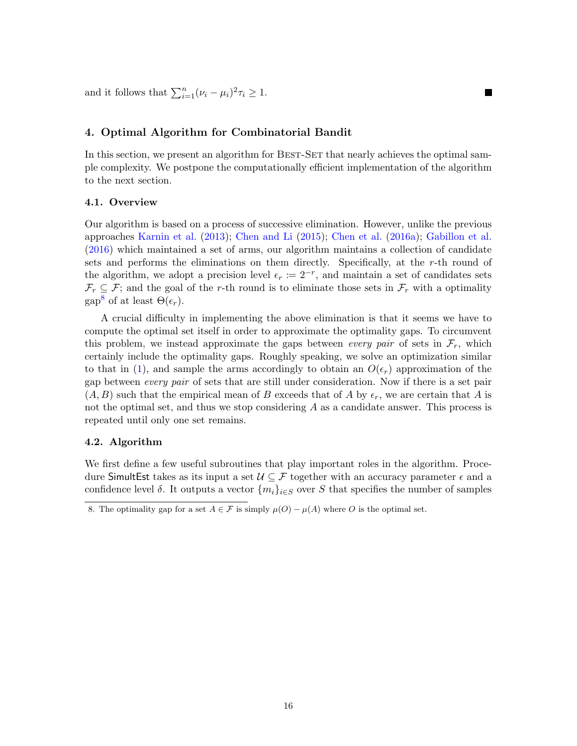and it follows that  $\sum_{i=1}^{n} (\nu_i - \mu_i)^2 \tau_i \geq 1$ .

## <span id="page-15-1"></span>4. Optimal Algorithm for Combinatorial Bandit

In this section, we present an algorithm for BEST-SET that nearly achieves the optimal sample complexity. We postpone the computationally efficient implementation of the algorithm to the next section.

**The Second Service** 

### 4.1. Overview

Our algorithm is based on a process of successive elimination. However, unlike the previous approaches [Karnin et al.](#page-39-3) [\(2013\)](#page-39-3); [Chen and Li](#page-38-4) [\(2015\)](#page-38-4); [Chen et al.](#page-38-7) [\(2016a\)](#page-38-7); [Gabillon et al.](#page-38-8) [\(2016\)](#page-38-8) which maintained a set of arms, our algorithm maintains a collection of candidate sets and performs the eliminations on them directly. Specifically, at the r-th round of the algorithm, we adopt a precision level  $\epsilon_r := 2^{-r}$ , and maintain a set of candidates sets  $\mathcal{F}_r \subseteq \mathcal{F}$ ; and the goal of the r-th round is to eliminate those sets in  $\mathcal{F}_r$  with a optimality gap<sup>[8](#page-15-0)</sup> of at least  $\Theta(\epsilon_r)$ .

A crucial difficulty in implementing the above elimination is that it seems we have to compute the optimal set itself in order to approximate the optimality gaps. To circumvent this problem, we instead approximate the gaps between *every pair* of sets in  $\mathcal{F}_r$ , which certainly include the optimality gaps. Roughly speaking, we solve an optimization similar to that in [\(1\)](#page-12-1), and sample the arms accordingly to obtain an  $O(\epsilon_r)$  approximation of the gap between every pair of sets that are still under consideration. Now if there is a set pair  $(A, B)$  such that the empirical mean of B exceeds that of A by  $\epsilon_r$ , we are certain that A is not the optimal set, and thus we stop considering  $A$  as a candidate answer. This process is repeated until only one set remains.

### 4.2. Algorithm

We first define a few useful subroutines that play important roles in the algorithm. Procedure SimultEst takes as its input a set  $\mathcal{U} \subseteq \mathcal{F}$  together with an accuracy parameter  $\epsilon$  and a confidence level  $\delta$ . It outputs a vector  $\{m_i\}_{i\in S}$  over S that specifies the number of samples

<span id="page-15-0"></span><sup>8.</sup> The optimality gap for a set  $A \in \mathcal{F}$  is simply  $\mu(O) - \mu(A)$  where O is the optimal set.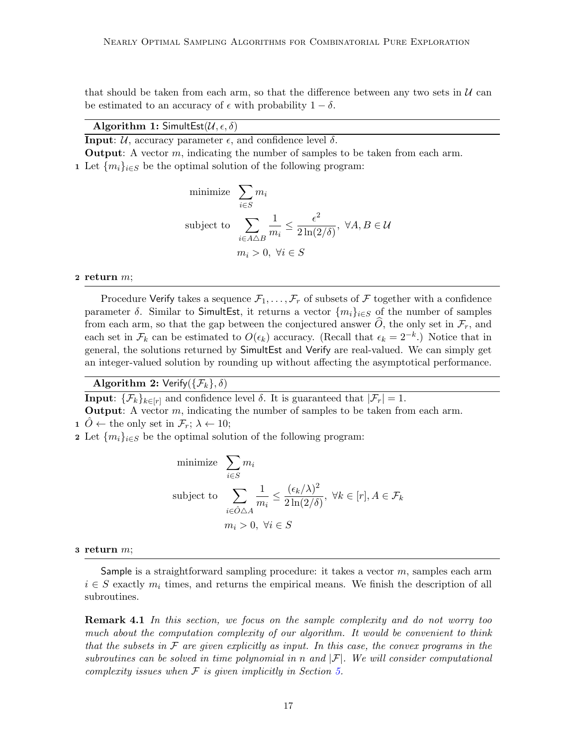that should be taken from each arm, so that the difference between any two sets in  $\mathcal U$  can be estimated to an accuracy of  $\epsilon$  with probability  $1 - \delta$ .

## Algorithm 1: SimultEst( $\mathcal{U}, \epsilon, \delta$ )

**Input:**  $\mathcal{U}$ , accuracy parameter  $\epsilon$ , and confidence level  $\delta$ .

**Output:** A vector  $m$ , indicating the number of samples to be taken from each arm.

1 Let  ${m_i}_{i \in S}$  be the optimal solution of the following program:

minimize 
$$
\sum_{i \in S} m_i
$$
  
\nsubject to  $\sum_{i \in A \triangle B} \frac{1}{m_i} \le \frac{\epsilon^2}{2 \ln(2/\delta)}, \ \forall A, B \in \mathcal{U}$   
\n $m_i > 0, \ \forall i \in S$ 

#### 2 return  $m$ ;

Procedure Verify takes a sequence  $\mathcal{F}_1, \ldots, \mathcal{F}_r$  of subsets of  $\mathcal F$  together with a confidence parameter  $\delta$ . Similar to SimultEst, it returns a vector  $\{m_i\}_{i\in S}$  of the number of samples from each arm, so that the gap between the conjectured answer  $\hat{O}$ , the only set in  $\mathcal{F}_r$ , and each set in  $\mathcal{F}_k$  can be estimated to  $O(\epsilon_k)$  accuracy. (Recall that  $\epsilon_k = 2^{-k}$ .) Notice that in general, the solutions returned by SimultEst and Verify are real-valued. We can simply get an integer-valued solution by rounding up without affecting the asymptotical performance.

Algorithm 2: Verify( $\{\mathcal{F}_k\},\delta$ )

**Input:**  $\{\mathcal{F}_k\}_{k\in[r]}$  and confidence level  $\delta$ . It is guaranteed that  $|\mathcal{F}_r| = 1$ .

**Output:** A vector  $m$ , indicating the number of samples to be taken from each arm.

1  $O \leftarrow$  the only set in  $\mathcal{F}_r$ ;  $\lambda \leftarrow 10$ ;

2 Let  $\{m_i\}_{i\in S}$  be the optimal solution of the following program:

minimize 
$$
\sum_{i \in S} m_i
$$
  
\nsubject to 
$$
\sum_{i \in \hat{O} \triangle A} \frac{1}{m_i} \le \frac{(\epsilon_k/\lambda)^2}{2 \ln(2/\delta)}, \ \forall k \in [r], A \in \mathcal{F}_k
$$
\n
$$
m_i > 0, \ \forall i \in S
$$

#### $3$  return  $m$ ;

Sample is a straightforward sampling procedure: it takes a vector  $m$ , samples each arm  $i \in S$  exactly  $m_i$  times, and returns the empirical means. We finish the description of all subroutines.

**Remark 4.1** In this section, we focus on the sample complexity and do not worry too much about the computation complexity of our algorithm. It would be convenient to think that the subsets in  $\mathcal F$  are given explicitly as input. In this case, the convex programs in the subroutines can be solved in time polynomial in n and  $|\mathcal{F}|$ . We will consider computational complexity issues when  $\mathcal F$  is given implicitly in Section [5.](#page-22-0)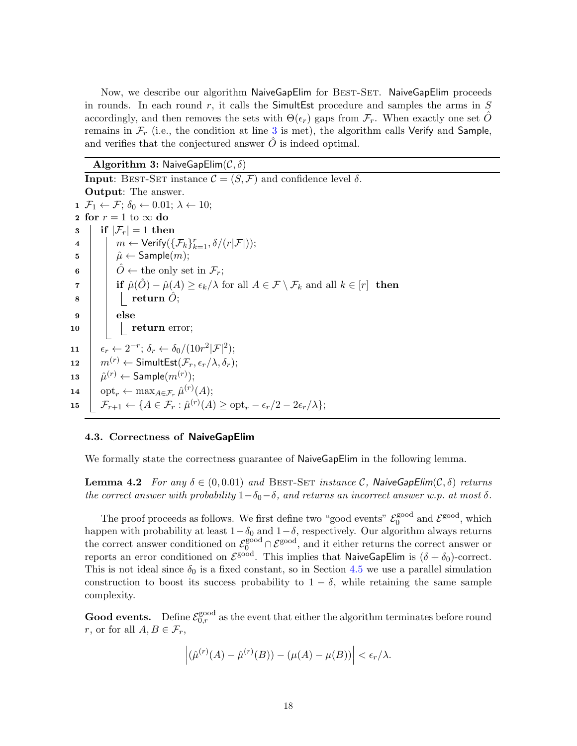Now, we describe our algorithm NaiveGapElim for BEST-SET. NaiveGapElim proceeds in rounds. In each round r, it calls the SimultEst procedure and samples the arms in  $S$ accordingly, and then removes the sets with  $\Theta(\epsilon_r)$  gaps from  $\mathcal{F}_r$ . When exactly one set O remains in  $\mathcal{F}_r$  (i.e., the condition at line [3](#page-17-0) is met), the algorithm calls Verify and Sample, and verifies that the conjectured answer  $\ddot{O}$  is indeed optimal.

Algorithm 3: NaiveGapElim $(C, \delta)$ 

<span id="page-17-3"></span><span id="page-17-2"></span><span id="page-17-1"></span><span id="page-17-0"></span>**Input:** BEST-SET instance  $\mathcal{C} = (S, \mathcal{F})$  and confidence level  $\delta$ . Output: The answer. 1  $\mathcal{F}_1 \leftarrow \mathcal{F}; \delta_0 \leftarrow 0.01; \lambda \leftarrow 10;$ 2 for  $r = 1$  to  $\infty$  do  $3 \mid \text{if } |\mathcal{F}_r| = 1 \text{ then}$  $\begin{array}{cc} \texttt{4} & | & | & m \leftarrow \mathsf{Verify}(\{\mathcal{F}_k\}_{k=1}^r, \delta/(r|\mathcal{F}|)); \end{array}$  $\mathfrak{s}$  |  $\hat{\mu} \leftarrow$  Sample $(m);$ 6  $\begin{bmatrix} \hat{O} \leftarrow \text{the only set in } \mathcal{F}_r; \end{bmatrix}$  $\tau$  if  $\hat{\mu}(\hat{O}) - \hat{\mu}(A) \ge \epsilon_k/\lambda$  for all  $A \in \mathcal{F} \setminus \mathcal{F}_k$  and all  $k \in [r]$  then  $8 \mid \cdot \cdot \cdot \cdot \cdot \cdot$  return  $\ddot{O}$ ;  $9 \mid \cdot \cdot$  else  $\begin{array}{|c|c|c|c|c|}\n\hline\n10 & \multicolumn{1}{|c|}{\textbf{return error}};\n\end{array}$ 11  $\epsilon_r \leftarrow 2^{-r}; \delta_r \leftarrow \delta_0/(10r^2|\mathcal{F}|^2);$ 12  $m^{(r)} \leftarrow$  SimultEst $(\mathcal{F}_r, \epsilon_r/\lambda, \delta_r);$  $13$  $(1)^{(r)} \leftarrow$  Sample $(m^{(r)})$ ; 14  $\Big| \quad \text{opt}_r \leftarrow \max_{A \in \mathcal{F}_r} \hat{\mu}^{(r)}(A);$ 15  $\left[ \mathcal{F}_{r+1} \leftarrow \{ A \in \mathcal{F}_r : \hat{\mu}^{(r)}(A) \geq \text{opt}_r - \epsilon_r/2 - 2\epsilon_r/\lambda \};\right.$ 

#### <span id="page-17-5"></span>4.3. Correctness of NaiveGapElim

<span id="page-17-4"></span>We formally state the correctness guarantee of NaiveGapElim in the following lemma.

**Lemma 4.2** For any  $\delta \in (0, 0.01)$  and BEST-SET instance C, NaiveGapElim $(C, \delta)$  returns the correct answer with probability  $1-\delta_0-\delta$ , and returns an incorrect answer w.p. at most  $\delta$ .

The proof proceeds as follows. We first define two "good events"  $\mathcal{E}_0^{\text{good}}$  $_0^{\text{good}}$  and  $\mathcal{E}^{\text{good}}$ , which happen with probability at least  $1-\delta_0$  and  $1-\delta$ , respectively. Our algorithm always returns the correct answer conditioned on  $\mathcal{E}_0^{\text{good}} \cap \mathcal{E}^{\text{good}}$ , and it either returns the correct answer or reports an error conditioned on  $\mathcal{E}^{\text{good}}$ . This implies that NaiveGapElim is  $(\delta + \delta_0)$ -correct. This is not ideal since  $\delta_0$  is a fixed constant, so in Section [4.5](#page-22-1) we use a parallel simulation construction to boost its success probability to  $1 - \delta$ , while retaining the same sample complexity.

**Good events.** Define  $\mathcal{E}_{0,r}^{\text{good}}$  as the event that either the algorithm terminates before round r, or for all  $A, B \in \mathcal{F}_r$ ,

$$
\left|(\hat{\mu}^{(r)}(A) - \hat{\mu}^{(r)}(B)) - (\mu(A) - \mu(B))\right| < \epsilon_r/\lambda.
$$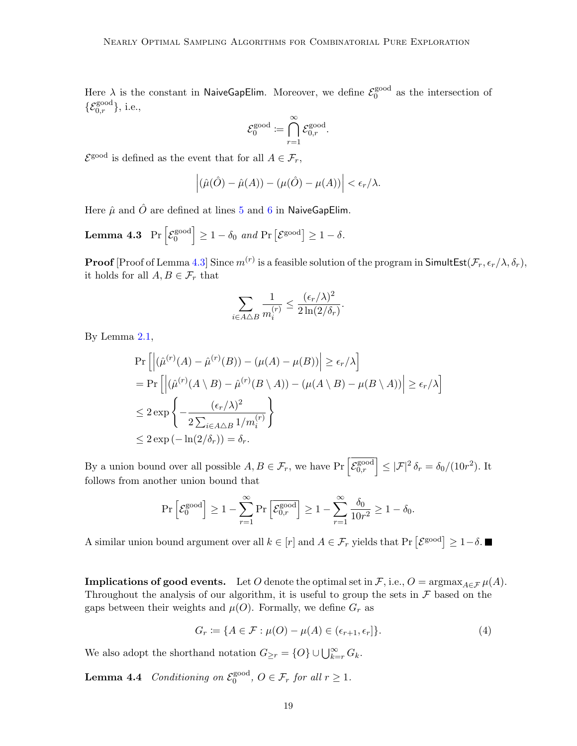Here  $\lambda$  is the constant in NaiveGapElim. Moreover, we define  $\mathcal{E}_0^{\text{good}}$  $_0^{\text{good}}$  as the intersection of  $\{\mathcal{E}_{0,r}^{\text{good}}\},$  i.e.,

$$
\mathcal{E}^{\text{good}}_0 \coloneqq \bigcap_{r=1}^{\infty} \mathcal{E}^{\text{good}}_{0,r}.
$$

 $\mathcal{E}^{\text{good}}$  is defined as the event that for all  $A \in \mathcal{F}_r$ ,

$$
\left| \left( \hat{\mu}(\hat{O}) - \hat{\mu}(A) \right) - (\mu(\hat{O}) - \mu(A)) \right| < \epsilon_r/\lambda.
$$

<span id="page-18-0"></span>Here  $\hat{\mu}$  and  $\hat{O}$  are defined at lines [5](#page-17-1) and [6](#page-17-2) in NaiveGapElim.

**Lemma 4.3** Pr  $\left[\mathcal{E}_0^{\text{good}}\right]$  $\begin{aligned} \begin{bmatrix} \text{good} \\ \text{0} \end{bmatrix} &\geq 1 - \delta_0 \text{ and } \Pr\left[\mathcal{E}^{\text{good}}\right] \geq 1 - \delta. \end{aligned}$ 

**Proof** [Proof of Lemma [4.3\]](#page-18-0) Since  $m^{(r)}$  is a feasible solution of the program in SimultEst( $\mathcal{F}_r, \epsilon_r/\lambda, \delta_r$ ), it holds for all  $A, B \in \mathcal{F}_r$  that

$$
\sum_{i \in A \triangle B} \frac{1}{m_i^{(r)}} \le \frac{(\epsilon_r/\lambda)^2}{2 \ln(2/\delta_r)}.
$$

By Lemma [2.1,](#page-11-0)

$$
\Pr\left[\left|\left(\hat{\mu}^{(r)}(A) - \hat{\mu}^{(r)}(B)\right) - (\mu(A) - \mu(B))\right| \ge \epsilon_r/\lambda\right]
$$
\n
$$
= \Pr\left[\left|\left(\hat{\mu}^{(r)}(A \setminus B) - \hat{\mu}^{(r)}(B \setminus A)\right) - (\mu(A \setminus B) - \mu(B \setminus A))\right| \ge \epsilon_r/\lambda\right]
$$
\n
$$
\le 2 \exp\left\{-\frac{(\epsilon_r/\lambda)^2}{2\sum_{i \in A \triangle B} 1/m_i^{(r)}}\right\}
$$
\n
$$
\le 2 \exp\left(-\ln(2/\delta_r)\right) = \delta_r.
$$

By a union bound over all possible  $A, B \in \mathcal{F}_r$ , we have  $\Pr \left[\mathcal{E}_{0,r}^{\text{good}} \right] \leq |\mathcal{F}|^2 \delta_r = \delta_0/(10r^2)$ . It follows from another union bound that

$$
\Pr\left[\mathcal{E}_0^{\text{good}}\right] \ge 1 - \sum_{r=1}^{\infty} \Pr\left[\mathcal{E}_{0,r}^{\text{good}}\right] \ge 1 - \sum_{r=1}^{\infty} \frac{\delta_0}{10r^2} \ge 1 - \delta_0.
$$

A similar union bound argument over all  $k \in [r]$  and  $A \in \mathcal{F}_r$  yields that  $Pr\left[\mathcal{E}^{\text{good}}\right] \geq 1-\delta$ .

**Implications of good events.** Let O denote the optimal set in F, i.e.,  $O = \arg\max_{A \in \mathcal{F}} \mu(A)$ . Throughout the analysis of our algorithm, it is useful to group the sets in  $\mathcal F$  based on the gaps between their weights and  $\mu(O)$ . Formally, we define  $G_r$  as

$$
G_r \coloneqq \{ A \in \mathcal{F} : \mu(O) - \mu(A) \in (\epsilon_{r+1}, \epsilon_r] \}. \tag{4}
$$

We also adopt the shorthand notation  $G_{\geq r} = \{O\} \cup \bigcup_{k=r}^{\infty} G_k$ .

<span id="page-18-1"></span>**Lemma 4.4** Conditioning on  $\mathcal{E}_0^{\text{good}}$  $0^{\text{good}}$ ,  $O \in \mathcal{F}_r$  for all  $r \geq 1$ .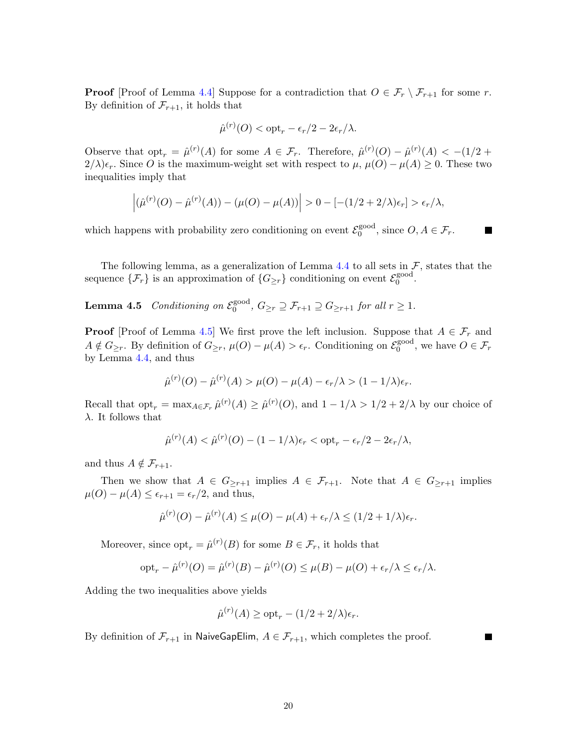**Proof** [Proof of Lemma [4.4\]](#page-18-1) Suppose for a contradiction that  $O \in \mathcal{F}_r \setminus \mathcal{F}_{r+1}$  for some r. By definition of  $\mathcal{F}_{r+1}$ , it holds that

<span id="page-19-0"></span>
$$
\hat{\mu}^{(r)}(O) < \mathrm{opt}_r - \epsilon_r/2 - 2\epsilon_r/\lambda.
$$

Observe that  $\mathrm{opt}_r = \hat{\mu}^{(r)}(A)$  for some  $A \in \mathcal{F}_r$ . Therefore,  $\hat{\mu}^{(r)}(O) - \hat{\mu}^{(r)}(A) < -1/2 + \hat{\mu}^{(r)}(A)$  $2/\lambda$ ) $\epsilon_r$ . Since O is the maximum-weight set with respect to  $\mu$ ,  $\mu$ (O) –  $\mu$ (A)  $\geq$  0. These two inequalities imply that

$$
\left| (\hat{\mu}^{(r)}(O) - \hat{\mu}^{(r)}(A)) - (\mu(O) - \mu(A)) \right| > 0 - [-(1/2 + 2/\lambda)\epsilon_r] > \epsilon_r/\lambda,
$$

which happens with probability zero conditioning on event  $\mathcal{E}_0^{\text{good}}$  $0^{\text{good}}$ , since  $O, A \in \mathcal{F}_r$ .

The following lemma, as a generalization of Lemma [4.4](#page-18-1) to all sets in  $\mathcal{F}$ , states that the sequence  $\{\mathcal{F}_r\}$  is an approximation of  $\{G_{\geq r}\}\)$  conditioning on event  $\mathcal{E}_0^{\text{good}}$ gooa<br>0

**Lemma 4.5** Conditioning on  $\mathcal{E}_0^{\text{good}}$  $0^{\text{good}}$ ,  $G_{\geq r} \supseteq \mathcal{F}_{r+1} \supseteq G_{\geq r+1}$  for all  $r \geq 1$ .

**Proof** [Proof of Lemma [4.5\]](#page-19-0) We first prove the left inclusion. Suppose that  $A \in \mathcal{F}_r$  and  $A \notin G_{\geq r}$ . By definition of  $G_{\geq r}$ ,  $\mu(O) - \mu(A) > \epsilon_r$ . Conditioning on  $\mathcal{E}_0^{\text{good}}$ <sup>good</sup>, we have  $O \in \mathcal{F}_r$ by Lemma [4.4,](#page-18-1) and thus

$$
\hat{\mu}^{(r)}(O) - \hat{\mu}^{(r)}(A) > \mu(O) - \mu(A) - \epsilon_r/\lambda > (1 - 1/\lambda)\epsilon_r.
$$

Recall that  $\text{opt}_r = \max_{A \in \mathcal{F}_r} \hat{\mu}^{(r)}(A) \geq \hat{\mu}^{(r)}(O)$ , and  $1 - 1/\lambda > 1/2 + 2/\lambda$  by our choice of λ. It follows that

$$
\hat{\mu}^{(r)}(A) < \hat{\mu}^{(r)}(O) - (1 - 1/\lambda)\epsilon_r < \text{opt}_r - \epsilon_r/2 - 2\epsilon_r/\lambda,
$$

and thus  $A \notin \mathcal{F}_{r+1}$ .

Then we show that  $A \in G_{\geq r+1}$  implies  $A \in \mathcal{F}_{r+1}$ . Note that  $A \in G_{\geq r+1}$  implies  $\mu(O) - \mu(A) \leq \epsilon_{r+1} = \epsilon_r/2$ , and thus,

$$
\hat{\mu}^{(r)}(O) - \hat{\mu}^{(r)}(A) \le \mu(O) - \mu(A) + \epsilon_r/\lambda \le (1/2 + 1/\lambda)\epsilon_r.
$$

Moreover, since  $\mathrm{opt}_r = \hat{\mu}^{(r)}(B)$  for some  $B \in \mathcal{F}_r$ , it holds that

$$
\mathrm{opt}_r - \hat{\mu}^{(r)}(O) = \hat{\mu}^{(r)}(B) - \hat{\mu}^{(r)}(O) \leq \mu(B) - \mu(O) + \epsilon_r/\lambda \leq \epsilon_r/\lambda.
$$

Adding the two inequalities above yields

$$
\hat{\mu}^{(r)}(A) \ge \text{opt}_r - (1/2 + 2/\lambda)\epsilon_r.
$$

By definition of  $\mathcal{F}_{r+1}$  in NaiveGapElim,  $A \in \mathcal{F}_{r+1}$ , which completes the proof.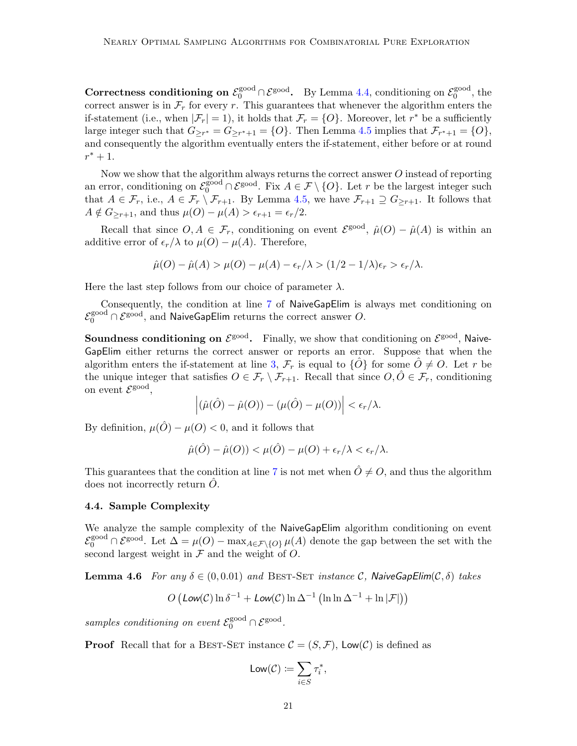Correctness conditioning on  $\mathcal{E}_0^{\text{good}} \cap \mathcal{E}_0^{\text{good}}$ . By Lemma [4.4,](#page-18-1) conditioning on  $\mathcal{E}_0^{\text{good}}$  $_0^{\text{good}},$  the correct answer is in  $\mathcal{F}_r$  for every r. This guarantees that whenever the algorithm enters the if-statement (i.e., when  $|\mathcal{F}_r| = 1$ ), it holds that  $\mathcal{F}_r = \{O\}$ . Moreover, let  $r^*$  be a sufficiently large integer such that  $G_{\geq r^*} = G_{\geq r^*+1} = \{O\}$ . Then Lemma [4.5](#page-19-0) implies that  $\mathcal{F}_{r^*+1} = \{O\}$ , and consequently the algorithm eventually enters the if-statement, either before or at round  $r^* + 1$ .

Now we show that the algorithm always returns the correct answer O instead of reporting an error, conditioning on  $\mathcal{E}_0^{\text{good}} \cap \mathcal{E}^{\text{good}}$ . Fix  $A \in \mathcal{F} \setminus \{O\}$ . Let r be the largest integer such that  $A \in \mathcal{F}_r$ , i.e.,  $A \in \mathcal{F}_r \setminus \mathcal{F}_{r+1}$ . By Lemma [4.5,](#page-19-0) we have  $\mathcal{F}_{r+1} \supseteq G_{\geq r+1}$ . It follows that  $A \notin G_{\geq r+1}$ , and thus  $\mu(O) - \mu(A) > \epsilon_{r+1} = \epsilon_r/2$ .

Recall that since  $O, A \in \mathcal{F}_r$ , conditioning on event  $\mathcal{E}^{\text{good}}$ ,  $\hat{\mu}(O) - \hat{\mu}(A)$  is within an additive error of  $\epsilon_r/\lambda$  to  $\mu(O) - \mu(A)$ . Therefore,

$$
\hat{\mu}(O) - \hat{\mu}(A) > \mu(O) - \mu(A) - \epsilon_r/\lambda > (1/2 - 1/\lambda)\epsilon_r > \epsilon_r/\lambda.
$$

Here the last step follows from our choice of parameter  $\lambda$ .

Consequently, the condition at line [7](#page-17-3) of NaiveGapElim is always met conditioning on  $\mathcal{E}_0^{\rm good}\cap\mathcal{E}^{\rm good},$  and NaiveGapElim returns the correct answer  $O.$ 

Soundness conditioning on  $\mathcal{E}^{\text{good}}$ . Finally, we show that conditioning on  $\mathcal{E}^{\text{good}}$ , Naive-GapElim either returns the correct answer or reports an error. Suppose that when the algorithm enters the if-statement at line [3,](#page-17-0)  $\mathcal{F}_r$  is equal to  $\{\hat{O}\}\$  for some  $\hat{O}\neq O$ . Let r be the unique integer that satisfies  $O \in \mathcal{F}_r \setminus \mathcal{F}_{r+1}$ . Recall that since  $O, \hat{O} \in \mathcal{F}_r$ , conditioning on event  $\mathcal{E}^{\text{good}}$ ,

$$
\left|(\hat{\mu}(\hat{O}) - \hat{\mu}(O)) - (\mu(\hat{O}) - \mu(O))\right| < \epsilon_r/\lambda.
$$

By definition,  $\mu(\hat{O}) - \mu(O) < 0$ , and it follows that

$$
\hat{\mu}(\hat{O}) - \hat{\mu}(O)) < \mu(\hat{O}) - \mu(O) + \epsilon_r/\lambda < \epsilon_r/\lambda.
$$

This guarantees that the condition at line [7](#page-17-3) is not met when  $\hat{O} \neq O$ , and thus the algorithm does not incorrectly return  $O$ .

### <span id="page-20-1"></span>4.4. Sample Complexity

We analyze the sample complexity of the NaiveGapElim algorithm conditioning on event  $\mathcal{E}_0^{\text{good}} \cap \mathcal{E}^{\text{good}}$ . Let  $\Delta = \mu(O) - \max_{A \in \mathcal{F} \setminus \{O\}} \mu(A)$  denote the gap between the set with the second largest weight in  $\mathcal F$  and the weight of  $O$ .

<span id="page-20-0"></span>**Lemma 4.6** For any  $\delta \in (0, 0.01)$  and BEST-SET instance C, Naive GapElim( $C, \delta$ ) takes

$$
O\left(\text{Low}(\mathcal{C})\ln\delta^{-1} + \text{Low}(\mathcal{C})\ln\Delta^{-1}\left(\ln\ln\Delta^{-1} + \ln|\mathcal{F}|\right)\right)
$$

samples conditioning on event  $\mathcal{E}_0^{\text{good}} \cap \mathcal{E}^{\text{good}}$ .

**Proof** Recall that for a BEST-SET instance  $\mathcal{C} = (S, \mathcal{F})$ , Low(C) is defined as

$$
\mathsf{Low}(\mathcal{C}) \coloneqq \sum_{i \in S} \tau_i^*,
$$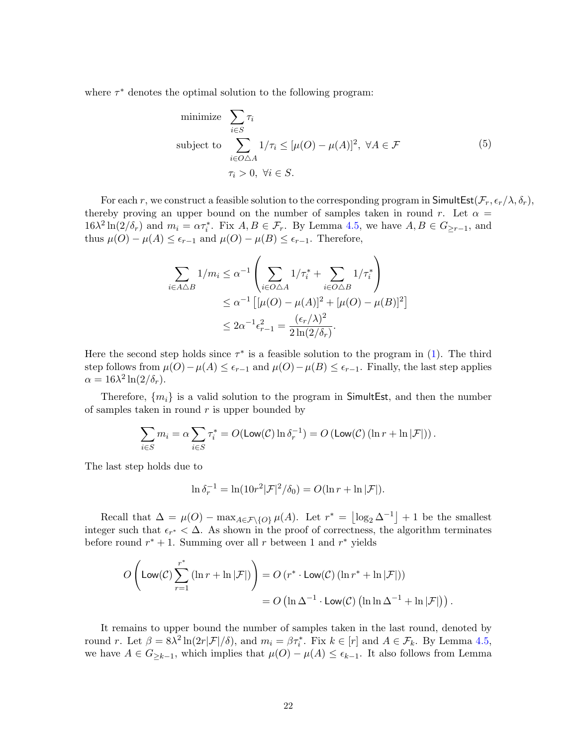where  $\tau^*$  denotes the optimal solution to the following program:

minimize 
$$
\sum_{i \in S} \tau_i
$$
  
subject to 
$$
\sum_{i \in O \triangle A} 1/\tau_i \leq [\mu(O) - \mu(A)]^2, \ \forall A \in \mathcal{F}
$$

$$
\tau_i > 0, \ \forall i \in S.
$$

$$
(5)
$$

For each r, we construct a feasible solution to the corresponding program in SimultEst( $\mathcal{F}_r$ ,  $\epsilon_r/\lambda$ ,  $\delta_r$ ), thereby proving an upper bound on the number of samples taken in round r. Let  $\alpha =$  $16\lambda^2 \ln(2/\delta_r)$  and  $m_i = \alpha \tau_i^*$ . Fix  $A, B \in \mathcal{F}_r$ . By Lemma [4.5,](#page-19-0) we have  $A, B \in G_{\geq r-1}$ , and thus  $\mu(O) - \mu(A) \leq \epsilon_{r-1}$  and  $\mu(O) - \mu(B) \leq \epsilon_{r-1}$ . Therefore,

$$
\sum_{i \in A \triangle B} 1/m_i \leq \alpha^{-1} \left( \sum_{i \in O \triangle A} 1/\tau_i^* + \sum_{i \in O \triangle B} 1/\tau_i^* \right) \\
\leq \alpha^{-1} \left[ [\mu(O) - \mu(A)]^2 + [\mu(O) - \mu(B)]^2 \right] \\
\leq 2\alpha^{-1} \epsilon_{r-1}^2 = \frac{(\epsilon_r/\lambda)^2}{2\ln(2/\delta_r)}.
$$

Here the second step holds since  $\tau^*$  is a feasible solution to the program in [\(1\)](#page-12-1). The third step follows from  $\mu(O) - \mu(A) \leq \epsilon_{r-1}$  and  $\mu(O) - \mu(B) \leq \epsilon_{r-1}$ . Finally, the last step applies  $\alpha = 16\lambda^2 \ln(2/\delta_r).$ 

Therefore,  $\{m_i\}$  is a valid solution to the program in SimultEst, and then the number of samples taken in round  $r$  is upper bounded by

$$
\sum_{i \in S} m_i = \alpha \sum_{i \in S} \tau_i^* = O(\text{Low}(\mathcal{C}) \ln \delta_r^{-1}) = O(\text{Low}(\mathcal{C}) \left( \ln r + \ln |\mathcal{F}| \right)).
$$

The last step holds due to

$$
\ln \delta_r^{-1} = \ln(10r^2|\mathcal{F}|^2/\delta_0) = O(\ln r + \ln |\mathcal{F}|).
$$

Recall that  $\Delta = \mu(O) - \max_{A \in \mathcal{F} \setminus \{O\}} \mu(A)$ . Let  $r^* = \lfloor \log_2 \Delta^{-1} \rfloor + 1$  be the smallest integer such that  $\epsilon_{r^*} < \Delta$ . As shown in the proof of correctness, the algorithm terminates before round  $r^* + 1$ . Summing over all r between 1 and  $r^*$  yields

$$
O\left(\text{Low}(\mathcal{C})\sum_{r=1}^{r^*} (\ln r + \ln |\mathcal{F}|)\right) = O\left(r^* \cdot \text{Low}(\mathcal{C})\left(\ln r^* + \ln |\mathcal{F}|\right)\right)
$$

$$
= O\left(\ln \Delta^{-1} \cdot \text{Low}(\mathcal{C})\left(\ln \ln \Delta^{-1} + \ln |\mathcal{F}|\right)\right).
$$

It remains to upper bound the number of samples taken in the last round, denoted by round r. Let  $\beta = 8\lambda^2 \ln(2r|\mathcal{F}|/\delta)$ , and  $m_i = \beta \tau_i^*$ . Fix  $k \in [r]$  and  $A \in \mathcal{F}_k$ . By Lemma [4.5,](#page-19-0) we have  $A \in G_{\geq k-1}$ , which implies that  $\mu(O) - \mu(A) \leq \epsilon_{k-1}$ . It also follows from Lemma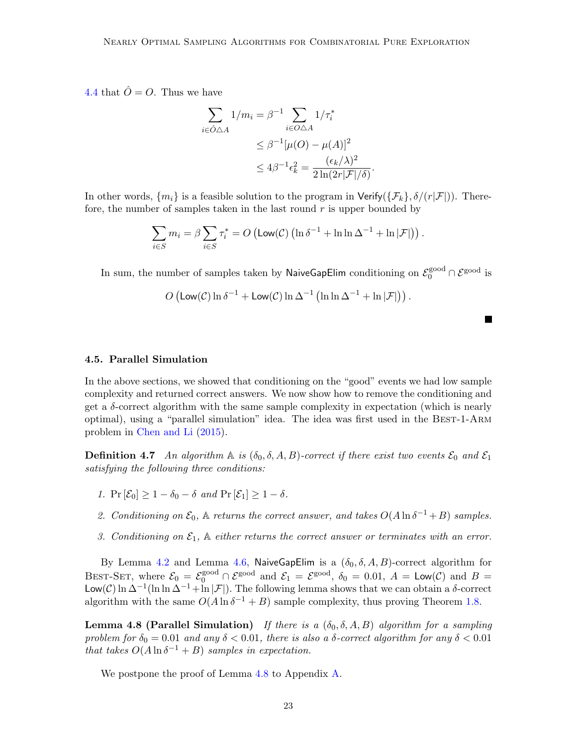[4.4](#page-18-1) that  $\hat{O} = O$ . Thus we have

$$
\sum_{i \in \hat{O} \triangle A} 1/m_i = \beta^{-1} \sum_{i \in O \triangle A} 1/\tau_i^*
$$
  
\n
$$
\leq \beta^{-1} [\mu(O) - \mu(A)]^2
$$
  
\n
$$
\leq 4\beta^{-1} \epsilon_k^2 = \frac{(\epsilon_k/\lambda)^2}{2\ln(2r|\mathcal{F}|/\delta)}.
$$

In other words,  $\{m_i\}$  is a feasible solution to the program in Verify( $\{\mathcal{F}_k\}, \delta/(r|\mathcal{F}|)$ ). Therefore, the number of samples taken in the last round  $r$  is upper bounded by

$$
\sum_{i \in S} m_i = \beta \sum_{i \in S} \tau_i^* = O\left(\text{Low}(\mathcal{C})\left(\ln \delta^{-1} + \ln \ln \Delta^{-1} + \ln |\mathcal{F}|\right)\right).
$$

In sum, the number of samples taken by <code>NaiveGapElim</code> conditioning on  $\mathcal{E}_0^{\rm good} \cap \mathcal{E}^{\rm good}$  is

$$
O\left(\mathsf{Low}(\mathcal{C}) \ln \delta^{-1} + \mathsf{Low}(\mathcal{C}) \ln \Delta^{-1} \left( \ln \ln \Delta^{-1} + \ln |\mathcal{F}| \right) \right).
$$

<span id="page-22-1"></span>4.5. Parallel Simulation

In the above sections, we showed that conditioning on the "good" events we had low sample complexity and returned correct answers. We now show how to remove the conditioning and get a δ-correct algorithm with the same sample complexity in expectation (which is nearly optimal), using a "parallel simulation" idea. The idea was first used in the Best-1-Arm problem in [Chen and Li](#page-38-4) [\(2015\)](#page-38-4).

<span id="page-22-3"></span>**Definition 4.7** An algorithm  $\mathbb A$  is  $(\delta_0, \delta, A, B)$ -correct if there exist two events  $\mathcal{E}_0$  and  $\mathcal{E}_1$ satisfying the following three conditions:

- 1.  $\Pr[\mathcal{E}_0] > 1 \delta_0 \delta$  and  $\Pr[\mathcal{E}_1] > 1 \delta$ .
- 2. Conditioning on  $\mathcal{E}_0$ ,  $\mathbb A$  returns the correct answer, and takes  $O(A \ln \delta^{-1} + B)$  samples.
- 3. Conditioning on  $\mathcal{E}_1$ ,  $\mathbb A$  either returns the correct answer or terminates with an error.

By Lemma [4.2](#page-17-4) and Lemma [4.6,](#page-20-0) NaiveGapElim is a  $(\delta_0, \delta, A, B)$ -correct algorithm for BEST-SET, where  $\mathcal{E}_0 = \mathcal{E}_0^{\text{good}} \cap \mathcal{E}^{\text{good}}$  and  $\mathcal{E}_1 = \mathcal{E}^{\text{good}}$ ,  $\delta_0 = 0.01$ ,  $A = \text{Low}(\mathcal{C})$  and  $B =$ Low(C) ln  $\Delta^{-1}(\ln \ln \Delta^{-1} + \ln |\mathcal{F}|)$ . The following lemma shows that we can obtain a δ-correct algorithm with the same  $O(A \ln \delta^{-1} + B)$  sample complexity, thus proving Theorem [1.8.](#page-4-2)

<span id="page-22-2"></span>**Lemma 4.8 (Parallel Simulation)** If there is a  $(\delta_0, \delta, A, B)$  algorithm for a sampling problem for  $\delta_0 = 0.01$  and any  $\delta < 0.01$ , there is also a  $\delta$ -correct algorithm for any  $\delta < 0.01$ that takes  $O(A \ln \delta^{-1} + B)$  samples in expectation.

<span id="page-22-0"></span>We postpone the proof of Lemma [4.8](#page-22-2) to Appendix [A.](#page-41-0)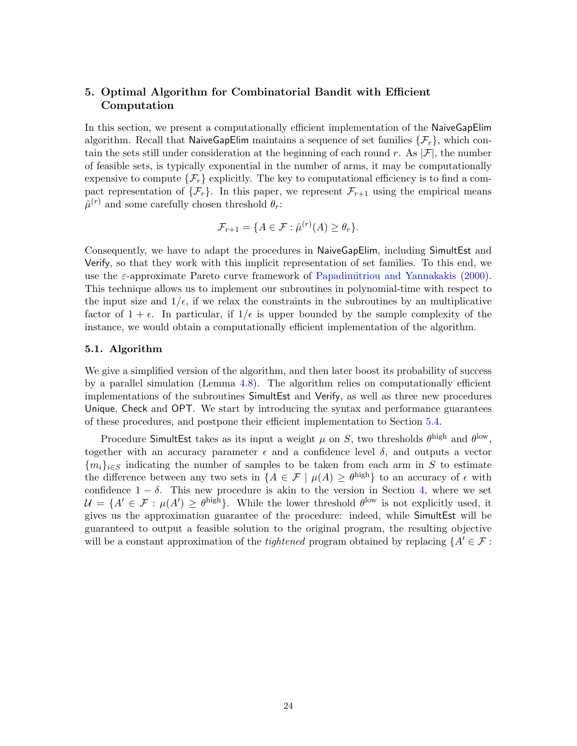## 5. Optimal Algorithm for Combinatorial Bandit with Efficient Computation

In this section, we present a computationally efficient implementation of the NaiveGapElim algorithm. Recall that NaiveGapElim maintains a sequence of set families  $\{\mathcal{F}_r\}$ , which contain the sets still under consideration at the beginning of each round r. As  $|\mathcal{F}|$ , the number of feasible sets, is typically exponential in the number of arms, it may be computationally expensive to compute  $\{\mathcal{F}_r\}$  explicitly. The key to computational efficiency is to find a compact representation of  $\{\mathcal{F}_r\}$ . In this paper, we represent  $\mathcal{F}_{r+1}$  using the empirical means  $\hat{\mu}^{(r)}$  and some carefully chosen threshold  $\theta_r$ :

$$
\mathcal{F}_{r+1} = \{ A \in \mathcal{F} : \hat{\mu}^{(r)}(A) \ge \theta_r \}.
$$

Consequently, we have to adapt the procedures in NaiveGapElim, including SimultEst and Verify, so that they work with this implicit representation of set families. To this end, we use the ε-approximate Pareto curve framework of [Papadimitriou and Yannakakis](#page-39-8) [\(2000\)](#page-39-8). This technique allows us to implement our subroutines in polynomial-time with respect to the input size and  $1/\epsilon$ , if we relax the constraints in the subroutines by an multiplicative factor of  $1 + \epsilon$ . In particular, if  $1/\epsilon$  is upper bounded by the sample complexity of the instance, we would obtain a computationally efficient implementation of the algorithm.

### 5.1. Algorithm

We give a simplified version of the algorithm, and then later boost its probability of success by a parallel simulation (Lemma [4.8\)](#page-22-2). The algorithm relies on computationally efficient implementations of the subroutines SimultEst and Verify, as well as three new procedures Unique, Check and OPT. We start by introducing the syntax and performance guarantees of these procedures, and postpone their efficient implementation to Section [5.4.](#page-26-0)

Procedure SimultEst takes as its input a weight  $\mu$  on S, two thresholds  $\theta^{\text{high}}$  and  $\theta^{\text{low}}$ , together with an accuracy parameter  $\epsilon$  and a confidence level  $\delta$ , and outputs a vector  ${m_i}_{i\in S}$  indicating the number of samples to be taken from each arm in S to estimate the difference between any two sets in  ${A \in \mathcal{F} \mid \mu(A) \geq \theta^{\text{high}}}$  to an accuracy of  $\epsilon$  with confidence  $1 - \delta$ . This new procedure is akin to the version in Section [4,](#page-15-1) where we set  $\mathcal{U} = \{A' \in \mathcal{F} : \mu(A') \geq \theta^{\text{high}}\}.$  While the lower threshold  $\theta^{\text{low}}$  is not explicitly used, it gives us the approximation guarantee of the procedure: indeed, while SimultEst will be guaranteed to output a feasible solution to the original program, the resulting objective will be a constant approximation of the *tightened* program obtained by replacing  $\{A' \in \mathcal{F} :$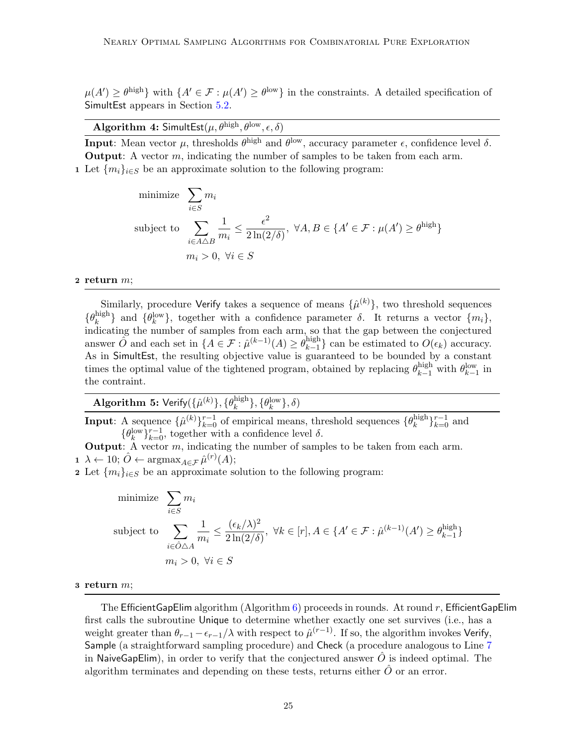$\mu(A') \geq \theta^{\text{high}}$  with  $\{A' \in \mathcal{F} : \mu(A') \geq \theta^{\text{low}}\}$  in the constraints. A detailed specification of SimultEst appears in Section [5.2.](#page-25-0)

Algorithm 4: SimultEst $(\mu, \theta^{\text{high}}, \theta^{\text{low}}, \epsilon, \delta)$ 

<span id="page-24-0"></span>**Input**: Mean vector  $\mu$ , thresholds  $\theta^{\text{high}}$  and  $\theta^{\text{low}}$ , accuracy parameter  $\epsilon$ , confidence level  $\delta$ . **Output:** A vector  $m$ , indicating the number of samples to be taken from each arm. 1 Let  ${m_i}_{i \in S}$  be an approximate solution to the following program:

minimize 
$$
\sum_{i \in S} m_i
$$
  
\nsubject to  $\sum_{i \in A \triangle B} \frac{1}{m_i} \le \frac{\epsilon^2}{2 \ln(2/\delta)}, \ \forall A, B \in \{A' \in \mathcal{F} : \mu(A') \ge \theta^{\text{high}}\}$   
\n $m_i > 0, \ \forall i \in S$ 

### 2 return  $m$ ;

Similarly, procedure Verify takes a sequence of means  $\{\hat{\mu}^{(k)}\}$ , two threshold sequences  $\{\theta_k^{\rm high}$  $\{ \theta_k^{\text{high}} \}$  and  $\{ \theta_k^{\text{low}} \}$ , together with a confidence parameter  $\delta$ . It returns a vector  $\{ m_i \}$ , indicating the number of samples from each arm, so that the gap between the conjectured answer  $\widehat{O}$  and each set in  $\{A \in \mathcal{F} : \widehat{\mu}^{(k-1)}(A) \geq \theta_{k-1}^{\text{high}}\}$  $\binom{\text{mgn}}{k-1}$  can be estimated to  $O(\epsilon_k)$  accuracy. As in SimultEst, the resulting objective value is guaranteed to be bounded by a constant times the optimal value of the tightened program, obtained by replacing  $\theta_{k-1}^{\text{high}}$  with  $\theta_{k-1}^{\text{low}}$  in the contraint.

| <b>Algorithm 5:</b> Verify $(\{\hat{\mu}^{(k)}\}, \{\theta_k^{\text{high}}\}, \{\theta_k^{\text{low}}\}, \delta)$ |  |
|-------------------------------------------------------------------------------------------------------------------|--|
|                                                                                                                   |  |

**Input**: A sequence  $\{\hat{\mu}^{(k)}\}_{k=0}^{r-1}$  of empirical means, threshold sequences  $\{\theta_k^{\text{high}}\}$  ${}_{k}^{\text{high}}\} _{k=0}^{r-1}$  and  $\{\theta_k^{\text{low}}\}_{k=0}^{r-1}$ , together with a confidence level  $\delta$ .

**Output:** A vector  $m$ , indicating the number of samples to be taken from each arm.  $\mathbf{1} \ \lambda \leftarrow 10; \ \hat{O} \leftarrow \operatorname{argmax}_{A \in \mathcal{F}} \hat{\mu}^{(r)}(A);$ 

2 Let  $\{m_i\}_{i\in S}$  be an approximate solution to the following program:

minimize 
$$
\sum_{i \in S} m_i
$$
  
\nsubject to  $\sum_{i \in \hat{O} \triangle A} \frac{1}{m_i} \le \frac{(\epsilon_k/\lambda)^2}{2\ln(2/\delta)}, \ \forall k \in [r], A \in \{A' \in \mathcal{F} : \hat{\mu}^{(k-1)}(A') \ge \theta_{k-1}^{\text{high}}\}$   
\n $m_i > 0, \ \forall i \in S$ 

#### 3 return  $m$ ;

The Efficient GapElim algorithm  $(A$ lgorithm [6\)](#page-25-1) proceeds in rounds. At round r, Efficient GapElim first calls the subroutine Unique to determine whether exactly one set survives (i.e., has a weight greater than  $\theta_{r-1} - \epsilon_{r-1}/\lambda$  with respect to  $\hat{\mu}^{(r-1)}$ . If so, the algorithm invokes Verify, Sample (a straightforward sampling procedure) and Check (a procedure analogous to Line [7](#page-17-3) in NaiveGapElim), in order to verify that the conjectured answer  $\hat{O}$  is indeed optimal. The algorithm terminates and depending on these tests, returns either  $O$  or an error.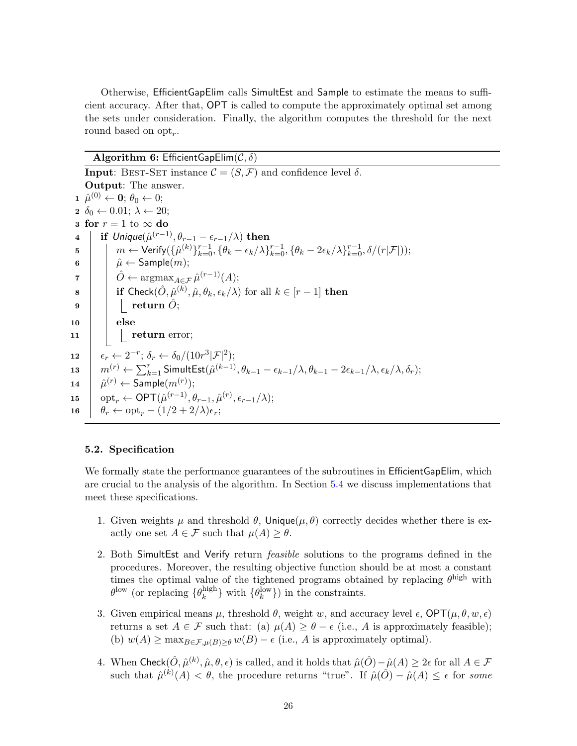Otherwise, EfficientGapElim calls SimultEst and Sample to estimate the means to sufficient accuracy. After that, OPT is called to compute the approximately optimal set among the sets under consideration. Finally, the algorithm computes the threshold for the next round based on  $\text{opt}_r$ .

## Algorithm 6: EfficientGapElim $(C, \delta)$

<span id="page-25-4"></span><span id="page-25-3"></span><span id="page-25-2"></span><span id="page-25-1"></span>**Input:** BEST-SET instance  $\mathcal{C} = (S, \mathcal{F})$  and confidence level  $\delta$ . Output: The answer.  $\mathbf{1} \ \ \hat{\mu}^{(0)} \leftarrow \mathbf{0}; \ \theta_0 \leftarrow 0;$  $2 \delta_0 \leftarrow 0.01; \lambda \leftarrow 20;$ 3 for  $r = 1$  to  $\infty$  do  $\begin{array}{c|c} \textbf{4} & \textbf{1} & \textbf{1} \end{array} \textbf{if } \textit{Unique}(\hat{\mu}^{(r-1)}, \theta_{r-1} - \epsilon_{r-1}/\lambda) \textbf{ then}$  $5\quad \Big\vert\quad \Big\vert\quad m\leftarrow{\sf Verify}(\{\hat{\mu}^{(k)}\}_{k=0}^{r-1},\{\theta_{k}-\epsilon_{k}/\lambda\}_{k=0}^{r-1},\{\theta_{k}-2\epsilon_{k}/\lambda\}_{k=0}^{r-1},\delta/(r|\mathcal{F}|));$  $\begin{array}{c|c} \mathbf{6} & | & \hat{\mu} \leftarrow \mathsf{Sample}(m); \end{array}$  $\begin{array}{c|c} \mathbf{7} & \begin{array}{|c} \end{array} & \hat{O} \leftarrow \operatorname{argmax}_{A \in \mathcal{F}} \hat{\mu}^{(r-1)}(A); \end{array}$ 8 if Check $(\hat{O}, \hat{\mu}^{(k)}, \hat{\mu}, \theta_k, \epsilon_k/\lambda)$  for all  $k \in [r-1]$  then  $9 \mid \cdot \mid \cdot$  return  $\hat{O}$ ;  $10$  else  $\begin{array}{|c|c|c|c|c|}\n\hline\n\text{11} & \text{return error;} \\\hline\n\end{array}$ 12  $\left| \epsilon_r \leftarrow 2^{-r}; \delta_r \leftarrow \delta_0/(10r^3|\mathcal{F}|^2);$ 13  $m^{(r)} \leftarrow \sum_{k=1}^r \mathsf{SimultEst}(\hat{\mu}^{(k-1)}, \theta_{k-1} - \epsilon_{k-1}/\lambda, \theta_{k-1} - 2\epsilon_{k-1}/\lambda, \epsilon_k/\lambda, \delta_r);$ 14  $\hat{\mu}^{(r)} \leftarrow$  Sample $(m^{(r)})$ ; 15  $\phi$  opt<sub>r</sub>  $\leftarrow$  OPT $(\hat{\mu}^{(r-1)}, \theta_{r-1}, \hat{\mu}^{(r)}, \epsilon_{r-1}/\lambda);$ 16  $\theta_r \leftarrow \mathrm{opt}_r - (1/2 + 2/\lambda)\epsilon_r;$ 

### <span id="page-25-0"></span>5.2. Specification

We formally state the performance guarantees of the subroutines in EfficientGapElim, which are crucial to the analysis of the algorithm. In Section [5.4](#page-26-0) we discuss implementations that meet these specifications.

- 1. Given weights  $\mu$  and threshold  $\theta$ , Unique $(\mu, \theta)$  correctly decides whether there is exactly one set  $A \in \mathcal{F}$  such that  $\mu(A) \geq \theta$ .
- 2. Both SimultEst and Verify return feasible solutions to the programs defined in the procedures. Moreover, the resulting objective function should be at most a constant times the optimal value of the tightened programs obtained by replacing  $\theta^{\text{high}}$  with  $\theta^{\text{low}}$  (or replacing  $\{\theta_k^{\text{high}}\}$  $\{ \theta_k^{\text{low}} \}$  with  $\{ \theta_k^{\text{low}} \}$  in the constraints.
- 3. Given empirical means  $\mu$ , threshold  $\theta$ , weight w, and accuracy level  $\epsilon$ , OPT $(\mu, \theta, w, \epsilon)$ returns a set  $A \in \mathcal{F}$  such that: (a)  $\mu(A) \geq \theta - \epsilon$  (i.e., A is approximately feasible); (b)  $w(A) \ge \max_{B \in \mathcal{F}, \mu(B) \ge \theta} w(B) - \epsilon$  (i.e., A is approximately optimal).
- 4. When Check $(\hat{O}, \hat{\mu}^{(k)}, \hat{\mu}, \theta, \epsilon)$  is called, and it holds that  $\hat{\mu}(\hat{O}) \hat{\mu}(A) \geq 2\epsilon$  for all  $A \in \mathcal{F}$ such that  $\hat{\mu}^{(k)}(A) < \theta$ , the procedure returns "true". If  $\hat{\mu}(\hat{O}) - \hat{\mu}(A) \leq \epsilon$  for some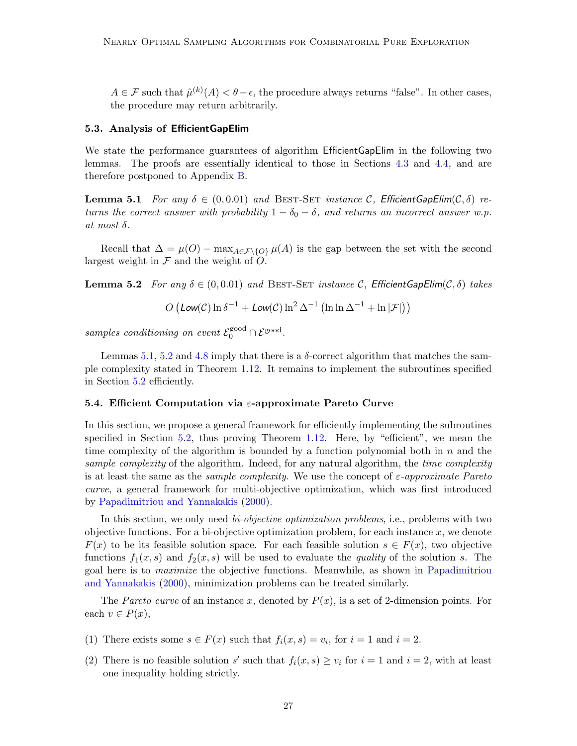$A \in \mathcal{F}$  such that  $\hat{\mu}^{(k)}(A) < \theta - \epsilon$ , the procedure always returns "false". In other cases, the procedure may return arbitrarily.

### 5.3. Analysis of EfficientGapElim

We state the performance guarantees of algorithm EfficientGapElim in the following two lemmas. The proofs are essentially identical to those in Sections [4.3](#page-17-5) and [4.4,](#page-20-1) and are therefore postponed to Appendix [B.](#page-42-0)

<span id="page-26-1"></span>**Lemma 5.1** For any  $\delta \in (0, 0.01)$  and BEST-SET instance C, EfficientGapElim( $C, \delta$ ) returns the correct answer with probability  $1 - \delta_0 - \delta$ , and returns an incorrect answer w.p. at most  $\delta$ .

Recall that  $\Delta = \mu(O) - \max_{A \in \mathcal{F} \backslash \{O\}} \mu(A)$  is the gap between the set with the second largest weight in  $\mathcal F$  and the weight of  $\tilde O$ .

<span id="page-26-2"></span>**Lemma 5.2** For any  $\delta \in (0, 0.01)$  and BEST-SET instance C, EfficientGapElim( $C, \delta$ ) takes

$$
O\left(\text{Low}(\mathcal{C})\ln\delta^{-1} + \text{Low}(\mathcal{C})\ln^2\Delta^{-1}\left(\ln\ln\Delta^{-1} + \ln|\mathcal{F}|\right)\right)
$$

samples conditioning on event  $\mathcal{E}_0^{\text{good}} \cap \mathcal{E}^{\text{good}}$ .

Lemmas [5.1,](#page-26-1) [5.2](#page-26-2) and [4.8](#page-22-2) imply that there is a  $\delta$ -correct algorithm that matches the sample complexity stated in Theorem [1.12.](#page-6-1) It remains to implement the subroutines specified in Section [5.2](#page-25-0) efficiently.

### <span id="page-26-0"></span>5.4. Efficient Computation via  $\varepsilon$ -approximate Pareto Curve

In this section, we propose a general framework for efficiently implementing the subroutines specified in Section [5.2,](#page-25-0) thus proving Theorem  $1.12$ . Here, by "efficient", we mean the time complexity of the algorithm is bounded by a function polynomial both in  $n$  and the sample complexity of the algorithm. Indeed, for any natural algorithm, the time complexity is at least the same as the *sample complexity*. We use the concept of  $\varepsilon$ -approximate Pareto curve, a general framework for multi-objective optimization, which was first introduced by [Papadimitriou and Yannakakis](#page-39-8) [\(2000\)](#page-39-8).

In this section, we only need bi-objective optimization problems, i.e., problems with two objective functions. For a bi-objective optimization problem, for each instance  $x$ , we denote  $F(x)$  to be its feasible solution space. For each feasible solution  $s \in F(x)$ , two objective functions  $f_1(x, s)$  and  $f_2(x, s)$  will be used to evaluate the *quality* of the solution s. The goal here is to maximize the objective functions. Meanwhile, as shown in [Papadimitriou](#page-39-8) [and Yannakakis](#page-39-8) [\(2000\)](#page-39-8), minimization problems can be treated similarly.

The Pareto curve of an instance x, denoted by  $P(x)$ , is a set of 2-dimension points. For each  $v \in P(x)$ ,

- (1) There exists some  $s \in F(x)$  such that  $f_i(x, s) = v_i$ , for  $i = 1$  and  $i = 2$ .
- (2) There is no feasible solution s' such that  $f_i(x, s) \ge v_i$  for  $i = 1$  and  $i = 2$ , with at least one inequality holding strictly.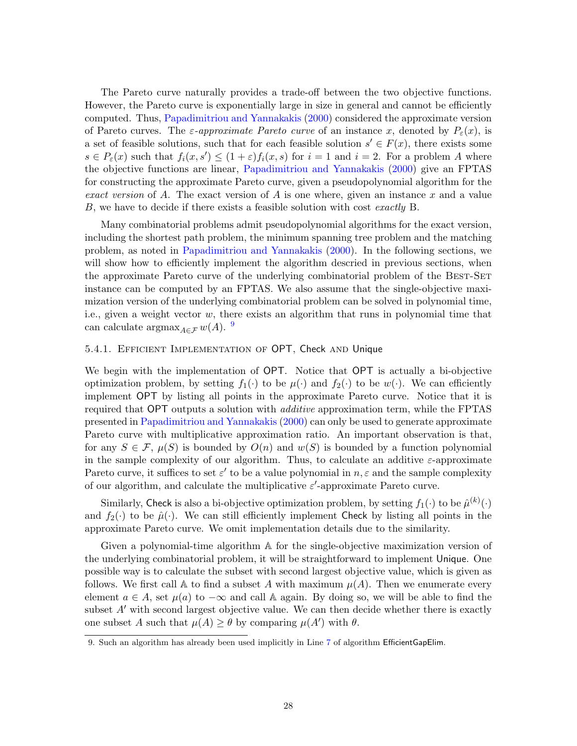The Pareto curve naturally provides a trade-off between the two objective functions. However, the Pareto curve is exponentially large in size in general and cannot be efficiently computed. Thus, [Papadimitriou and Yannakakis](#page-39-8) [\(2000\)](#page-39-8) considered the approximate version of Pareto curves. The  $\varepsilon$ -approximate Pareto curve of an instance x, denoted by  $P_{\varepsilon}(x)$ , is a set of feasible solutions, such that for each feasible solution  $s' \in F(x)$ , there exists some  $s \in P_{\varepsilon}(x)$  such that  $f_i(x, s') \leq (1+\varepsilon)f_i(x, s)$  for  $i=1$  and  $i=2$ . For a problem A where the objective functions are linear, [Papadimitriou and Yannakakis](#page-39-8) [\(2000\)](#page-39-8) give an FPTAS for constructing the approximate Pareto curve, given a pseudopolynomial algorithm for the exact version of A. The exact version of A is one where, given an instance x and a value B, we have to decide if there exists a feasible solution with cost exactly B.

Many combinatorial problems admit pseudopolynomial algorithms for the exact version, including the shortest path problem, the minimum spanning tree problem and the matching problem, as noted in [Papadimitriou and Yannakakis](#page-39-8) [\(2000\)](#page-39-8). In the following sections, we will show how to efficiently implement the algorithm descried in previous sections, when the approximate Pareto curve of the underlying combinatorial problem of the BEST-SET instance can be computed by an FPTAS. We also assume that the single-objective maximization version of the underlying combinatorial problem can be solved in polynomial time, i.e., given a weight vector w, there exists an algorithm that runs in polynomial time that can calculate  $\operatorname{argmax}_{A \in \mathcal{F}} w(A)$ . <sup>[9](#page-27-0)</sup>

## 5.4.1. Efficient Implementation of OPT, Check and Unique

We begin with the implementation of OPT. Notice that OPT is actually a bi-objective optimization problem, by setting  $f_1(\cdot)$  to be  $\mu(\cdot)$  and  $f_2(\cdot)$  to be  $w(\cdot)$ . We can efficiently implement OPT by listing all points in the approximate Pareto curve. Notice that it is required that OPT outputs a solution with *additive* approximation term, while the FPTAS presented in [Papadimitriou and Yannakakis](#page-39-8) [\(2000\)](#page-39-8) can only be used to generate approximate Pareto curve with multiplicative approximation ratio. An important observation is that, for any  $S \in \mathcal{F}$ ,  $\mu(S)$  is bounded by  $O(n)$  and  $w(S)$  is bounded by a function polynomial in the sample complexity of our algorithm. Thus, to calculate an additive  $\varepsilon$ -approximate Pareto curve, it suffices to set  $\varepsilon'$  to be a value polynomial in  $n, \varepsilon$  and the sample complexity of our algorithm, and calculate the multiplicative  $\varepsilon'$ -approximate Pareto curve.

Similarly, Check is also a bi-objective optimization problem, by setting  $f_1(\cdot)$  to be  $\hat{\mu}^{(k)}(\cdot)$ and  $f_2(\cdot)$  to be  $\hat{\mu}(\cdot)$ . We can still efficiently implement Check by listing all points in the approximate Pareto curve. We omit implementation details due to the similarity.

Given a polynomial-time algorithm A for the single-objective maximization version of the underlying combinatorial problem, it will be straightforward to implement Unique. One possible way is to calculate the subset with second largest objective value, which is given as follows. We first call A to find a subset A with maximum  $\mu(A)$ . Then we enumerate every element  $a \in A$ , set  $\mu(a)$  to  $-\infty$  and call A again. By doing so, we will be able to find the subset  $A'$  with second largest objective value. We can then decide whether there is exactly one subset A such that  $\mu(A) \geq \theta$  by comparing  $\mu(A')$  with  $\theta$ .

<span id="page-27-0"></span><sup>9.</sup> Such an algorithm has already been used implicitly in Line [7](#page-25-2) of algorithm EfficientGapElim.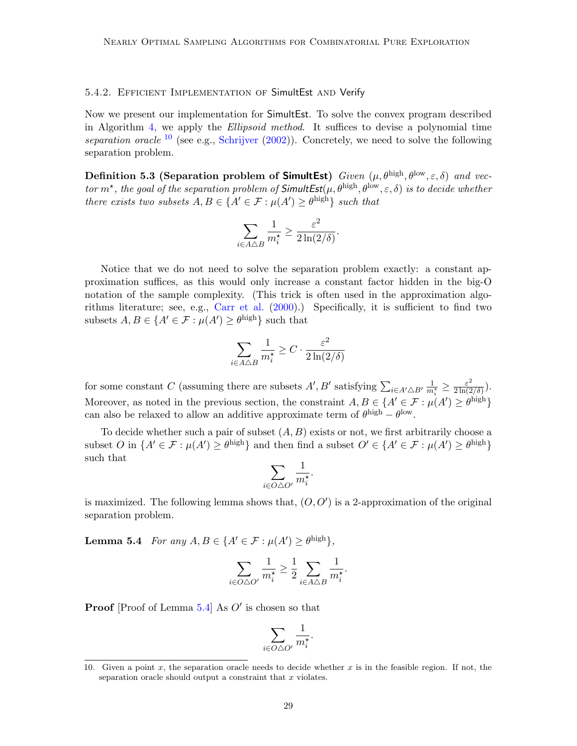### 5.4.2. Efficient Implementation of SimultEst and Verify

Now we present our implementation for SimultEst. To solve the convex program described in Algorithm [4,](#page-24-0) we apply the Ellipsoid method. It suffices to devise a polynomial time separation oracle  $^{10}$  $^{10}$  $^{10}$  (see e.g., [Schrijver](#page-39-16) [\(2002\)](#page-39-16)). Concretely, we need to solve the following separation problem.

Definition 5.3 (Separation problem of SimultEst) Given  $(\mu, \theta^{\text{high}}, \theta^{\text{low}}, \varepsilon, \delta)$  and vector  $m^*$ , the goal of the separation problem of  $SimultEst(\mu, \theta^{\text{high}}, \theta^{\text{low}}, \varepsilon, \delta)$  is to decide whether there exists two subsets  $A, B \in \{A' \in \mathcal{F} : \mu(A') \geq \theta^{\text{high}}\}$  such that

$$
\sum_{i\in A\triangle B}\frac{1}{m_i^\star}\geq \frac{\varepsilon^2}{2\ln(2/\delta)}.
$$

Notice that we do not need to solve the separation problem exactly: a constant approximation suffices, as this would only increase a constant factor hidden in the big-O notation of the sample complexity. (This trick is often used in the approximation algorithms literature; see, e.g., [Carr et al.](#page-37-5) [\(2000\)](#page-37-5).) Specifically, it is sufficient to find two subsets  $A, B \in \{A' \in \mathcal{F} : \mu(A') \geq \theta^{\text{high}}\}\$  such that

$$
\sum_{i \in A \triangle B} \frac{1}{m_i^{\star}} \ge C \cdot \frac{\varepsilon^2}{2 \ln(2/\delta)}
$$

for some constant C (assuming there are subsets  $A', B'$  satisfying  $\sum_{i \in A'\triangle B'} \frac{1}{m_i^*} \ge \frac{\varepsilon^2}{2\ln(2)}$  $\frac{\varepsilon^2}{2\ln(2/\delta)}$ ). Moreover, as noted in the previous section, the constraint  $A, B \in \{A' \in \mathcal{F} : \mu(A') \geq \theta^{\text{high}}\}\$ can also be relaxed to allow an additive approximate term of  $\theta^{\text{high}} - \theta^{\text{low}}$ .

To decide whether such a pair of subset  $(A, B)$  exists or not, we first arbitrarily choose a subset O in  $\{A' \in \mathcal{F} : \mu(A') \geq \theta^{high}\}\$ and then find a subset  $O' \in \{A' \in \mathcal{F} : \mu(A') \geq \theta^{high}\}\$ such that

$$
\sum_{i\in O\triangle O'}\frac{1}{m_i^\star}.
$$

is maximized. The following lemma shows that,  $(O, O')$  is a 2-approximation of the original separation problem.

**Lemma 5.4** For any  $A, B \in \{A' \in \mathcal{F} : \mu(A') \geq \theta^{\text{high}}\},\$ 

<span id="page-28-1"></span>
$$
\sum_{i \in O \triangle O'} \frac{1}{m_i^{\star}} \ge \frac{1}{2} \sum_{i \in A \triangle B} \frac{1}{m_i^{\star}}.
$$

**Proof** [Proof of Lemma  $5.4$ ] As  $O'$  is chosen so that

$$
\sum_{i\in O\triangle O'}\frac{1}{m_i^\star}.
$$

<span id="page-28-0"></span><sup>10.</sup> Given a point x, the separation oracle needs to decide whether x is in the feasible region. If not, the separation oracle should output a constraint that  $x$  violates.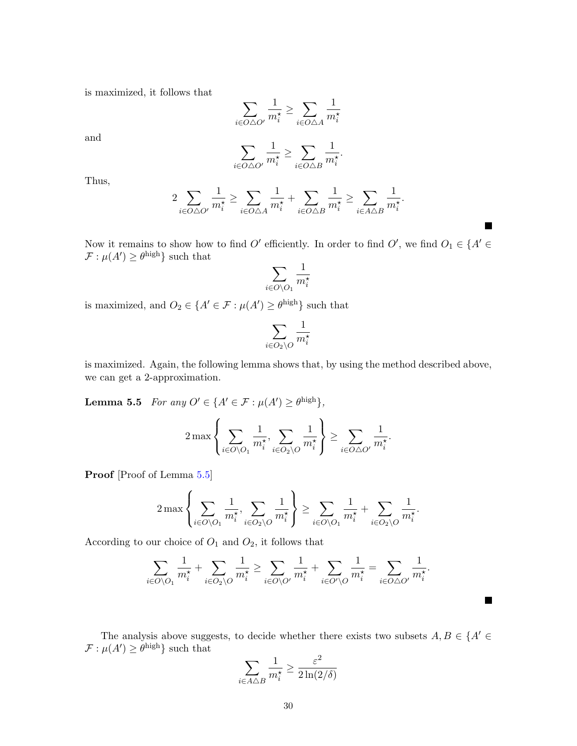is maximized, it follows that

$$
\sum_{i \in O \triangle O'} \frac{1}{m_i^*} \ge \sum_{i \in O \triangle A} \frac{1}{m_i^*}
$$

and

$$
\sum_{i \in O \triangle O'} \frac{1}{m^{\star}_i} \ge \sum_{i \in O \triangle B} \frac{1}{m^{\star}_i}
$$

.

 $\blacksquare$ 

П

Thus,

$$
2\sum_{i\in O\triangle O'}\frac{1}{m^{\star}_i}\geq \sum_{i\in O\triangle A}\frac{1}{m^{\star}_i}+\sum_{i\in O\triangle B}\frac{1}{m^{\star}_i}\geq \sum_{i\in A\triangle B}\frac{1}{m^{\star}_i}.
$$

Now it remains to show how to find  $O'$  efficiently. In order to find  $O'$ , we find  $O_1 \in \{A' \in$  $\mathcal{F}: \mu(A') \geq \theta^{\text{high}}\}$  such that

$$
\sum_{i \in O \setminus O_1} \frac{1}{m_i^\star}
$$

is maximized, and  $O_2 \in \{A' \in \mathcal{F} : \mu(A') \geq \theta^{\text{high}}\}$  such that

<span id="page-29-0"></span>
$$
\sum_{i\in O_2\backslash O}\frac{1}{m_i^\star}
$$

is maximized. Again, the following lemma shows that, by using the method described above, we can get a 2-approximation.

**Lemma 5.5** For any  $O' \in \{A' \in \mathcal{F} : \mu(A') \geq \theta^{\text{high}}\},\$ 

$$
2\max\left\{\sum_{i\in O\backslash O_1}\frac{1}{m_i^\star},\sum_{i\in O_2\backslash O}\frac{1}{m_i^\star}\right\}\geq \sum_{i\in O\triangle O'}\frac{1}{m_i^\star}.
$$

**Proof** [Proof of Lemma [5.5\]](#page-29-0)

$$
2\max\left\{\sum_{i\in O\setminus O_1}\frac{1}{m_i^\star},\sum_{i\in O_2\setminus O}\frac{1}{m_i^\star}\right\}\geq \sum_{i\in O\setminus O_1}\frac{1}{m_i^\star}+\sum_{i\in O_2\setminus O}\frac{1}{m_i^\star}.
$$

According to our choice of  $O_1$  and  $O_2$ , it follows that

$$
\sum_{i \in O \setminus O_1} \frac{1}{m_i^{\star}} + \sum_{i \in O_2 \setminus O} \frac{1}{m_i^{\star}} \ge \sum_{i \in O \setminus O'} \frac{1}{m_i^{\star}} + \sum_{i \in O' \setminus O} \frac{1}{m_i^{\star}} = \sum_{i \in O \bigtriangleup O'} \frac{1}{m_i^{\star}}.
$$

The analysis above suggests, to decide whether there exists two subsets  $A, B \in \{A' \in \mathbb{R}\}$  $\mathcal{F}: \mu(A') \geq \theta^{\text{high}}$  such that

$$
\sum_{i \in A \triangle B} \frac{1}{m_i^{\star}} \ge \frac{\varepsilon^2}{2\ln(2/\delta)}
$$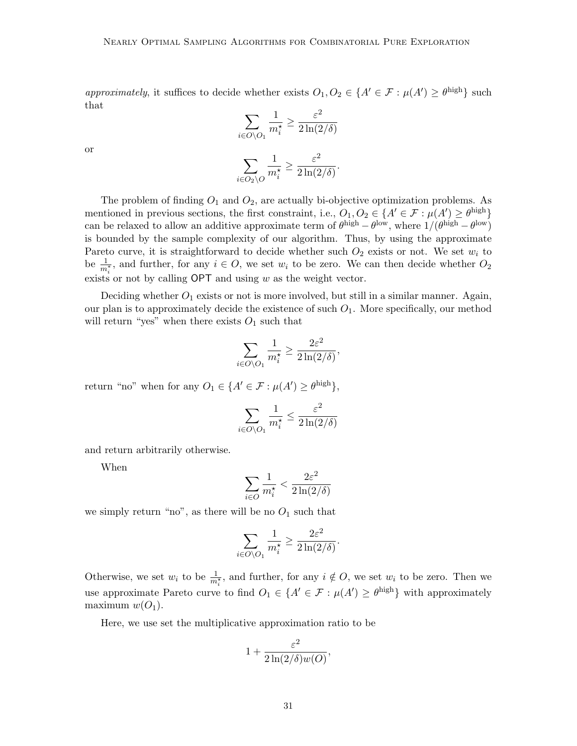approximately, it suffices to decide whether exists  $O_1, O_2 \in \{A' \in \mathcal{F} : \mu(A') \geq \theta^{\text{high}}\}\$  such that

$$
\sum_{i \in O \setminus O_1} \frac{1}{m_i^{\star}} \ge \frac{\varepsilon^2}{2 \ln(2/\delta)}
$$

$$
\sum_{i \in O_2 \setminus O} \frac{1}{m_i^{\star}} \ge \frac{\varepsilon^2}{2 \ln(2/\delta)}.
$$

or

The problem of finding  $O_1$  and  $O_2$ , are actually bi-objective optimization problems. As mentioned in previous sections, the first constraint, i.e.,  $O_1, O_2 \in \{A' \in \mathcal{F} : \mu(A') \geq \theta^{\text{high}}\}\$ can be relaxed to allow an additive approximate term of  $\theta^{\text{high}} - \theta^{\text{low}}$ , where  $1/(\theta^{\text{high}} - \theta^{\text{low}})$ is bounded by the sample complexity of our algorithm. Thus, by using the approximate Pareto curve, it is straightforward to decide whether such  $O_2$  exists or not. We set  $w_i$  to be  $\frac{1}{m_i^*}$ , and further, for any  $i \in O$ , we set  $w_i$  to be zero. We can then decide whether  $O_2$ exists or not by calling  $\mathsf{OPT}$  and using w as the weight vector.

Deciding whether  $O_1$  exists or not is more involved, but still in a similar manner. Again, our plan is to approximately decide the existence of such  $O_1$ . More specifically, our method will return "yes" when there exists  $O_1$  such that

$$
\sum_{i \in O\setminus O_1} \frac{1}{m_i^*} \ge \frac{2\varepsilon^2}{2\ln(2/\delta)},
$$

return "no" when for any  $O_1 \in \{A' \in \mathcal{F} : \mu(A') \geq \theta^{\text{high}}\},\$ 

$$
\sum_{i \in O\backslash O_1} \frac{1}{m_i^\star} \leq \frac{\varepsilon^2}{2\ln(2/\delta)}
$$

and return arbitrarily otherwise.

When

$$
\sum_{i \in O} \frac{1}{m_i^\star} < \frac{2\varepsilon^2}{2\ln(2/\delta)}
$$

we simply return "no", as there will be no  $O_1$  such that

$$
\sum_{i \in O\setminus O_1} \frac{1}{m_i^{\star}} \ge \frac{2\varepsilon^2}{2\ln(2/\delta)}.
$$

Otherwise, we set  $w_i$  to be  $\frac{1}{m_i^*}$ , and further, for any  $i \notin O$ , we set  $w_i$  to be zero. Then we use approximate Pareto curve to find  $O_1 \in \{A' \in \mathcal{F} : \mu(A') \geq \theta^{\text{high}}\}\$  with approximately maximum  $w(O_1)$ .

Here, we use set the multiplicative approximation ratio to be

$$
1+\frac{\varepsilon^2}{2\ln(2/\delta)w(O)},
$$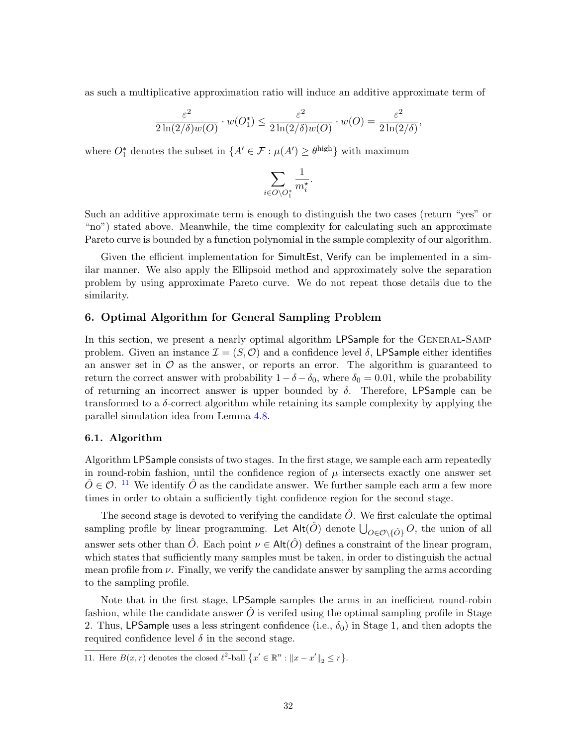as such a multiplicative approximation ratio will induce an additive approximate term of

$$
\frac{\varepsilon^2}{2\ln(2/\delta)w(O)} \cdot w(O_1^*) \le \frac{\varepsilon^2}{2\ln(2/\delta)w(O)} \cdot w(O) = \frac{\varepsilon^2}{2\ln(2/\delta)},
$$

where  $O_1^*$  denotes the subset in  $\{A' \in \mathcal{F} : \mu(A') \geq \theta^{\text{high}}\}$  with maximum

$$
\sum_{i\in O\backslash O^*_1}\frac{1}{m_i^\star}.
$$

Such an additive approximate term is enough to distinguish the two cases (return "yes" or "no") stated above. Meanwhile, the time complexity for calculating such an approximate Pareto curve is bounded by a function polynomial in the sample complexity of our algorithm.

Given the efficient implementation for SimultEst, Verify can be implemented in a similar manner. We also apply the Ellipsoid method and approximately solve the separation problem by using approximate Pareto curve. We do not repeat those details due to the similarity.

## <span id="page-31-1"></span>6. Optimal Algorithm for General Sampling Problem

In this section, we present a nearly optimal algorithm LPSample for the General-Samp problem. Given an instance  $\mathcal{I} = (S, \mathcal{O})$  and a confidence level  $\delta$ , LPSample either identifies an answer set in  $\mathcal O$  as the answer, or reports an error. The algorithm is guaranteed to return the correct answer with probability  $1 - \delta - \delta_0$ , where  $\delta_0 = 0.01$ , while the probability of returning an incorrect answer is upper bounded by  $\delta$ . Therefore, LPSample can be transformed to a  $\delta$ -correct algorithm while retaining its sample complexity by applying the parallel simulation idea from Lemma [4.8.](#page-22-2)

### 6.1. Algorithm

Algorithm LPSample consists of two stages. In the first stage, we sample each arm repeatedly in round-robin fashion, until the confidence region of  $\mu$  intersects exactly one answer set  $\hat{O} \in \mathcal{O}$ . <sup>[11](#page-31-0)</sup> We identify  $\hat{O}$  as the candidate answer. We further sample each arm a few more times in order to obtain a sufficiently tight confidence region for the second stage.

The second stage is devoted to verifying the candidate  $\hat{O}$ . We first calculate the optimal sampling profile by linear programming. Let  $\mathsf{Alt}(\hat{O})$  denote  $\bigcup_{O \in \mathcal{O} \setminus \{\hat{O}\}} O$ , the union of all answer sets other than  $\hat{O}$ . Each point  $\nu \in \mathsf{Alt}(\hat{O})$  defines a constraint of the linear program, which states that sufficiently many samples must be taken, in order to distinguish the actual mean profile from  $\nu$ . Finally, we verify the candidate answer by sampling the arms according to the sampling profile.

Note that in the first stage, LPSample samples the arms in an inefficient round-robin fashion, while the candidate answer  $\hat{O}$  is verifed using the optimal sampling profile in Stage 2. Thus, LPSample uses a less stringent confidence (i.e.,  $\delta_0$ ) in Stage 1, and then adopts the required confidence level  $\delta$  in the second stage.

<span id="page-31-0"></span>11. Here  $B(x, r)$  denotes the closed  $\ell^2$ -ball  $\{x' \in \mathbb{R}^n : ||x - x'||_2 \le r\}$ .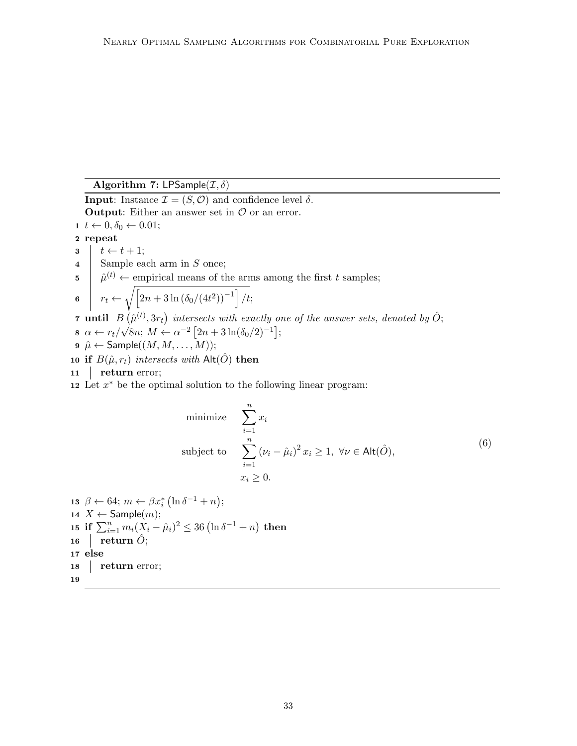Algorithm 7: LPSample( $\mathcal{I}, \delta$ )

**Input:** Instance  $\mathcal{I} = (S, \mathcal{O})$  and confidence level  $\delta$ . **Output:** Either an answer set in  $\mathcal{O}$  or an error.  $1 \ t \leftarrow 0, \delta_0 \leftarrow 0.01;$ 2 repeat  $3 \mid t \leftarrow t + 1;$ 4 Sample each arm in S once;  $5 \mid \hat{\mu}^{(t)} \leftarrow$  empirical means of the arms among the first t samples; 6  $r_t \leftarrow \sqrt{\left[2n + 3\ln(\delta_0/(4t^2))^{-1}\right]/t};$ **7** until  $B(\hat{\mu}^{(t)}, 3r_t)$  intersects with exactly one of the answer sets, denoted by  $\hat{O}$ ;  $8 \ \alpha \leftarrow r_t/\sqrt{8n}; M \leftarrow \alpha^{-2} [2n + 3\ln(\delta_0/2)^{-1}];$  $\mathfrak{g} \hat{\mu} \leftarrow \mathsf{Sample}((M, M, \ldots, M));$ 10 if  $B(\hat{\mu}, r_t)$  intersects with Alt $(\hat{O})$  then 11 **return error**;

<span id="page-32-0"></span>12 Let  $x^*$  be the optimal solution to the following linear program:

minimize 
$$
\sum_{i=1}^{n} x_i
$$
  
subject to 
$$
\sum_{i=1}^{n} (\nu_i - \hat{\mu}_i)^2 x_i \ge 1, \ \forall \nu \in \text{Alt}(\hat{O}),
$$

$$
x_i \ge 0.
$$
 (6)

13  $\beta \leftarrow 64; m \leftarrow \beta x_i^* (\ln \delta^{-1} + n);$ 14  $X \leftarrow$  Sample $(m)$ ; 15 if  $\sum_{i=1}^n m_i (X_i - \hat{\mu}_i)^2 \leq 36 (\ln \delta^{-1} + n)$  then 16 | return  $\hat{O}$ ; 17 else 18 **return error;** 19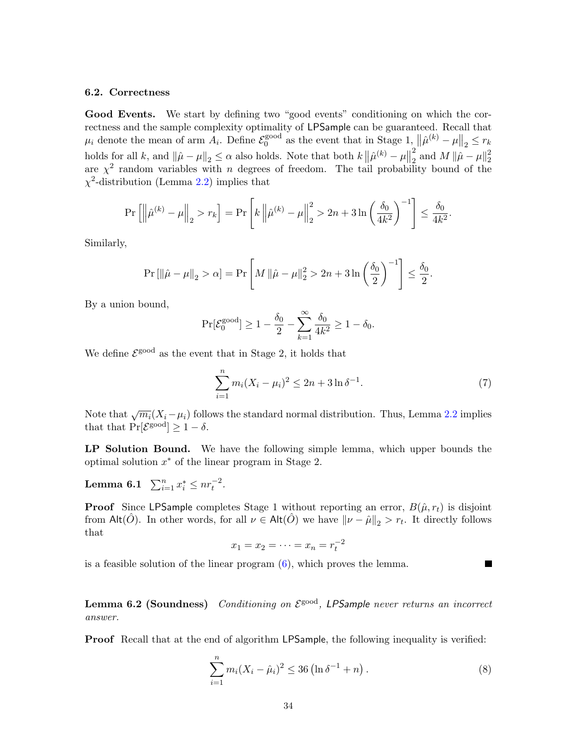### 6.2. Correctness

Good Events. We start by defining two "good events" conditioning on which the correctness and the sample complexity optimality of LPSample can be guaranteed. Recall that  $\mu_i$  denote the mean of arm  $A_i$ . Define  $\mathcal{E}_0^{\text{good}}$ <sup>good</sup> as the event that in Stage 1,  $\|\hat{\mu}^{(k)} - \mu\|_2 \leq r_k$ holds for all k, and  $\|\hat{\mu} - \mu\|_2 \leq \alpha$  also holds. Note that both  $k \|\hat{\mu}^{(k)} - \mu\|_2$ 2  $\frac{2}{2}$  and  $M \|\hat{\mu} - \mu\|_2^2$ 2 are  $\chi^2$  random variables with *n* degrees of freedom. The tail probability bound of the  $\chi^2$ -distribution (Lemma [2.2\)](#page-11-2) implies that

$$
\Pr\left[\left\|\hat{\mu}^{(k)} - \mu\right\|_2 > r_k\right] = \Pr\left[k\left\|\hat{\mu}^{(k)} - \mu\right\|_2^2 > 2n + 3\ln\left(\frac{\delta_0}{4k^2}\right)^{-1}\right] \le \frac{\delta_0}{4k^2}.
$$

Similarly,

$$
\Pr\left[\left\|\hat{\mu} - \mu\right\|_2 > \alpha\right] = \Pr\left[M\left\|\hat{\mu} - \mu\right\|_2^2 > 2n + 3\ln\left(\frac{\delta_0}{2}\right)^{-1}\right] \le \frac{\delta_0}{2}.
$$

By a union bound,

$$
\Pr[\mathcal{E}_0^{\text{good}}] \ge 1 - \frac{\delta_0}{2} - \sum_{k=1}^{\infty} \frac{\delta_0}{4k^2} \ge 1 - \delta_0.
$$

We define  $\mathcal{E}^{\text{good}}$  as the event that in Stage 2, it holds that

<span id="page-33-1"></span>
$$
\sum_{i=1}^{n} m_i (X_i - \mu_i)^2 \le 2n + 3 \ln \delta^{-1}.
$$
 (7)

Note that  $\sqrt{m_i}(X_i-\mu_i)$  follows the standard normal distribution. Thus, Lemma [2.2](#page-11-2) implies that that  $Pr[\mathcal{E}^{\text{good}}] \geq 1 - \delta$ .

LP Solution Bound. We have the following simple lemma, which upper bounds the optimal solution  $x^*$  of the linear program in Stage 2.

<span id="page-33-3"></span>Lemma 6.1  $\sum_{i=1}^{n} x_i^* \leq nr_t^{-2}$ .

**Proof** Since LPSample completes Stage 1 without reporting an error,  $B(\hat{\mu}, r_t)$  is disjoint from Alt $(\hat{O})$ . In other words, for all  $\nu \in \mathsf{Alt}(\hat{O})$  we have  $\|\nu - \hat{\mu}\|_2 > r_t$ . It directly follows that

$$
x_1 = x_2 = \dots = x_n = r_t^{-2}
$$

is a feasible solution of the linear program [\(6\)](#page-32-0), which proves the lemma.

<span id="page-33-2"></span>**Lemma 6.2 (Soundness)** Conditioning on  $\mathcal{E}^{\text{good}}$ , LPSample never returns an incorrect answer.

Proof Recall that at the end of algorithm LPSample, the following inequality is verified:

<span id="page-33-0"></span>
$$
\sum_{i=1}^{n} m_i (X_i - \hat{\mu}_i)^2 \le 36 \left( \ln \delta^{-1} + n \right).
$$
 (8)

ш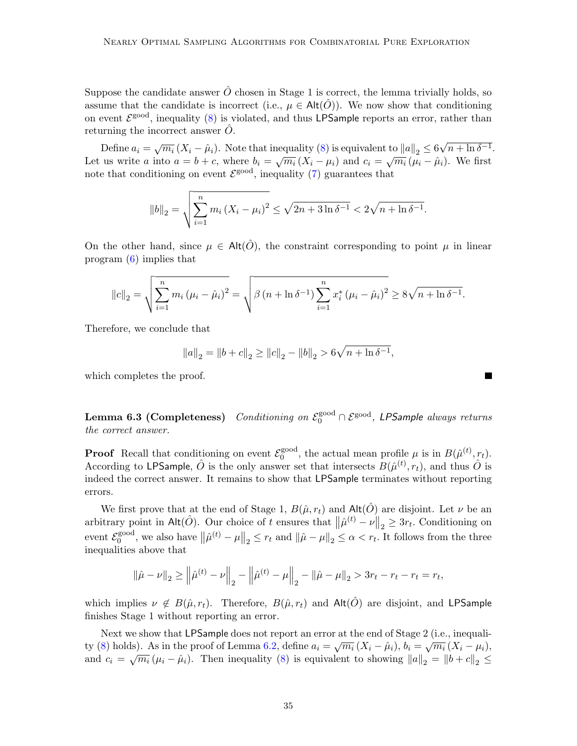Suppose the candidate answer  $\hat{O}$  chosen in Stage 1 is correct, the lemma trivially holds, so assume that the candidate is incorrect (i.e.,  $\mu \in \text{Alt}(\hat{O})$ ). We now show that conditioning on event  $\mathcal{E}^{\text{good}}$ , inequality [\(8\)](#page-33-0) is violated, and thus LPSample reports an error, rather than returning the incorrect answer  $\hat{O}$ .

Define  $a_i = \sqrt{m_i} (X_i - \hat{\mu}_i)$ . Note that inequality [\(8\)](#page-33-0) is equivalent to  $||a||_2 \leq 6\sqrt{2}$  $n + \ln \delta^{-1}$ . Let us write a into  $a = b + c$ , where  $b_i = \sqrt{m_i} (X_i - \mu_i)$  and  $c_i = \sqrt{m_i} (\mu_i - \hat{\mu}_i)$ . We first note that conditioning on event  $\mathcal{E}^{\text{good}}$ , inequality [\(7\)](#page-33-1) guarantees that

$$
||b||_2 = \sqrt{\sum_{i=1}^{n} m_i (X_i - \mu_i)^2} \le \sqrt{2n + 3\ln \delta^{-1}} < 2\sqrt{n + \ln \delta^{-1}}.
$$

On the other hand, since  $\mu \in \text{Alt}(\hat{O})$ , the constraint corresponding to point  $\mu$  in linear program [\(6\)](#page-32-0) implies that

$$
||c||_2 = \sqrt{\sum_{i=1}^n m_i (\mu_i - \hat{\mu}_i)^2} = \sqrt{\beta (n + \ln \delta^{-1}) \sum_{i=1}^n x_i^* (\mu_i - \hat{\mu}_i)^2} \ge 8\sqrt{n + \ln \delta^{-1}}.
$$

Therefore, we conclude that

$$
||a||_2 = ||b + c||_2 \ge ||c||_2 - ||b||_2 > 6\sqrt{n + \ln \delta^{-1}},
$$

which completes the proof.

<span id="page-34-0"></span>Lemma 6.3 (Completeness) Conditioning on  $\mathcal{E}^\mathrm{good}_0 \cap \mathcal{E}^\mathrm{good},$  LPSample always returns the correct answer.

**Proof** Recall that conditioning on event  $\mathcal{E}_0^{\text{good}}$  $\hat{\theta}_0^{\text{good}}$ , the actual mean profile  $\mu$  is in  $B(\hat{\mu}^{(t)}, r_t)$ . According to LPSample,  $\hat{O}$  is the only answer set that intersects  $B(\hat{\mu}^{(t)}, r_t)$ , and thus  $\hat{O}$  is indeed the correct answer. It remains to show that LPSample terminates without reporting errors.

We first prove that at the end of Stage 1,  $B(\hat{\mu}, r_t)$  and  $\mathsf{Alt}(\hat{O})$  are disjoint. Let  $\nu$  be an arbitrary point in Alt $(\hat{O})$ . Our choice of t ensures that  $\|\hat{\mu}^{(t)} - \nu\|_2 \geq 3r_t$ . Conditioning on event  $\mathcal{E}_0^{\text{good}}$ <sup>good</sup>, we also have  $\|\hat{\mu}^{(t)} - \mu\|_2 \le r_t$  and  $\|\hat{\mu} - \mu\|_2 \le \alpha < r_t$ . It follows from the three inequalities above that

$$
\|\hat{\mu} - \nu\|_2 \ge \left\|\hat{\mu}^{(t)} - \nu\right\|_2 - \left\|\hat{\mu}^{(t)} - \mu\right\|_2 - \|\hat{\mu} - \mu\|_2 > 3r_t - r_t - r_t = r_t,
$$

which implies  $\nu \notin B(\hat{\mu}, r_t)$ . Therefore,  $B(\hat{\mu}, r_t)$  and  $\mathsf{Alt}(\hat{O})$  are disjoint, and LPSample finishes Stage 1 without reporting an error.

Next we show that LPSample does not report an error at the end of Stage 2 (i.e., inequali-ty [\(8\)](#page-33-0) holds). As in the proof of Lemma [6.2,](#page-33-2) define  $a_i = \sqrt{m_i} (X_i - \hat{\mu}_i)$ ,  $b_i = \sqrt{m_i} (X_i - \mu_i)$ , and  $c_i = \sqrt{m_i} (\mu_i - \hat{\mu}_i)$ . Then inequality [\(8\)](#page-33-0) is equivalent to showing  $||a||_2 = ||b + c||_2 \le$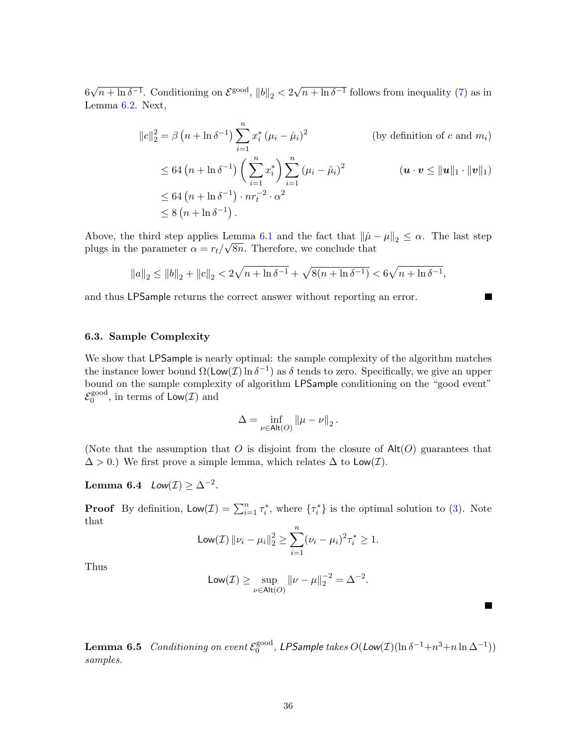6 √  $n + \ln \delta^{-1}$ . Conditioning on  $\mathcal{E}^{\text{good}}$ ,  $||b||_2 < 2$ √  $n + \ln \delta^{-1}$  follows from inequality [\(7\)](#page-33-1) as in Lemma [6.2.](#page-33-2) Next,

$$
||c||_2^2 = \beta (n + \ln \delta^{-1}) \sum_{i=1}^n x_i^* (\mu_i - \hat{\mu}_i)^2
$$
 (by definition of *c* and *m<sub>i</sub>*)  
\n
$$
\leq 64 (n + \ln \delta^{-1}) \left( \sum_{i=1}^n x_i^* \right) \sum_{i=1}^n (\mu_i - \hat{\mu}_i)^2
$$
 (*u* · *v*  $\leq ||\mathbf{u}||_1 \cdot ||\mathbf{v}||_1$ )  
\n
$$
\leq 64 (n + \ln \delta^{-1}) \cdot nr_i^{-2} \cdot \alpha^2
$$
  
\n
$$
\leq 8 (n + \ln \delta^{-1}).
$$

ш

 $\blacksquare$ 

Above, the third step applies Lemma [6.1](#page-33-3) and the fact that  $\|\hat{\mu} - \mu\|_2 \leq \alpha$ . The last step plugs in the parameter  $\alpha = r_t/\sqrt{8n}$ . Therefore, we conclude that

$$
||a||_2 \le ||b||_2 + ||c||_2 < 2\sqrt{n + \ln \delta^{-1}} + \sqrt{8(n + \ln \delta^{-1})} < 6\sqrt{n + \ln \delta^{-1}},
$$

and thus LPSample returns the correct answer without reporting an error.

### 6.3. Sample Complexity

We show that LPSample is nearly optimal: the sample complexity of the algorithm matches the instance lower bound  $\Omega(\textsf{Low}(\mathcal{I}) \ln \delta^{-1})$  as  $\delta$  tends to zero. Specifically, we give an upper bound on the sample complexity of algorithm LPSample conditioning on the "good event"  $\mathcal{E}_0^{\text{good}}$  $0^{\text{good}}$ , in terms of  $\text{Low}(\mathcal{I})$  and

$$
\Delta = \inf_{\nu \in \mathsf{Alt}(O)} \left\| \mu - \nu \right\|_2.
$$

(Note that the assumption that O is disjoint from the closure of  $\text{Alt}(O)$  guarantees that  $\Delta > 0$ .) We first prove a simple lemma, which relates  $\Delta$  to  $\mathsf{Low}(\mathcal{I})$ .

<span id="page-35-0"></span>Lemma 6.4  $Low(\mathcal{I}) \geq \Delta^{-2}$ .

**Proof** By definition,  $\text{Low}(\mathcal{I}) = \sum_{i=1}^{n} \tau_i^*$ , where  $\{\tau_i^*\}$  is the optimal solution to [\(3\)](#page-14-0). Note that

$$
Low(\mathcal{I}) \left\| \nu_i - \mu_i \right\|_2^2 \ge \sum_{i=1}^n (\nu_i - \mu_i)^2 \tau_i^* \ge 1.
$$

Thus

$$
\mathsf{Low}(\mathcal{I}) \geq \sup_{\nu \in \mathsf{Alt}(O)} \|\nu - \mu\|_2^{-2} = \Delta^{-2}.
$$

<span id="page-35-1"></span>**Lemma 6.5** Conditioning on event  $\mathcal{E}_0^{\text{good}}$  $_{0}^{\text{good}},$  LPSample takes  $O(\text{Low}(\mathcal{I})(\ln \delta^{-1} + n^3 + n \ln \Delta^{-1}))$ samples.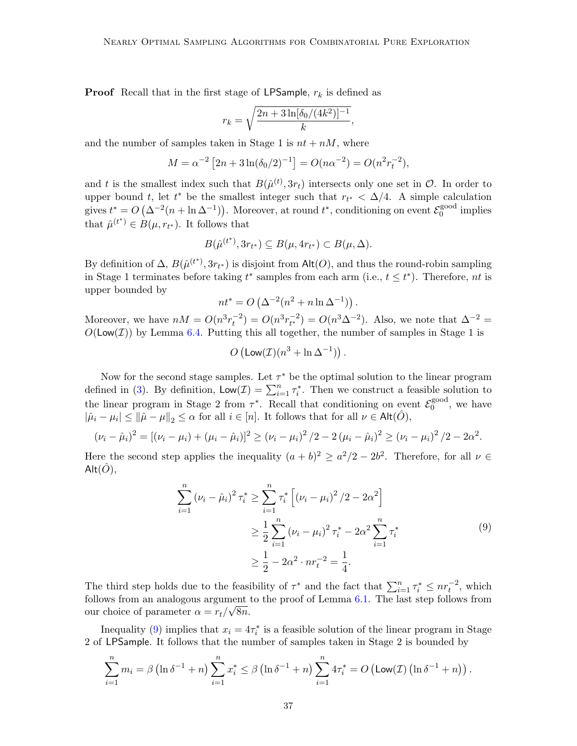**Proof** Recall that in the first stage of LPSample,  $r_k$  is defined as

$$
r_k = \sqrt{\frac{2n + 3\ln[\delta_0/(4k^2)]^{-1}}{k}},
$$

and the number of samples taken in Stage 1 is  $nt + nM$ , where

$$
M = \alpha^{-2} \left[ 2n + 3 \ln(\delta_0/2)^{-1} \right] = O(n\alpha^{-2}) = O(n^2 r_t^{-2}),
$$

and t is the smallest index such that  $B(\hat{\mu}^{(t)}, 3r_t)$  intersects only one set in  $\mathcal{O}$ . In order to upper bound t, let t<sup>\*</sup> be the smallest integer such that  $r_{t^*} < \Delta/4$ . A simple calculation gives  $t^* = O\left(\Delta^{-2}(n + \ln \Delta^{-1})\right)$ . Moreover, at round  $t^*$ , conditioning on event  $\mathcal{E}_0^{\text{good}}$ <sup>good</sup> implies that  $\hat{\mu}^{(t^*)} \in B(\mu, r_{t^*})$ . It follows that

$$
B(\hat{\mu}^{(t^*)}, 3r_{t^*}) \subseteq B(\mu, 4r_{t^*}) \subset B(\mu, \Delta).
$$

By definition of  $\Delta$ ,  $B(\hat{\mu}^{(t^*)}, 3r_{t^*})$  is disjoint from Alt $(O)$ , and thus the round-robin sampling in Stage 1 terminates before taking  $t^*$  samples from each arm (i.e.,  $t \leq t^*$ ). Therefore, nt is upper bounded by

$$
nt^* = O\left(\Delta^{-2}(n^2 + n \ln \Delta^{-1})\right).
$$

Moreover, we have  $nM = O(n^3 r_t^{-2}) = O(n^3 r_{t^*}^{-2}) = O(n^3 \Delta^{-2})$ . Also, we note that  $\Delta^{-2} =$  $O(\textsf{Low}(\mathcal{I}))$  by Lemma [6.4.](#page-35-0) Putting this all together, the number of samples in Stage 1 is

$$
O\left(\text{Low}(\mathcal{I})(n^3 + \ln \Delta^{-1})\right).
$$

Now for the second stage samples. Let  $\tau^*$  be the optimal solution to the linear program defined in [\(3\)](#page-14-0). By definition,  $\mathsf{Low}(\mathcal{I}) = \sum_{i=1}^{n} \tau_i^*$ . Then we construct a feasible solution to the linear program in Stage 2 from  $\tau^*$ . Recall that conditioning on event  $\mathcal{E}_0^{\text{good}}$  $_0^{\text{good}}$ , we have  $|\hat{\mu}_i - \mu_i| \le ||\hat{\mu} - \mu||_2 \le \alpha$  for all  $i \in [n]$ . It follows that for all  $\nu \in \mathsf{Alt}(\hat{O}),$ 

$$
(\nu_i - \hat{\mu}_i)^2 = [(\nu_i - \mu_i) + (\mu_i - \hat{\mu}_i)]^2 \ge (\nu_i - \mu_i)^2 / 2 - 2 (\mu_i - \hat{\mu}_i)^2 \ge (\nu_i - \mu_i)^2 / 2 - 2\alpha^2.
$$

Here the second step applies the inequality  $(a + b)^2 \ge a^2/2 - 2b^2$ . Therefore, for all  $\nu \in$  $Alt(\ddot{O}),$ 

$$
\sum_{i=1}^{n} (\nu_i - \hat{\mu}_i)^2 \tau_i^* \ge \sum_{i=1}^{n} \tau_i^* \left[ (\nu_i - \mu_i)^2 / 2 - 2\alpha^2 \right]
$$
  

$$
\ge \frac{1}{2} \sum_{i=1}^{n} (\nu_i - \mu_i)^2 \tau_i^* - 2\alpha^2 \sum_{i=1}^{n} \tau_i^*
$$
  

$$
\ge \frac{1}{2} - 2\alpha^2 \cdot n \tau_i^{-2} = \frac{1}{4}.
$$
 (9)

<span id="page-36-0"></span>The third step holds due to the feasibility of  $\tau^*$  and the fact that  $\sum_{i=1}^n \tau_i^* \leq nr_t^{-2}$ , which follows from an analogous argument to the proof of Lemma [6.1.](#page-33-3) The last step follows from our choice of parameter  $\alpha = r_t/\sqrt{8n}$ .

Inequality [\(9\)](#page-36-0) implies that  $x_i = 4\tau_i^*$  is a feasible solution of the linear program in Stage 2 of LPSample. It follows that the number of samples taken in Stage 2 is bounded by

$$
\sum_{i=1}^{n} m_i = \beta \left( \ln \delta^{-1} + n \right) \sum_{i=1}^{n} x_i^* \le \beta \left( \ln \delta^{-1} + n \right) \sum_{i=1}^{n} 4\tau_i^* = O \left( \text{Low}(\mathcal{I}) \left( \ln \delta^{-1} + n \right) \right).
$$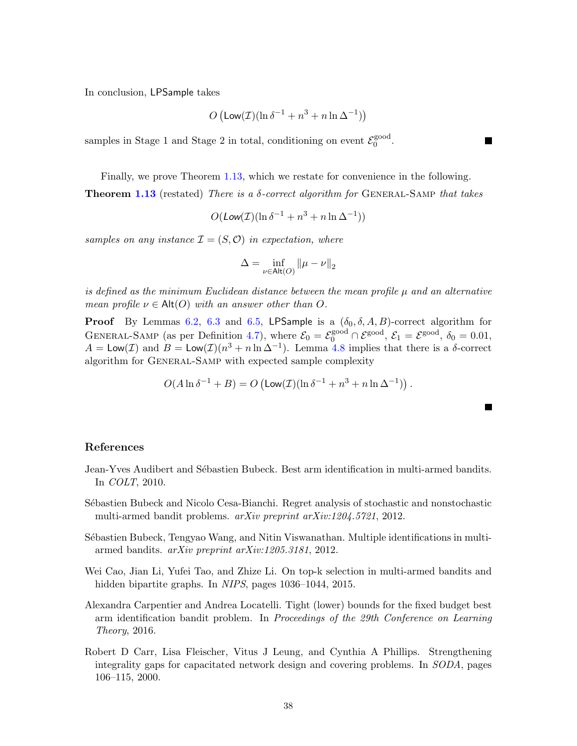In conclusion, LPSample takes

$$
O\left(\text{Low}(\mathcal{I})(\ln \delta^{-1} + n^3 + n \ln \Delta^{-1})\right)
$$

samples in Stage 1 and Stage 2 in total, conditioning on event  $\mathcal{E}_0^{\text{good}}$ gooa<br>0

Finally, we prove Theorem [1.13,](#page-7-4) which we restate for convenience in the following. **Theorem [1.13](#page-7-4)** (restated) There is a  $\delta$ -correct algorithm for GENERAL-SAMP that takes

$$
O(\text{Low}(\mathcal{I})(\ln \delta^{-1} + n^3 + n \ln \Delta^{-1}))
$$

samples on any instance  $\mathcal{I} = (S, \mathcal{O})$  in expectation, where

$$
\Delta = \inf_{\nu \in \mathsf{Alt}(O)} \|\mu - \nu\|_2
$$

is defined as the minimum Euclidean distance between the mean profile  $\mu$  and an alternative mean profile  $\nu \in \mathsf{Alt}(O)$  with an answer other than O.

**Proof** By Lemmas [6.2,](#page-33-2) [6.3](#page-34-0) and [6.5,](#page-35-1) LPSample is a  $(\delta_0, \delta, A, B)$ -correct algorithm for GENERAL-SAMP (as per Definition [4.7\)](#page-22-3), where  $\mathcal{E}_0 = \mathcal{E}_0^{\text{good}} \cap \mathcal{E}^{\text{good}}$ ,  $\mathcal{E}_1 = \mathcal{E}^{\text{good}}$ ,  $\delta_0 = 0.01$ ,  $A = \mathsf{Low}(\mathcal{I})$  and  $B = \mathsf{Low}(\mathcal{I})\left(n^3 + n \ln \Delta^{-1}\right)$ . Lemma [4.8](#page-22-2) implies that there is a  $\delta$ -correct algorithm for General-Samp with expected sample complexity

$$
O(A \ln \delta^{-1} + B) = O\left(\text{Low}(\mathcal{I})(\ln \delta^{-1} + n^3 + n \ln \Delta^{-1})\right).
$$

**The Second Service** 

### References

- <span id="page-37-2"></span>Jean-Yves Audibert and Sébastien Bubeck. Best arm identification in multi-armed bandits. In COLT, 2010.
- <span id="page-37-0"></span>Sébastien Bubeck and Nicolo Cesa-Bianchi. Regret analysis of stochastic and nonstochastic multi-armed bandit problems. arXiv preprint arXiv:1204.5721, 2012.
- <span id="page-37-4"></span>Sébastien Bubeck, Tengyao Wang, and Nitin Viswanathan. Multiple identifications in multiarmed bandits. arXiv preprint arXiv:1205.3181, 2012.
- <span id="page-37-1"></span>Wei Cao, Jian Li, Yufei Tao, and Zhize Li. On top-k selection in multi-armed bandits and hidden bipartite graphs. In NIPS, pages 1036–1044, 2015.
- <span id="page-37-3"></span>Alexandra Carpentier and Andrea Locatelli. Tight (lower) bounds for the fixed budget best arm identification bandit problem. In Proceedings of the 29th Conference on Learning Theory, 2016.
- <span id="page-37-5"></span>Robert D Carr, Lisa Fleischer, Vitus J Leung, and Cynthia A Phillips. Strengthening integrality gaps for capacitated network design and covering problems. In SODA, pages 106–115, 2000.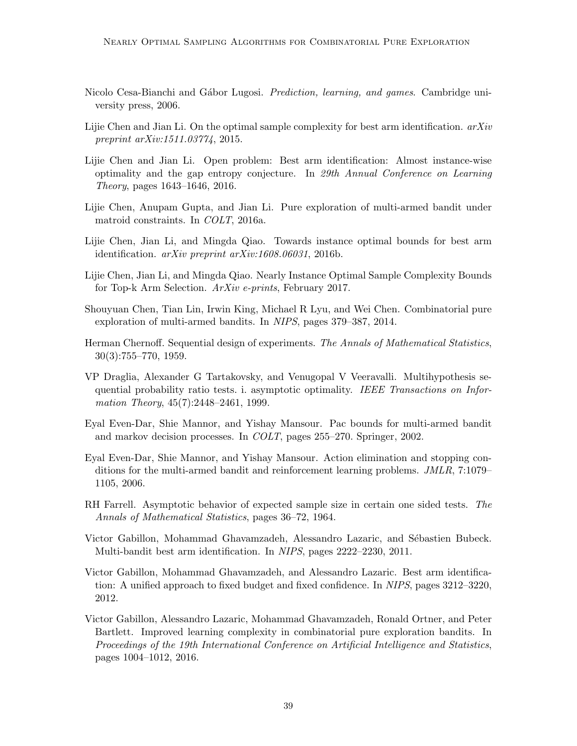- <span id="page-38-0"></span>Nicolo Cesa-Bianchi and Gábor Lugosi. *Prediction, learning, and games*. Cambridge university press, 2006.
- <span id="page-38-4"></span>Lijie Chen and Jian Li. On the optimal sample complexity for best arm identification.  $arXiv$ preprint arXiv:1511.03774, 2015.
- <span id="page-38-11"></span>Lijie Chen and Jian Li. Open problem: Best arm identification: Almost instance-wise optimality and the gap entropy conjecture. In 29th Annual Conference on Learning Theory, pages 1643–1646, 2016.
- <span id="page-38-7"></span>Lijie Chen, Anupam Gupta, and Jian Li. Pure exploration of multi-armed bandit under matroid constraints. In COLT, 2016a.
- <span id="page-38-5"></span>Lijie Chen, Jian Li, and Mingda Qiao. Towards instance optimal bounds for best arm identification. arXiv preprint arXiv:1608.06031, 2016b.
- <span id="page-38-6"></span>Lijie Chen, Jian Li, and Mingda Qiao. Nearly Instance Optimal Sample Complexity Bounds for Top-k Arm Selection. ArXiv e-prints, February 2017.
- <span id="page-38-1"></span>Shouyuan Chen, Tian Lin, Irwin King, Michael R Lyu, and Wei Chen. Combinatorial pure exploration of multi-armed bandits. In NIPS, pages 379–387, 2014.
- <span id="page-38-13"></span>Herman Chernoff. Sequential design of experiments. The Annals of Mathematical Statistics, 30(3):755–770, 1959.
- <span id="page-38-14"></span>VP Draglia, Alexander G Tartakovsky, and Venugopal V Veeravalli. Multihypothesis sequential probability ratio tests. i. asymptotic optimality. IEEE Transactions on Information Theory, 45(7):2448-2461, 1999.
- <span id="page-38-9"></span>Eyal Even-Dar, Shie Mannor, and Yishay Mansour. Pac bounds for multi-armed bandit and markov decision processes. In COLT, pages 255–270. Springer, 2002.
- <span id="page-38-2"></span>Eyal Even-Dar, Shie Mannor, and Yishay Mansour. Action elimination and stopping conditions for the multi-armed bandit and reinforcement learning problems. JMLR, 7:1079– 1105, 2006.
- <span id="page-38-10"></span>RH Farrell. Asymptotic behavior of expected sample size in certain one sided tests. The Annals of Mathematical Statistics, pages 36–72, 1964.
- <span id="page-38-12"></span>Victor Gabillon, Mohammad Ghavamzadeh, Alessandro Lazaric, and Sébastien Bubeck. Multi-bandit best arm identification. In NIPS, pages 2222–2230, 2011.
- <span id="page-38-3"></span>Victor Gabillon, Mohammad Ghavamzadeh, and Alessandro Lazaric. Best arm identification: A unified approach to fixed budget and fixed confidence. In NIPS, pages 3212–3220, 2012.
- <span id="page-38-8"></span>Victor Gabillon, Alessandro Lazaric, Mohammad Ghavamzadeh, Ronald Ortner, and Peter Bartlett. Improved learning complexity in combinatorial pure exploration bandits. In Proceedings of the 19th International Conference on Artificial Intelligence and Statistics, pages 1004–1012, 2016.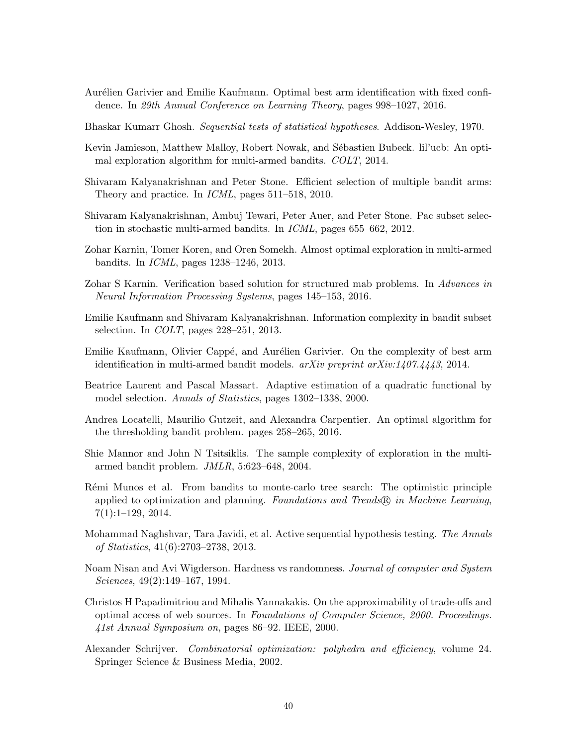- <span id="page-39-5"></span>Aurélien Garivier and Emilie Kaufmann. Optimal best arm identification with fixed confidence. In 29th Annual Conference on Learning Theory, pages 998–1027, 2016.
- <span id="page-39-15"></span>Bhaskar Kumarr Ghosh. Sequential tests of statistical hypotheses. Addison-Wesley, 1970.
- <span id="page-39-4"></span>Kevin Jamieson, Matthew Malloy, Robert Nowak, and Sébastien Bubeck. lil'ucb: An optimal exploration algorithm for multi-armed bandits. COLT, 2014.
- <span id="page-39-1"></span>Shivaram Kalyanakrishnan and Peter Stone. Efficient selection of multiple bandit arms: Theory and practice. In ICML, pages 511–518, 2010.
- <span id="page-39-2"></span>Shivaram Kalyanakrishnan, Ambuj Tewari, Peter Auer, and Peter Stone. Pac subset selection in stochastic multi-armed bandits. In ICML, pages 655–662, 2012.
- <span id="page-39-3"></span>Zohar Karnin, Tomer Koren, and Oren Somekh. Almost optimal exploration in multi-armed bandits. In ICML, pages 1238–1246, 2013.
- <span id="page-39-10"></span>Zohar S Karnin. Verification based solution for structured mab problems. In Advances in Neural Information Processing Systems, pages 145–153, 2016.
- <span id="page-39-11"></span>Emilie Kaufmann and Shivaram Kalyanakrishnan. Information complexity in bandit subset selection. In COLT, pages 228–251, 2013.
- <span id="page-39-12"></span>Emilie Kaufmann, Olivier Cappé, and Aurélien Garivier. On the complexity of best arm identification in multi-armed bandit models.  $arXiv$  preprint  $arXiv:1407.4443$ , 2014.
- <span id="page-39-14"></span>Beatrice Laurent and Pascal Massart. Adaptive estimation of a quadratic functional by model selection. Annals of Statistics, pages 1302–1338, 2000.
- <span id="page-39-7"></span>Andrea Locatelli, Maurilio Gutzeit, and Alexandra Carpentier. An optimal algorithm for the thresholding bandit problem. pages 258–265, 2016.
- <span id="page-39-0"></span>Shie Mannor and John N Tsitsiklis. The sample complexity of exploration in the multiarmed bandit problem. JMLR, 5:623–648, 2004.
- <span id="page-39-6"></span>Rémi Munos et al. From bandits to monte-carlo tree search: The optimistic principle applied to optimization and planning. Foundations and Trends $\mathcal{R}$  in Machine Learning, 7(1):1–129, 2014.
- <span id="page-39-13"></span>Mohammad Naghshvar, Tara Javidi, et al. Active sequential hypothesis testing. The Annals of Statistics, 41(6):2703–2738, 2013.
- <span id="page-39-9"></span>Noam Nisan and Avi Wigderson. Hardness vs randomness. *Journal of computer and System* Sciences, 49(2):149–167, 1994.
- <span id="page-39-8"></span>Christos H Papadimitriou and Mihalis Yannakakis. On the approximability of trade-offs and optimal access of web sources. In Foundations of Computer Science, 2000. Proceedings. 41st Annual Symposium on, pages 86–92. IEEE, 2000.
- <span id="page-39-16"></span>Alexander Schrijver. Combinatorial optimization: polyhedra and efficiency, volume 24. Springer Science & Business Media, 2002.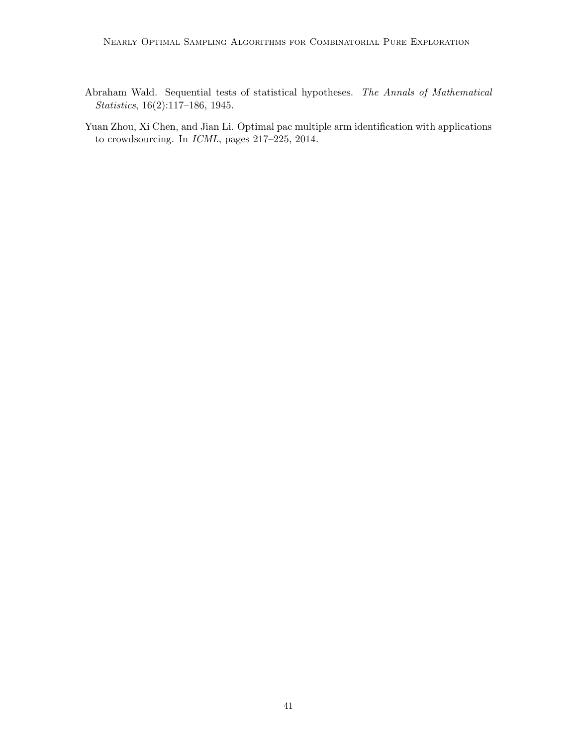- <span id="page-40-1"></span>Abraham Wald. Sequential tests of statistical hypotheses. The Annals of Mathematical Statistics, 16(2):117–186, 1945.
- <span id="page-40-0"></span>Yuan Zhou, Xi Chen, and Jian Li. Optimal pac multiple arm identification with applications to crowdsourcing. In ICML, pages 217–225, 2014.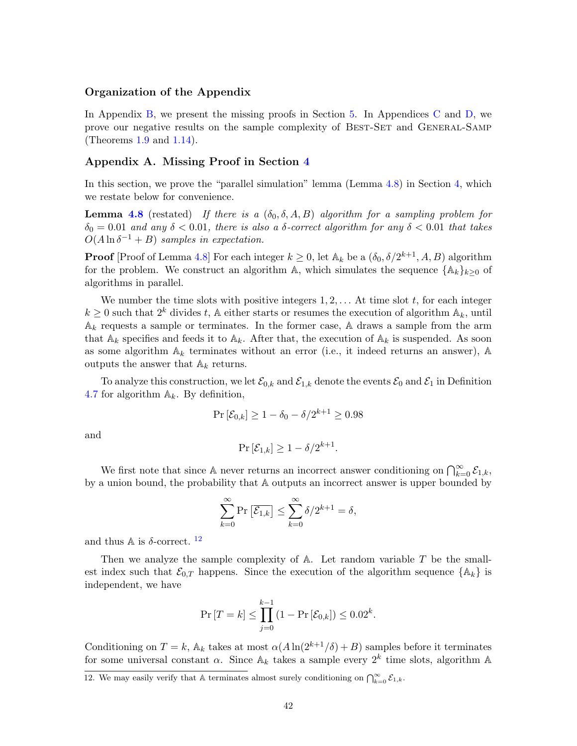### Organization of the Appendix

In Appendix [B,](#page-42-0) we present the missing proofs in Section [5.](#page-22-0) In Appendices [C](#page-47-0) and [D,](#page-52-0) we prove our negative results on the sample complexity of Best-Set and General-Samp (Theorems [1.9](#page-5-0) and [1.14\)](#page-7-0).

### <span id="page-41-0"></span>Appendix A. Missing Proof in Section [4](#page-15-1)

In this section, we prove the "parallel simulation" lemma (Lemma [4.8\)](#page-22-2) in Section [4,](#page-15-1) which we restate below for convenience.

**Lemma [4.8](#page-22-2)** (restated) If there is a  $(\delta_0, \delta, A, B)$  algorithm for a sampling problem for  $\delta_0 = 0.01$  and any  $\delta < 0.01$ , there is also a  $\delta$ -correct algorithm for any  $\delta < 0.01$  that takes  $O(A \ln \delta^{-1} + B)$  samples in expectation.

**Proof** [Proof of Lemma [4.8\]](#page-22-2) For each integer  $k \geq 0$ , let  $\mathbb{A}_k$  be a  $(\delta_0, \delta/2^{k+1}, A, B)$  algorithm for the problem. We construct an algorithm A, which simulates the sequence  $\{\mathbb{A}_k\}_{k>0}$  of algorithms in parallel.

We number the time slots with positive integers  $1, 2, \ldots$  At time slot t, for each integer  $k \geq 0$  such that  $2^k$  divides t, A either starts or resumes the execution of algorithm  $\mathbb{A}_k$ , until  $\mathbb{A}_k$  requests a sample or terminates. In the former case,  $\mathbb A$  draws a sample from the arm that  $A_k$  specifies and feeds it to  $A_k$ . After that, the execution of  $A_k$  is suspended. As soon as some algorithm  $\mathbb{A}_k$  terminates without an error (i.e., it indeed returns an answer),  $\mathbb{A}$ outputs the answer that  $A_k$  returns.

To analyze this construction, we let  $\mathcal{E}_{0,k}$  and  $\mathcal{E}_{1,k}$  denote the events  $\mathcal{E}_0$  and  $\mathcal{E}_1$  in Definition [4.7](#page-22-3) for algorithm  $\mathbb{A}_k$ . By definition,

$$
\Pr\left[\mathcal{E}_{0,k}\right] \ge 1 - \delta_0 - \delta/2^{k+1} \ge 0.98
$$

and

$$
\Pr\left[\mathcal{E}_{1,k}\right] \ge 1 - \delta/2^{k+1}.
$$

We first note that since A never returns an incorrect answer conditioning on  $\bigcap_{k=0}^{\infty} \mathcal{E}_{1,k}$ , by a union bound, the probability that A outputs an incorrect answer is upper bounded by

$$
\sum_{k=0}^{\infty} \Pr\left[\overline{\mathcal{E}_{1,k}}\right] \le \sum_{k=0}^{\infty} \delta/2^{k+1} = \delta,
$$

and thus A is  $\delta$ -correct.<sup>[12](#page-41-1)</sup>

Then we analyze the sample complexity of  $A$ . Let random variable  $T$  be the smallest index such that  $\mathcal{E}_{0,T}$  happens. Since the execution of the algorithm sequence  $\{\mathbb{A}_k\}$  is independent, we have

$$
\Pr[T = k] \le \prod_{j=0}^{k-1} (1 - \Pr[\mathcal{E}_{0,k}]) \le 0.02^k.
$$

Conditioning on  $T = k$ ,  $\mathbb{A}_k$  takes at most  $\alpha(A \ln(2^{k+1}/\delta) + B)$  samples before it terminates for some universal constant  $\alpha$ . Since  $\mathbb{A}_k$  takes a sample every  $2^k$  time slots, algorithm  $\mathbb{A}$ 

<span id="page-41-1"></span><sup>12.</sup> We may easily verify that A terminates almost surely conditioning on  $\bigcap_{k=0}^{\infty} \mathcal{E}_{1,k}$ .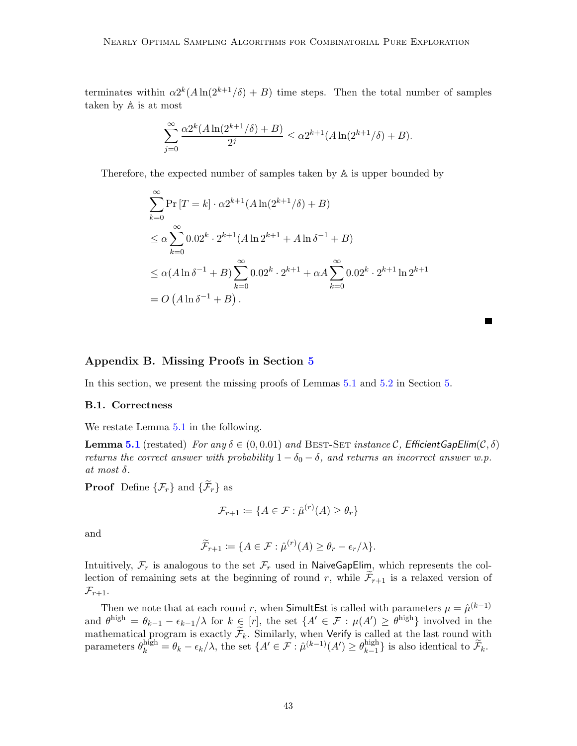terminates within  $\alpha 2^{k}(A \ln(2^{k+1}/\delta) + B)$  time steps. Then the total number of samples taken by A is at most

$$
\sum_{j=0}^{\infty} \frac{\alpha 2^k (A \ln(2^{k+1}/\delta) + B)}{2^j} \le \alpha 2^{k+1} (A \ln(2^{k+1}/\delta) + B).
$$

Therefore, the expected number of samples taken by A is upper bounded by

$$
\sum_{k=0}^{\infty} \Pr[T = k] \cdot \alpha 2^{k+1} (A \ln(2^{k+1}/\delta) + B)
$$
  
\n
$$
\leq \alpha \sum_{k=0}^{\infty} 0.02^k \cdot 2^{k+1} (A \ln 2^{k+1} + A \ln \delta^{-1} + B)
$$
  
\n
$$
\leq \alpha (A \ln \delta^{-1} + B) \sum_{k=0}^{\infty} 0.02^k \cdot 2^{k+1} + \alpha A \sum_{k=0}^{\infty} 0.02^k \cdot 2^{k+1} \ln 2^{k+1}
$$
  
\n
$$
= O(A \ln \delta^{-1} + B).
$$

# <span id="page-42-0"></span>Appendix B. Missing Proofs in Section [5](#page-22-0)

In this section, we present the missing proofs of Lemmas [5.1](#page-26-1) and [5.2](#page-26-2) in Section [5.](#page-22-0)

### B.1. Correctness

We restate Lemma [5.1](#page-26-1) in the following.

**Lemma [5.1](#page-26-1)** (restated) For any  $\delta \in (0, 0.01)$  and BEST-SET instance C, Efficient GapElim(C,  $\delta$ ) returns the correct answer with probability  $1 - \delta_0 - \delta$ , and returns an incorrect answer w.p. at most  $\delta$ .

**Proof** Define  $\{\mathcal{F}_r\}$  and  $\{\widetilde{\mathcal{F}}_r\}$  as

$$
\mathcal{F}_{r+1} := \{ A \in \mathcal{F} : \hat{\mu}^{(r)}(A) \ge \theta_r \}
$$

and

$$
\widetilde{\mathcal{F}}_{r+1} := \{ A \in \mathcal{F} : \hat{\mu}^{(r)}(A) \ge \theta_r - \epsilon_r/\lambda \}.
$$

Intuitively,  $\mathcal{F}_r$  is analogous to the set  $\mathcal{F}_r$  used in NaiveGapElim, which represents the collection of remaining sets at the beginning of round r, while  $\mathcal{F}_{r+1}$  is a relaxed version of  $\mathcal{F}_{r+1}.$ 

Then we note that at each round r, when SimultEst is called with parameters  $\mu = \hat{\mu}^{(k-1)}$ and  $\theta^{\text{high}} = \theta_{k-1} - \epsilon_{k-1}/\lambda$  for  $k \in [r]$ , the set  $\{A' \in \mathcal{F} : \mu(A') \geq \theta^{\text{high}}\}$  involved in the mathematical program is exactly  $\mathcal{F}_k$ . Similarly, when Verify is called at the last round with parameters  $\theta_k^{\text{high}} = \theta_k - \epsilon_k/\lambda$ , the set  $\{A' \in \mathcal{F} : \hat{\mu}^{(k-1)}(A') \geq \theta_{k-1}^{\text{high}}\}$  $\{k-1\}}$  is also identical to  $\mathcal{F}_k$ .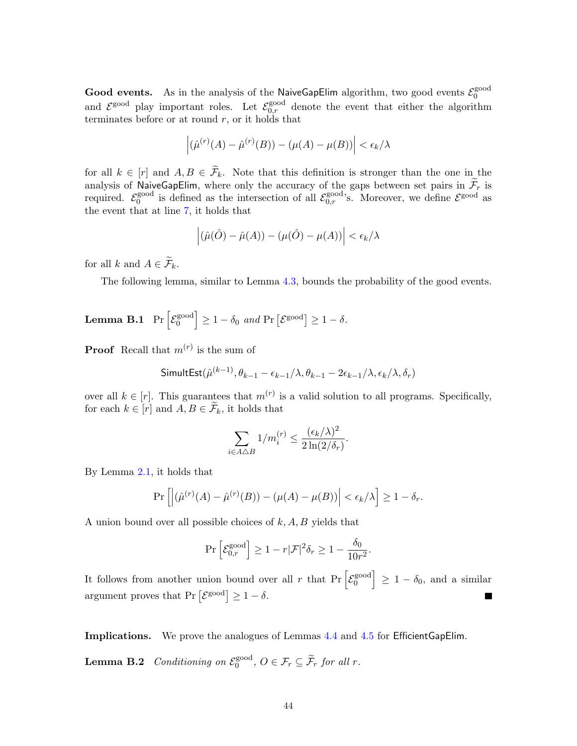**Good events.** As in the analysis of the NaiveGapElim algorithm, two good events  $\mathcal{E}_0^{\text{good}}$ 0 and  $\mathcal{E}^{\text{good}}$  play important roles. Let  $\mathcal{E}_{0,r}^{\text{good}}$  denote the event that either the algorithm terminates before or at round  $r$ , or it holds that

$$
\left| \left( \hat{\mu}^{(r)}(A) - \hat{\mu}^{(r)}(B) \right) - \left( \mu(A) - \mu(B) \right) \right| < \epsilon_k / \lambda
$$

for all  $k \in [r]$  and  $A, B \in \widetilde{\mathcal{F}}_k$ . Note that this definition is stronger than the one in the analysis of NaiveGapElim, where only the accuracy of the gaps between set pairs in  $\mathcal{F}_r$  is required.  $\mathcal{E}_0^{\text{good}}$ <sup>good</sup> is defined as the intersection of all  $\mathcal{E}_{0,r}^{\text{good}}$ 's. Moreover, we define  $\mathcal{E}^{\text{good}}$  as the event that at line [7,](#page-25-2) it holds that

$$
\left| \left( \hat{\mu}(\hat{O}) - \hat{\mu}(A) \right) - \left( \mu(\hat{O}) - \mu(A) \right) \right| < \epsilon_k/\lambda
$$

for all k and  $A \in \widetilde{\mathcal{F}}_k$ .

The following lemma, similar to Lemma [4.3,](#page-18-0) bounds the probability of the good events.

**Lemma B.1** 
$$
\Pr\left[\mathcal{E}_0^{\text{good}}\right] \ge 1 - \delta_0
$$
 and  $\Pr\left[\mathcal{E}_{0}^{\text{good}}\right] \ge 1 - \delta$ .

**Proof** Recall that  $m^{(r)}$  is the sum of

$$
\text{SimultEst}(\hat{\mu}^{(k-1)}, \theta_{k-1} - \epsilon_{k-1}/\lambda, \theta_{k-1} - 2\epsilon_{k-1}/\lambda, \epsilon_k/\lambda, \delta_r)
$$

over all  $k \in [r]$ . This guarantees that  $m^{(r)}$  is a valid solution to all programs. Specifically, for each  $k \in [r]$  and  $A, B \in \mathcal{F}_k$ , it holds that

$$
\sum_{i \in A \triangle B} 1/m_i^{(r)} \le \frac{(\epsilon_k/\lambda)^2}{2\ln(2/\delta_r)}.
$$

By Lemma [2.1,](#page-11-0) it holds that

$$
\Pr\left[\left|\left(\hat{\mu}^{(r)}(A) - \hat{\mu}^{(r)}(B)\right) - \left(\mu(A) - \mu(B)\right)\right| < \epsilon_k/\lambda\right] \ge 1 - \delta_r.
$$

A union bound over all possible choices of  $k$ ,  $A$ ,  $B$  yields that

<span id="page-43-0"></span>
$$
\Pr\left[\mathcal{E}_{0,r}^{\text{good}}\right] \ge 1 - r|\mathcal{F}|^2 \delta_r \ge 1 - \frac{\delta_0}{10r^2}.
$$

It follows from another union bound over all r that  $Pr\left[\mathcal{E}_0^{\text{good}}\right]$  $\begin{bmatrix} \text{good} \\ 0 \end{bmatrix} \geq 1 - \delta_0$ , and a similar argument proves that  $Pr\left[\mathcal{E}^{\text{good}}\right] \geq 1-\delta$ .

Implications. We prove the analogues of Lemmas [4.4](#page-18-1) and [4.5](#page-19-0) for EfficientGapElim.

**Lemma B.2** Conditioning on  $\mathcal{E}_0^{\text{good}}$  $0^{\text{good}}$ ,  $O \in \mathcal{F}_r \subseteq \mathcal{F}_r$  for all r.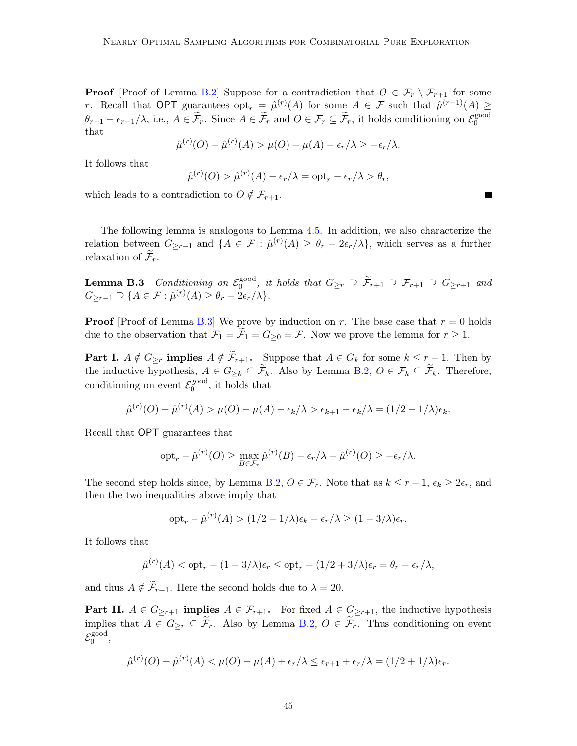**Proof** [Proof of Lemma [B.2\]](#page-43-0) Suppose for a contradiction that  $O \in \mathcal{F}_r \setminus \mathcal{F}_{r+1}$  for some r. Recall that OPT guarantees  $\mathrm{opt}_r = \hat{\mu}^{(r)}(A)$  for some  $A \in \mathcal{F}$  such that  $\hat{\mu}^{(r-1)}(A) \geq$  $\theta_{r-1} - \epsilon_{r-1}/\lambda$ , i.e.,  $A \in \widetilde{\mathcal{F}}_r$ . Since  $A \in \widetilde{\mathcal{F}}_r$  and  $O \in \mathcal{F}_r \subseteq \widetilde{\mathcal{F}}_r$ , it holds conditioning on  $\mathcal{E}_0^{\text{good}}$ 0 that

$$
\hat{\mu}^{(r)}(O) - \hat{\mu}^{(r)}(A) > \mu(O) - \mu(A) - \epsilon_r/\lambda \geq -\epsilon_r/\lambda.
$$

It follows that

<span id="page-44-0"></span>
$$
\hat{\mu}^{(r)}(O) > \hat{\mu}^{(r)}(A) - \epsilon_r/\lambda = \mathrm{opt}_r - \epsilon_r/\lambda > \theta_r,
$$

which leads to a contradiction to  $O \notin \mathcal{F}_{r+1}$ .

The following lemma is analogous to Lemma [4.5.](#page-19-0) In addition, we also characterize the relation between  $G_{\geq r-1}$  and  $\{A \in \mathcal{F} : \hat{\mu}^{(r)}(A) \geq \theta_r - 2\epsilon_r/\lambda\}$ , which serves as a further relaxation of  $\mathcal{F}_r$ .

**Lemma B.3** Conditioning on  $\mathcal{E}_0^{\text{good}}$  $\int_{0}^{\text{good}}$ , it holds that  $G_{\geq r} \supseteq \mathcal{F}_{r+1} \supseteq \mathcal{F}_{r+1} \supseteq G_{\geq r+1}$  and  $G_{\geq r-1} \supseteq \{A \in \mathcal{F} : \hat{\mu}^{(r)}(A) \geq \theta_r - 2\epsilon_r/\lambda\}.$ 

**Proof** [Proof of Lemma [B.3\]](#page-44-0) We prove by induction on r. The base case that  $r = 0$  holds due to the observation that  $\mathcal{F}_1 = \tilde{\mathcal{F}}_1 = G_{\geq 0} = \mathcal{F}$ . Now we prove the lemma for  $r \geq 1$ .

**Part I.**  $A \notin G_{\geq r}$  implies  $A \notin \widetilde{\mathcal{F}}_{r+1}$ . Suppose that  $A \in G_k$  for some  $k \leq r-1$ . Then by the inductive hypothesis,  $A \in G_{\geq k} \subseteq \widetilde{\mathcal{F}}_k$ . Also by Lemma [B.2,](#page-43-0)  $O \in \mathcal{F}_k \subseteq \widetilde{\mathcal{F}}_k$ . Therefore, conditioning on event  $\mathcal{E}_0^{\text{good}}$  $_0^{\text{good}}$ , it holds that

$$
\hat{\mu}^{(r)}(O) - \hat{\mu}^{(r)}(A) > \mu(O) - \mu(A) - \epsilon_k/\lambda > \epsilon_{k+1} - \epsilon_k/\lambda = \frac{1}{2} - \frac{1}{\lambda}\epsilon_k.
$$

Recall that OPT guarantees that

$$
opt_r - \hat{\mu}^{(r)}(O) \ge \max_{B \in \mathcal{F}_r} \hat{\mu}^{(r)}(B) - \epsilon_r/\lambda - \hat{\mu}^{(r)}(O) \ge -\epsilon_r/\lambda.
$$

The second step holds since, by Lemma [B.2,](#page-43-0)  $O \in \mathcal{F}_r$ . Note that as  $k \leq r-1$ ,  $\epsilon_k \geq 2\epsilon_r$ , and then the two inequalities above imply that

$$
opt_r - \hat{\mu}^{(r)}(A) > (1/2 - 1/\lambda)\epsilon_k - \epsilon_r/\lambda \ge (1 - 3/\lambda)\epsilon_r.
$$

It follows that

$$
\hat{\mu}^{(r)}(A) < \text{opt}_r - (1 - 3/\lambda)\epsilon_r \leq \text{opt}_r - (1/2 + 3/\lambda)\epsilon_r = \theta_r - \epsilon_r/\lambda,
$$

and thus  $A \notin \widetilde{\mathcal{F}}_{r+1}$ . Here the second holds due to  $\lambda = 20$ .

**Part II.**  $A \in G_{\geq r+1}$  **implies**  $A \in \mathcal{F}_{r+1}$ . For fixed  $A \in G_{\geq r+1}$ , the inductive hypothesis implies that  $A \in G_{\geq r} \subseteq \widetilde{\mathcal{F}}_r$ . Also by Lemma [B.2,](#page-43-0)  $O \in \widetilde{\mathcal{F}}_r$ . Thus conditioning on event  $\mathcal{E}_0^{\rm good}$ gooa<br>0 ,

$$
\hat{\mu}^{(r)}(O) - \hat{\mu}^{(r)}(A) < \mu(O) - \mu(A) + \epsilon_r/\lambda \leq \epsilon_{r+1} + \epsilon_r/\lambda = (1/2 + 1/\lambda)\epsilon_r.
$$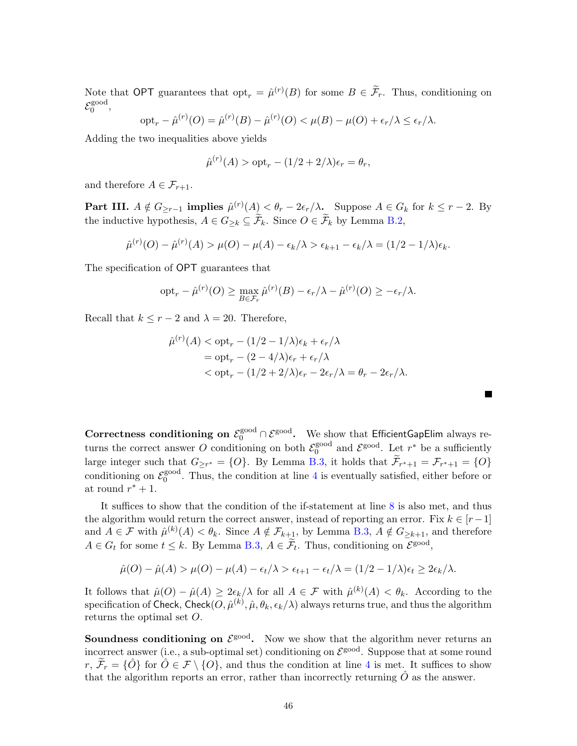Note that OPT guarantees that  $\text{opt}_r = \hat{\mu}^{(r)}(B)$  for some  $B \in \tilde{\mathcal{F}}_r$ . Thus, conditioning on  $\mathcal{E}_0^{\rm good}$ gooa<br>0 ,

$$
\mathrm{opt}_r - \hat{\mu}^{(r)}(O) = \hat{\mu}^{(r)}(B) - \hat{\mu}^{(r)}(O) < \mu(B) - \mu(O) + \epsilon_r/\lambda \leq \epsilon_r/\lambda.
$$

Adding the two inequalities above yields

$$
\hat{\mu}^{(r)}(A) > \text{opt}_r - (1/2 + 2/\lambda)\epsilon_r = \theta_r,
$$

and therefore  $A \in \mathcal{F}_{r+1}$ .

**Part III.**  $A \notin G_{\geq r-1}$  implies  $\hat{\mu}^{(r)}(A) < \theta_r - 2\epsilon_r/\lambda$ . Suppose  $A \in G_k$  for  $k \leq r-2$ . By the inductive hypothesis,  $A \in G_{\geq k} \subseteq \widetilde{\mathcal{F}}_k$ . Since  $O \in \widetilde{\mathcal{F}}_k$  by Lemma [B.2,](#page-43-0)

$$
\hat{\mu}^{(r)}(O) - \hat{\mu}^{(r)}(A) > \mu(O) - \mu(A) - \epsilon_k/\lambda > \epsilon_{k+1} - \epsilon_k/\lambda = (1/2 - 1/\lambda)\epsilon_k.
$$

The specification of OPT guarantees that

$$
opt_r - \hat{\mu}^{(r)}(O) \ge \max_{B \in \mathcal{F}_r} \hat{\mu}^{(r)}(B) - \epsilon_r/\lambda - \hat{\mu}^{(r)}(O) \ge -\epsilon_r/\lambda.
$$

Recall that  $k \leq r-2$  and  $\lambda = 20$ . Therefore,

$$
\hat{\mu}^{(r)}(A) < \text{opt}_r - (1/2 - 1/\lambda)\epsilon_k + \epsilon_r/\lambda
$$
\n
$$
= \text{opt}_r - (2 - 4/\lambda)\epsilon_r + \epsilon_r/\lambda
$$
\n
$$
< \text{opt}_r - (1/2 + 2/\lambda)\epsilon_r - 2\epsilon_r/\lambda = \theta_r - 2\epsilon_r/\lambda.
$$

П

Correctness conditioning on  $\mathcal{E}_0^{\text{good}} \cap \mathcal{E}^{\text{good}}$ . We show that EfficientGapElim always returns the correct answer O conditioning on both  $\mathcal{E}_0^{\text{good}}$  $_0^{\text{good}}$  and  $\mathcal{E}^{\text{good}}$ . Let  $r^*$  be a sufficiently large integer such that  $G_{\geq r^*} = \{O\}$ . By Lemma [B.3,](#page-44-0) it holds that  $\mathcal{F}_{r^*+1} = \mathcal{F}_{r^*+1} = \{O\}$ conditioning on  $\mathcal{E}_0^{\text{good}}$  $_{0}^{\text{good}}$ . Thus, the condition at line [4](#page-25-3) is eventually satisfied, either before or at round  $r^* + 1$ .

It suffices to show that the condition of the if-statement at line [8](#page-25-4) is also met, and thus the algorithm would return the correct answer, instead of reporting an error. Fix  $k \in [r-1]$ and  $A \in \mathcal{F}$  with  $\hat{\mu}^{(k)}(A) < \theta_k$ . Since  $A \notin \mathcal{F}_{k+1}$ , by Lemma [B.3,](#page-44-0)  $A \notin G_{\geq k+1}$ , and therefore  $A \in G_t$  for some  $t \leq k$ . By Lemma [B.3,](#page-44-0)  $A \in \widetilde{\mathcal{F}}_t$ . Thus, conditioning on  $\mathcal{E}^{\text{good}}$ ,

$$
\hat{\mu}(O) - \hat{\mu}(A) > \mu(O) - \mu(A) - \epsilon_t/\lambda > \epsilon_{t+1} - \epsilon_t/\lambda = (1/2 - 1/\lambda)\epsilon_t \ge 2\epsilon_k/\lambda.
$$

It follows that  $\hat{\mu}(O) - \hat{\mu}(A) \geq 2\epsilon_k/\lambda$  for all  $A \in \mathcal{F}$  with  $\hat{\mu}^{(k)}(A) < \theta_k$ . According to the specification of Check, Check $(O,\hat{\mu}^{(k)},\hat{\mu},\theta_k,\epsilon_k/\lambda)$  always returns true, and thus the algorithm returns the optimal set O.

**Soundness conditioning on**  $\mathcal{E}^{\text{good}}$ **.** Now we show that the algorithm never returns an incorrect answer (i.e., a sub-optimal set) conditioning on  $\mathcal{E}^{\text{good}}$ . Suppose that at some round  $r, \tilde{\mathcal{F}}_r = \{\hat{O}\}\$ for  $\hat{O} \in \mathcal{F} \setminus \{O\}$ , and thus the condition at line [4](#page-25-3) is met. It suffices to show that the algorithm reports an error, rather than incorrectly returning  $\hat{O}$  as the answer.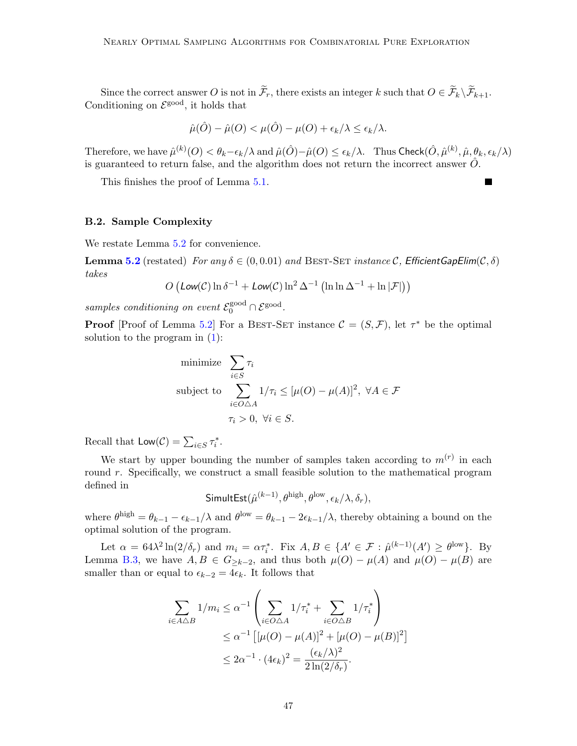Since the correct answer O is not in  $\widetilde{\mathcal{F}}_r$ , there exists an integer k such that  $O \in \widetilde{\mathcal{F}}_k \backslash \widetilde{\mathcal{F}}_{k+1}$ . Conditioning on  $\mathcal{E}^{\text{good}}$ , it holds that

$$
\hat{\mu}(\hat{O}) - \hat{\mu}(O) < \mu(\hat{O}) - \mu(O) + \epsilon_k/\lambda \leq \epsilon_k/\lambda.
$$

Therefore, we have  $\hat{\mu}^{(k)}(O) < \theta_k - \epsilon_k/\lambda$  and  $\hat{\mu}(\hat{O}) - \hat{\mu}(O) \leq \epsilon_k/\lambda$ . Thus  $\mathsf{Check}(\hat{O}, \hat{\mu}^{(k)}, \hat{\mu}, \theta_k, \epsilon_k/\lambda)$ is guaranteed to return false, and the algorithm does not return the incorrect answer  $\ddot{O}$ .

This finishes the proof of Lemma [5.1.](#page-26-1)

### B.2. Sample Complexity

We restate Lemma [5.2](#page-26-2) for convenience.

**Lemma [5.2](#page-26-2)** (restated) For any  $\delta \in (0, 0.01)$  and BEST-SET instance C, Efficient GapElim $(C, \delta)$ takes

$$
O\left(\text{Low}(\mathcal{C})\ln\delta^{-1} + \text{Low}(\mathcal{C})\ln^2\Delta^{-1}\left(\ln\ln\Delta^{-1} + \ln|\mathcal{F}|\right)\right)
$$

samples conditioning on event  $\mathcal{E}_0^{\text{good}} \cap \mathcal{E}^{\text{good}}$ .

**Proof** [Proof of Lemma [5.2\]](#page-26-2) For a BEST-SET instance  $\mathcal{C} = (S, \mathcal{F})$ , let  $\tau^*$  be the optimal solution to the program in  $(1)$ :

minimize 
$$
\sum_{i \in S} \tau_i
$$
  
\nsubject to  $\sum_{i \in O \triangle A} 1/\tau_i \leq [\mu(O) - \mu(A)]^2, \ \forall A \in \mathcal{F}$   
\n $\tau_i > 0, \ \forall i \in S.$ 

Recall that  $\mathsf{Low}(\mathcal{C}) = \sum_{i \in S} \tau_i^*$ .

We start by upper bounding the number of samples taken according to  $m^{(r)}$  in each round  $r$ . Specifically, we construct a small feasible solution to the mathematical program defined in

$$
\textsf{SimultEst}(\hat{\mu}^{(k-1)}, \theta^{\text{high}}, \theta^{\text{low}}, \epsilon_k/\lambda, \delta_r),
$$

where  $\theta^{\text{high}} = \theta_{k-1} - \epsilon_{k-1}/\lambda$  and  $\theta^{\text{low}} = \theta_{k-1} - 2\epsilon_{k-1}/\lambda$ , thereby obtaining a bound on the optimal solution of the program.

Let  $\alpha = 64\lambda^2 \ln(2/\delta_r)$  and  $m_i = \alpha \tau_i^*$ . Fix  $A, B \in \{A' \in \mathcal{F} : \hat{\mu}^{(k-1)}(A') \ge \theta^{\text{low}}\}$ . By Lemma [B.3,](#page-44-0) we have  $A, B \in G_{\geq k-2}$ , and thus both  $\mu(O) - \mu(A)$  and  $\mu(O) - \mu(B)$  are smaller than or equal to  $\epsilon_{k-2} = 4\epsilon_k$ . It follows that

$$
\sum_{i \in A \triangle B} 1/m_i \leq \alpha^{-1} \left( \sum_{i \in O \triangle A} 1/\tau_i^* + \sum_{i \in O \triangle B} 1/\tau_i^* \right)
$$
  

$$
\leq \alpha^{-1} \left[ [\mu(O) - \mu(A)]^2 + [\mu(O) - \mu(B)]^2 \right]
$$
  

$$
\leq 2\alpha^{-1} \cdot (4\epsilon_k)^2 = \frac{(\epsilon_k/\lambda)^2}{2\ln(2/\delta_r)}.
$$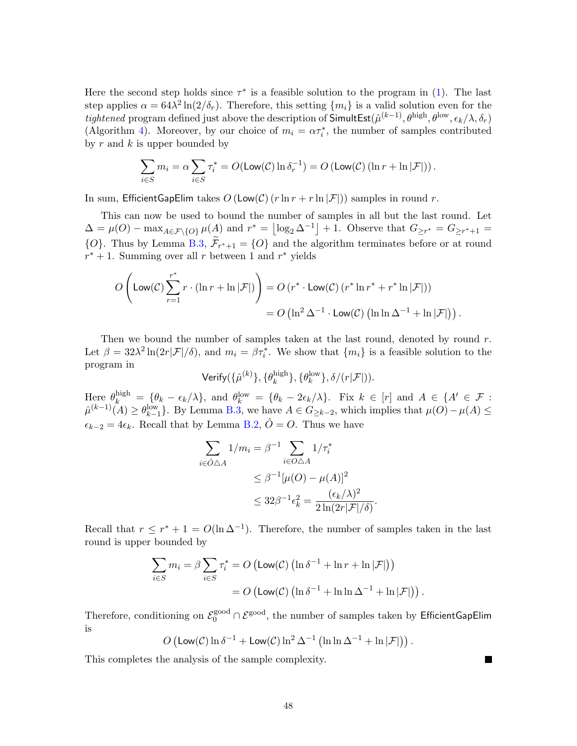Here the second step holds since  $\tau^*$  is a feasible solution to the program in [\(1\)](#page-12-1). The last step applies  $\alpha = 64\lambda^2 \ln(2/\delta_r)$ . Therefore, this setting  $\{m_i\}$  is a valid solution even for the *tightened* program defined just above the description of  $\textsf{SimultEst}(\hat{\mu}^{(k-1)}, \theta^{\text{high}}, \theta^{\text{low}}, \epsilon_k/\lambda, \delta_r)$ (Algorithm [4\)](#page-24-0). Moreover, by our choice of  $m_i = \alpha \tau_i^*$ , the number of samples contributed by  $r$  and  $k$  is upper bounded by

$$
\sum_{i \in S} m_i = \alpha \sum_{i \in S} \tau_i^* = O(\text{Low}(\mathcal{C}) \ln \delta_r^{-1}) = O(\text{Low}(\mathcal{C}) \left( \ln r + \ln |\mathcal{F}| \right)).
$$

In sum, EfficientGapElim takes  $O(\text{Low}(\mathcal{C}) (r \ln r + r \ln |\mathcal{F}|))$  samples in round r.

This can now be used to bound the number of samples in all but the last round. Let  $\Delta = \mu(O) - \max_{A \in \mathcal{F} \setminus \{O\}} \mu(A)$  and  $r^* = \lfloor \log_2 \Delta^{-1} \rfloor + 1$ . Observe that  $G_{\geq r^*} = G_{\geq r^*+1} =$  ${O}$ . Thus by Lemma [B.3,](#page-44-0)  $\mathcal{F}_{r^*+1} = {O}$  and the algorithm terminates before or at round  $r^* + 1$ . Summing over all r between 1 and  $r^*$  yields

$$
O\left(\text{Low}(\mathcal{C})\sum_{r=1}^{r^*} r \cdot (\ln r + \ln |\mathcal{F}|)\right) = O\left(r^* \cdot \text{Low}(\mathcal{C})\left(r^* \ln r^* + r^* \ln |\mathcal{F}|\right)\right)
$$

$$
= O\left(\ln^2 \Delta^{-1} \cdot \text{Low}(\mathcal{C})\left(\ln \ln \Delta^{-1} + \ln |\mathcal{F}|\right)\right).
$$

Then we bound the number of samples taken at the last round, denoted by round  $r$ . Let  $\beta = 32\lambda^2 \ln(2r|\mathcal{F}|/\delta)$ , and  $m_i = \beta \tau_i^*$ . We show that  $\{m_i\}$  is a feasible solution to the program in

 $\mathsf{Verify}(\{\hat{\mu}^{(k)}\},\{\theta_k^{\text{high}}\})$  $\{ \theta_k^{\text{low}} \}, \delta/(r|\mathcal{F}|)$ ).

Here  $\theta_k^{\text{high}} = {\theta_k - \epsilon_k/\lambda}$ , and  $\theta_k^{\text{low}} = {\theta_k - 2\epsilon_k/\lambda}$ . Fix  $k \in [r]$  and  $A \in \{A' \in \mathcal{F} :$  $\hat{\mu}^{(k-1)}(A) \ge \theta_{k-1}^{\text{low}}\}.$  By Lemma [B.3,](#page-44-0) we have  $A \in G_{\ge k-2}$ , which implies that  $\mu(O) - \mu(A) \le$  $\epsilon_{k-2} = 4\epsilon_k$ . Recall that by Lemma [B.2,](#page-43-0)  $\hat{O} = O$ . Thus we have

$$
\sum_{i \in \hat{O}\triangle A} 1/m_i = \beta^{-1} \sum_{i \in O\triangle A} 1/\tau_i^*
$$
  
\n
$$
\leq \beta^{-1} [\mu(O) - \mu(A)]^2
$$
  
\n
$$
\leq 32\beta^{-1} \epsilon_k^2 = \frac{(\epsilon_k/\lambda)^2}{2\ln(2r|\mathcal{F}|/\delta)}.
$$

Recall that  $r \leq r^* + 1 = O(\ln \Delta^{-1})$ . Therefore, the number of samples taken in the last round is upper bounded by

$$
\sum_{i \in S} m_i = \beta \sum_{i \in S} \tau_i^* = O\left(\text{Low}(\mathcal{C}) \left(\ln \delta^{-1} + \ln r + \ln |\mathcal{F}|\right)\right)
$$

$$
= O\left(\text{Low}(\mathcal{C}) \left(\ln \delta^{-1} + \ln \ln \Delta^{-1} + \ln |\mathcal{F}|\right)\right).
$$

Therefore, conditioning on  $\mathcal{E}_0^{\rm good}\cap\mathcal{E}^{\rm good},$  the number of samples taken by EfficientGapElim is

$$
O\left(\text{Low}(\mathcal{C})\ln \delta^{-1} + \text{Low}(\mathcal{C})\ln^2 \Delta^{-1}\left(\ln \ln \Delta^{-1} + \ln |\mathcal{F}|\right)\right).
$$

<span id="page-47-0"></span>This completes the analysis of the sample complexity.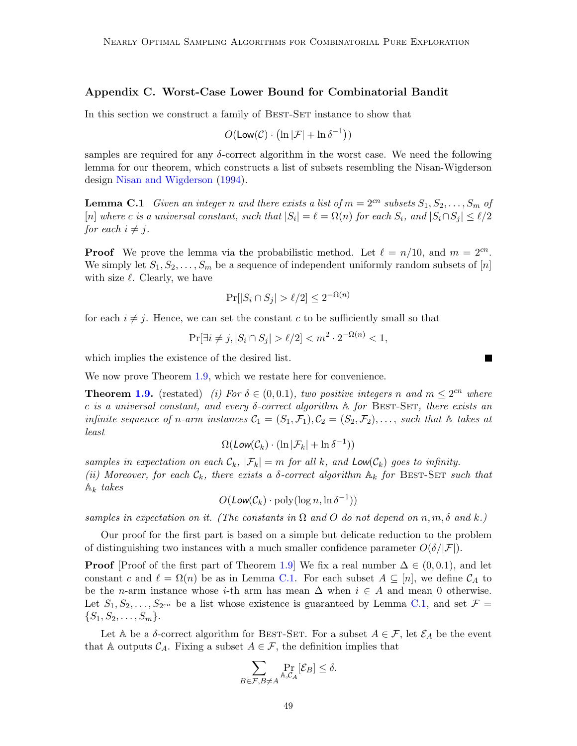## Appendix C. Worst-Case Lower Bound for Combinatorial Bandit

In this section we construct a family of BEST-SET instance to show that

<span id="page-48-0"></span>
$$
O(\mathsf{Low}(\mathcal{C}) \cdot (\ln |\mathcal{F}| + \ln \delta^{-1}))
$$

samples are required for any  $\delta$ -correct algorithm in the worst case. We need the following lemma for our theorem, which constructs a list of subsets resembling the Nisan-Wigderson design [Nisan and Wigderson](#page-39-9) [\(1994\)](#page-39-9).

**Lemma C.1** Given an integer n and there exists a list of  $m = 2^{cn}$  subsets  $S_1, S_2, \ldots, S_m$  of [n] where c is a universal constant, such that  $|S_i| = \ell = \Omega(n)$  for each  $S_i$ , and  $|S_i \cap S_j| \leq \ell/2$ for each  $i \neq j$ .

**Proof** We prove the lemma via the probabilistic method. Let  $\ell = n/10$ , and  $m = 2^{cn}$ . We simply let  $S_1, S_2, \ldots, S_m$  be a sequence of independent uniformly random subsets of [n] with size  $\ell$ . Clearly, we have

$$
\Pr[|S_i \cap S_j| > \ell/2] \le 2^{-\Omega(n)}
$$

for each  $i \neq j$ . Hence, we can set the constant c to be sufficiently small so that

$$
\Pr[\exists i \neq j, |S_i \cap S_j| > \ell/2] < m^2 \cdot 2^{-\Omega(n)} < 1,
$$

which implies the existence of the desired list.

We now prove Theorem [1.9,](#page-5-0) which we restate here for convenience.

**Theorem [1.9.](#page-5-0)** (restated) (i) For  $\delta \in (0,0.1)$ , two positive integers n and  $m \leq 2^{cn}$  where c is a universal constant, and every  $\delta$ -correct algorithm  $\mathbb A$  for BEST-SET, there exists an infinite sequence of n-arm instances  $C_1 = (S_1, \mathcal{F}_1), C_2 = (S_2, \mathcal{F}_2), \ldots$ , such that  $\mathbb A$  takes at least

$$
\Omega(\text{Low}(\mathcal{C}_k) \cdot (\ln |\mathcal{F}_k| + \ln \delta^{-1}))
$$

samples in expectation on each  $\mathcal{C}_k$ ,  $|\mathcal{F}_k| = m$  for all k, and  $\textsf{Low}(\mathcal{C}_k)$  goes to infinity. (ii) Moreover, for each  $\mathcal{C}_k$ , there exists a  $\delta$ -correct algorithm  $\mathbb{A}_k$  for BEST-SET such that  $A_k$  takes

$$
O(\text{Low}(\mathcal{C}_k) \cdot \text{poly}(\log n, \ln \delta^{-1}))
$$

samples in expectation on it. (The constants in  $\Omega$  and O do not depend on n, m,  $\delta$  and k.)

Our proof for the first part is based on a simple but delicate reduction to the problem of distinguishing two instances with a much smaller confidence parameter  $O(\delta/|\mathcal{F}|)$ .

**Proof** [Proof of the first part of Theorem [1.9\]](#page-5-0) We fix a real number  $\Delta \in (0, 0.1)$ , and let constant c and  $\ell = \Omega(n)$  be as in Lemma [C.1.](#page-48-0) For each subset  $A \subseteq [n]$ , we define  $\mathcal{C}_A$  to be the *n*-arm instance whose *i*-th arm has mean  $\Delta$  when  $i \in A$  and mean 0 otherwise. Let  $S_1, S_2, \ldots, S_{2^{cn}}$  be a list whose existence is guaranteed by Lemma [C.1,](#page-48-0) and set  $\mathcal{F} =$  $\{S_1, S_2, \ldots, S_m\}.$ 

Let A be a  $\delta$ -correct algorithm for BEST-SET. For a subset  $A \in \mathcal{F}$ , let  $\mathcal{E}_A$  be the event that A outputs  $C_A$ . Fixing a subset  $A \in \mathcal{F}$ , the definition implies that

$$
\sum_{B \in \mathcal{F}, B \neq A} \Pr_{\mathbb{A}, \mathcal{C}_A}[\mathcal{E}_B] \le \delta.
$$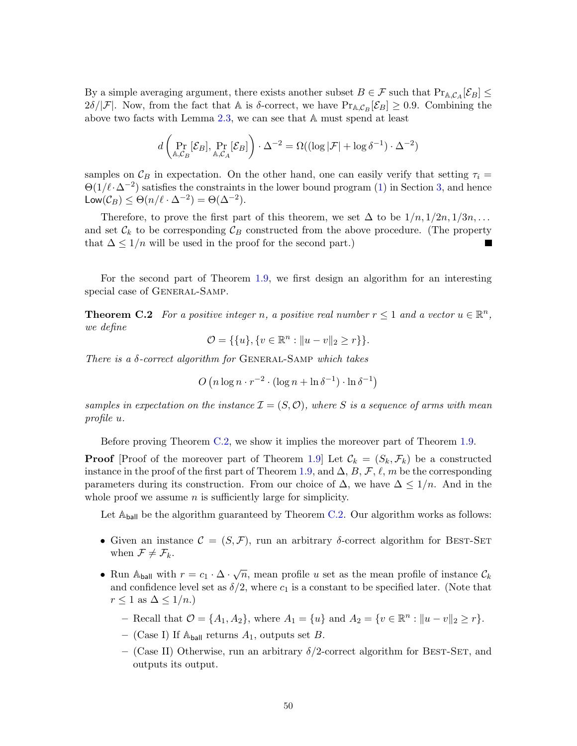By a simple averaging argument, there exists another subset  $B \in \mathcal{F}$  such that  $Pr_{A,C_A}[\mathcal{E}_B] \le$  $2\delta/|\mathcal{F}|$ . Now, from the fact that A is  $\delta$ -correct, we have  $Pr_{A,C_B}[\mathcal{E}_B] \geq 0.9$ . Combining the above two facts with Lemma [2.3,](#page-11-1) we can see that A must spend at least

$$
d\left(\Pr_{\mathbb{A},\mathcal{C}_B}[\mathcal{E}_B],\Pr_{\mathbb{A},\mathcal{C}_A}[\mathcal{E}_B]\right)\cdot\Delta^{-2} = \Omega((\log|\mathcal{F}| + \log \delta^{-1})\cdot\Delta^{-2})
$$

samples on  $\mathcal{C}_B$  in expectation. On the other hand, one can easily verify that setting  $\tau_i =$  $\Theta(1/\ell\cdot\Delta^{-2})$  satisfies the constraints in the lower bound program [\(1\)](#page-12-1) in Section [3,](#page-12-2) and hence Low $(\mathcal{C}_B) \leq \Theta(n/\ell \cdot \Delta^{-2}) = \Theta(\Delta^{-2}).$ 

Therefore, to prove the first part of this theorem, we set  $\Delta$  to be  $1/n, 1/2n, 1/3n, \ldots$ and set  $\mathcal{C}_k$  to be corresponding  $\mathcal{C}_B$  constructed from the above procedure. (The property that  $\Delta \leq 1/n$  will be used in the proof for the second part.)

For the second part of Theorem [1.9,](#page-5-0) we first design an algorithm for an interesting special case of GENERAL-SAMP.

<span id="page-49-0"></span>**Theorem C.2** For a positive integer n, a positive real number  $r \leq 1$  and a vector  $u \in \mathbb{R}^n$ , we define

$$
\mathcal{O} = \{ \{u\}, \{v \in \mathbb{R}^n : ||u - v||_2 \ge r \} \}.
$$

There is a  $\delta$ -correct algorithm for GENERAL-SAMP which takes

$$
O(n\log n \cdot r^{-2} \cdot (\log n + \ln \delta^{-1}) \cdot \ln \delta^{-1})
$$

samples in expectation on the instance  $\mathcal{I} = (S, \mathcal{O})$ , where S is a sequence of arms with mean profile u.

Before proving Theorem [C.2,](#page-49-0) we show it implies the moreover part of Theorem [1.9.](#page-5-0)

**Proof** [Proof of the moreover part of Theorem [1.9\]](#page-5-0) Let  $\mathcal{C}_k = (S_k, \mathcal{F}_k)$  be a constructed instance in the proof of the first part of Theorem [1.9,](#page-5-0) and  $\Delta$ , B, F,  $\ell$ , m be the corresponding parameters during its construction. From our choice of  $\Delta$ , we have  $\Delta \leq 1/n$ . And in the whole proof we assume  $n$  is sufficiently large for simplicity.

Let  $A_{\text{ball}}$  be the algorithm guaranteed by Theorem [C.2.](#page-49-0) Our algorithm works as follows:

- Given an instance  $\mathcal{C} = (S, \mathcal{F})$ , run an arbitrary  $\delta$ -correct algorithm for BEST-SET when  $\mathcal{F} \neq \mathcal{F}_k$ .
- Run A<sub>ball</sub> with  $r = c_1 \cdot \Delta \cdot \sqrt{n}$ , mean profile u set as the mean profile of instance  $\mathcal{C}_k$ and confidence level set as  $\delta/2$ , where  $c_1$  is a constant to be specified later. (Note that  $r \leq 1$  as  $\Delta \leq 1/n$ .
	- Recall that  $O = \{A_1, A_2\}$ , where  $A_1 = \{u\}$  and  $A_2 = \{v \in \mathbb{R}^n : ||u v||_2 \ge r\}$ .
	- (Case I) If  $\mathbb{A}_{\text{ball}}$  returns  $A_1$ , outputs set B.
	- (Case II) Otherwise, run an arbitrary  $\delta/2$ -correct algorithm for BEST-SET, and outputs its output.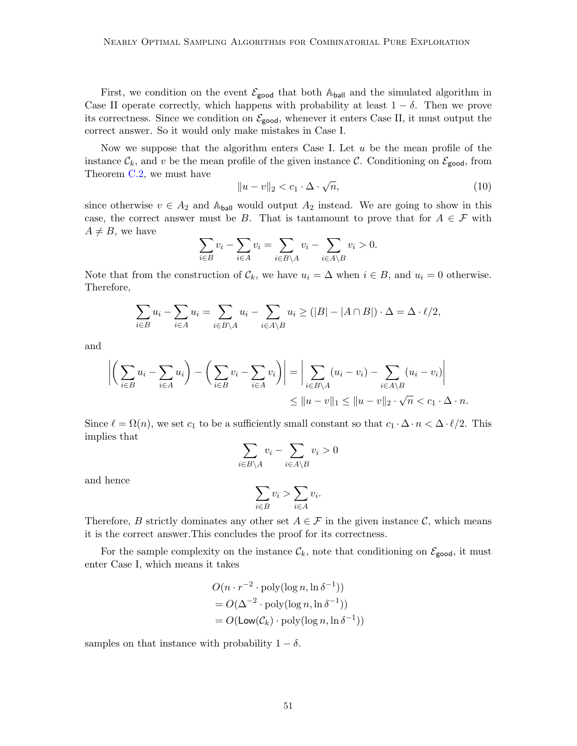First, we condition on the event  $\mathcal{E}_{good}$  that both  $\mathbb{A}_{ball}$  and the simulated algorithm in Case II operate correctly, which happens with probability at least  $1 - \delta$ . Then we prove its correctness. Since we condition on  $\mathcal{E}_{\text{good}}$ , whenever it enters Case II, it must output the correct answer. So it would only make mistakes in Case I.

Now we suppose that the algorithm enters Case I. Let  $u$  be the mean profile of the instance  $\mathcal{C}_k$ , and v be the mean profile of the given instance C. Conditioning on  $\mathcal{E}_{\text{good}}$ , from Theorem [C.2,](#page-49-0) we must have √

$$
||u - v||_2 < c_1 \cdot \Delta \cdot \sqrt{n},\tag{10}
$$

since otherwise  $v \in A_2$  and  $\mathbb{A}_{\mathsf{ball}}$  would output  $A_2$  instead. We are going to show in this case, the correct answer must be B. That is tantamount to prove that for  $A \in \mathcal{F}$  with  $A \neq B$ , we have

$$
\sum_{i \in B} v_i - \sum_{i \in A} v_i = \sum_{i \in B \setminus A} v_i - \sum_{i \in A \setminus B} v_i > 0.
$$

Note that from the construction of  $\mathcal{C}_k$ , we have  $u_i = \Delta$  when  $i \in B$ , and  $u_i = 0$  otherwise. Therefore,

$$
\sum_{i \in B} u_i - \sum_{i \in A} u_i = \sum_{i \in B \setminus A} u_i - \sum_{i \in A \setminus B} u_i \ge (|B| - |A \cap B|) \cdot \Delta = \Delta \cdot \ell/2,
$$

and

$$
\left| \left( \sum_{i \in B} u_i - \sum_{i \in A} u_i \right) - \left( \sum_{i \in B} v_i - \sum_{i \in A} v_i \right) \right| = \left| \sum_{i \in B \setminus A} (u_i - v_i) - \sum_{i \in A \setminus B} (u_i - v_i) \right|
$$
  

$$
\leq ||u - v||_1 \leq ||u - v||_2 \cdot \sqrt{n} < c_1 \cdot \Delta \cdot n.
$$

Since  $\ell = \Omega(n)$ , we set  $c_1$  to be a sufficiently small constant so that  $c_1 \cdot \Delta \cdot n < \Delta \cdot \ell/2$ . This implies that

$$
\sum_{i \in B \setminus A} v_i - \sum_{i \in A \setminus B} v_i > 0
$$

and hence

$$
\sum_{i \in B} v_i > \sum_{i \in A} v_i.
$$

Therefore, B strictly dominates any other set  $A \in \mathcal{F}$  in the given instance C, which means it is the correct answer.This concludes the proof for its correctness.

For the sample complexity on the instance  $\mathcal{C}_k$ , note that conditioning on  $\mathcal{E}_{\text{good}}$ , it must enter Case I, which means it takes

$$
O(n \cdot r^{-2} \cdot \text{poly}(\log n, \ln \delta^{-1}))
$$
  
=  $O(\Delta^{-2} \cdot \text{poly}(\log n, \ln \delta^{-1}))$   
=  $O(\text{Low}(\mathcal{C}_k) \cdot \text{poly}(\log n, \ln \delta^{-1}))$ 

samples on that instance with probability  $1 - \delta$ .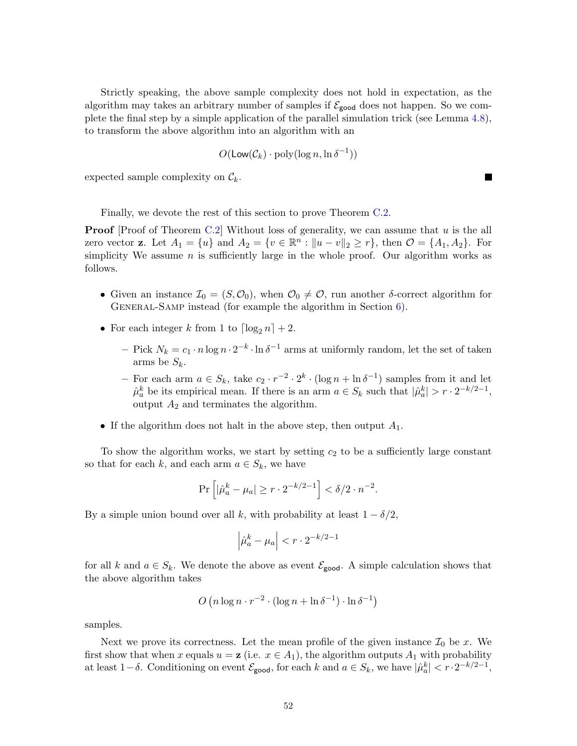Strictly speaking, the above sample complexity does not hold in expectation, as the algorithm may takes an arbitrary number of samples if  $\mathcal{E}_{\text{good}}$  does not happen. So we complete the final step by a simple application of the parallel simulation trick (see Lemma [4.8\)](#page-22-2), to transform the above algorithm into an algorithm with an

$$
O(\mathsf{Low}(\mathcal{C}_k) \cdot \mathrm{poly}(\log n, \ln \delta^{-1}))
$$

expected sample complexity on  $\mathcal{C}_k$ .

Finally, we devote the rest of this section to prove Theorem [C.2.](#page-49-0)

**Proof** [Proof of Theorem [C.2\]](#page-49-0) Without loss of generality, we can assume that  $u$  is the all zero vector **z**. Let  $A_1 = \{u\}$  and  $A_2 = \{v \in \mathbb{R}^n : ||u - v||_2 \ge r\}$ , then  $\mathcal{O} = \{A_1, A_2\}$ . For simplicity We assume *n* is sufficiently large in the whole proof. Our algorithm works as follows.

- Given an instance  $\mathcal{I}_0 = (S, \mathcal{O}_0)$ , when  $\mathcal{O}_0 \neq \mathcal{O}$ , run another δ-correct algorithm for GENERAL-SAMP instead (for example the algorithm in Section  $6$ ).
- For each integer k from 1 to  $\lceil \log_2 n \rceil + 2$ .
	- Pick  $N_k = c_1 \cdot n \log n \cdot 2^{-k} \cdot \ln \delta^{-1}$  arms at uniformly random, let the set of taken arms be  $S_k$ .
	- − For each arm  $a \in S_k$ , take  $c_2 \cdot r^{-2} \cdot 2^k \cdot (\log n + \ln \delta^{-1})$  samples from it and let  $\hat{\mu}_a^k$  be its empirical mean. If there is an arm  $a \in S_k$  such that  $|\hat{\mu}_a^k| > r \cdot 2^{-k/2-1}$ , output  $A_2$  and terminates the algorithm.
- If the algorithm does not halt in the above step, then output  $A_1$ .

To show the algorithm works, we start by setting  $c_2$  to be a sufficiently large constant so that for each k, and each arm  $a \in S_k$ , we have

$$
\Pr\left[|\hat{\mu}_a^k - \mu_a| \ge r \cdot 2^{-k/2 - 1}\right] < \delta/2 \cdot n^{-2}.
$$

By a simple union bound over all k, with probability at least  $1 - \delta/2$ ,

$$
\left|\hat{\mu}_a^k - \mu_a\right| < r \cdot 2^{-k/2 - 1}
$$

for all k and  $a \in S_k$ . We denote the above as event  $\mathcal{E}_{\text{good}}$ . A simple calculation shows that the above algorithm takes

$$
O(n\log n \cdot r^{-2} \cdot (\log n + \ln \delta^{-1}) \cdot \ln \delta^{-1})
$$

samples.

Next we prove its correctness. Let the mean profile of the given instance  $\mathcal{I}_0$  be x. We first show that when x equals  $u = \mathbf{z}$  (i.e.  $x \in A_1$ ), the algorithm outputs  $A_1$  with probability at least  $1-\delta$ . Conditioning on event  $\mathcal{E}_{\text{good}}$ , for each k and  $a \in S_k$ , we have  $|\hat{\mu}_a^k| < r \cdot 2^{-k/2-1}$ ,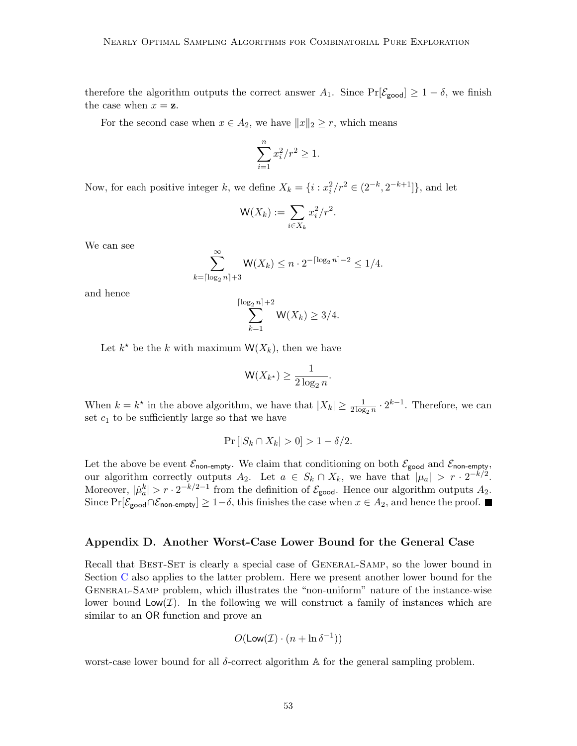therefore the algorithm outputs the correct answer  $A_1$ . Since  $Pr[\mathcal{E}_{\text{good}}] \geq 1 - \delta$ , we finish the case when  $x = z$ .

For the second case when  $x \in A_2$ , we have  $||x||_2 \ge r$ , which means

$$
\sum_{i=1}^{n} x_i^2 / r^2 \ge 1.
$$

Now, for each positive integer k, we define  $X_k = \{i : x_i^2/r^2 \in (2^{-k}, 2^{-k+1}]\}\$ , and let

$$
\mathsf{W}(X_k) := \sum_{i \in X_k} x_i^2 / r^2.
$$

We can see

$$
\sum_{k=\lceil \log_2 n \rceil + 3}^{\infty} \mathsf{W}(X_k) \le n \cdot 2^{-\lceil \log_2 n \rceil - 2} \le 1/4.
$$

and hence

$$
\sum_{k=1}^{\lceil \log_2 n \rceil + 2} \mathsf{W}(X_k) \ge 3/4.
$$

Let  $k^*$  be the k with maximum  $\mathsf{W}(X_k)$ , then we have

$$
\mathsf{W}(X_{k^\star}) \ge \frac{1}{2\log_2 n}.
$$

When  $k = k^*$  in the above algorithm, we have that  $|X_k| \ge \frac{1}{2 \log_2 n} \cdot 2^{k-1}$ . Therefore, we can set  $c_1$  to be sufficiently large so that we have

$$
\Pr\left[|S_k \cap X_k| > 0\right] > 1 - \delta/2.
$$

Let the above be event  $\mathcal{E}_{\text{non-empty}}$ . We claim that conditioning on both  $\mathcal{E}_{\text{good}}$  and  $\mathcal{E}_{\text{non-empty}},$ our algorithm correctly outputs  $A_2$ . Let  $a \in S_k \cap X_k$ , we have that  $|\mu_a| > r \cdot 2^{-k/2}$ . Moreover,  $|\hat{\mu}_a^k| > r \cdot 2^{-k/2-1}$  from the definition of  $\mathcal{E}_{\text{good}}$ . Hence our algorithm outputs  $A_2$ . Since  $Pr[\mathcal{E}_{\text{good}} \cap \mathcal{E}_{\text{non-empty}}] \geq 1-\delta$ , this finishes the case when  $x \in A_2$ , and hence the proof.  $\blacksquare$ 

### <span id="page-52-0"></span>Appendix D. Another Worst-Case Lower Bound for the General Case

Recall that BEST-SET is clearly a special case of GENERAL-SAMP, so the lower bound in Section [C](#page-47-0) also applies to the latter problem. Here we present another lower bound for the General-Samp problem, which illustrates the "non-uniform" nature of the instance-wise lower bound  $\mathsf{Low}(\mathcal{I})$ . In the following we will construct a family of instances which are similar to an OR function and prove an

$$
O(\mathsf{Low}(\mathcal{I}) \cdot (n + \ln \delta^{-1}))
$$

worst-case lower bound for all  $\delta$ -correct algorithm A for the general sampling problem.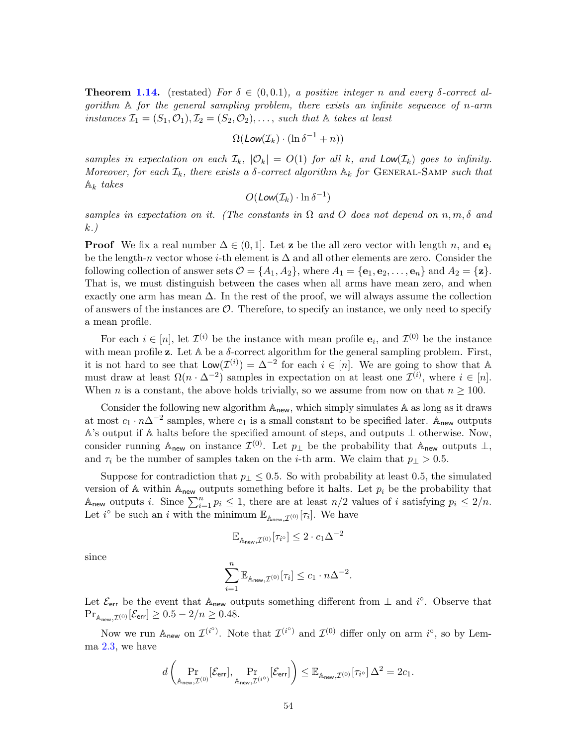**Theorem [1.14.](#page-7-0)** (restated) For  $\delta \in (0, 0.1)$ , a positive integer n and every  $\delta$ -correct algorithm  $\mathbb A$  for the general sampling problem, there exists an infinite sequence of n-arm instances  $\mathcal{I}_1 = (S_1, \mathcal{O}_1), \mathcal{I}_2 = (S_2, \mathcal{O}_2), \ldots$ , such that A takes at least

$$
\Omega(\text{Low}(\mathcal{I}_k) \cdot (\ln \delta^{-1} + n))
$$

samples in expectation on each  $\mathcal{I}_k$ ,  $|\mathcal{O}_k| = O(1)$  for all k, and  $\text{Low}(\mathcal{I}_k)$  goes to infinity. Moreover, for each  $\mathcal{I}_k$ , there exists a  $\delta$ -correct algorithm  $\mathbb{A}_k$  for GENERAL-SAMP such that  $\mathbb{A}_k$  takes

$$
O(\text{Low}(\mathcal{I}_k) \cdot \ln \delta^{-1})
$$

samples in expectation on it. (The constants in  $\Omega$  and O does not depend on  $n, m, \delta$  and k.)

**Proof** We fix a real number  $\Delta \in (0, 1]$ . Let **z** be the all zero vector with length n, and  $e_i$ be the length-n vector whose i-th element is  $\Delta$  and all other elements are zero. Consider the following collection of answer sets  $\mathcal{O} = \{A_1, A_2\}$ , where  $A_1 = \{e_1, e_2, \ldots, e_n\}$  and  $A_2 = \{z\}$ . That is, we must distinguish between the cases when all arms have mean zero, and when exactly one arm has mean  $\Delta$ . In the rest of the proof, we will always assume the collection of answers of the instances are  $\mathcal{O}$ . Therefore, to specify an instance, we only need to specify a mean profile.

For each  $i \in [n]$ , let  $\mathcal{I}^{(i)}$  be the instance with mean profile  $\mathbf{e}_i$ , and  $\mathcal{I}^{(0)}$  be the instance with mean profile z. Let  $A$  be a  $\delta$ -correct algorithm for the general sampling problem. First, it is not hard to see that  $\mathsf{Low}(\mathcal{I}^{(i)}) = \Delta^{-2}$  for each  $i \in [n]$ . We are going to show that A must draw at least  $\Omega(n \cdot \Delta^{-2})$  samples in expectation on at least one  $\mathcal{I}^{(i)}$ , where  $i \in [n]$ . When n is a constant, the above holds trivially, so we assume from now on that  $n \geq 100$ .

Consider the following new algorithm  $A_{new}$ , which simply simulates A as long as it draws at most  $c_1 \cdot n\Delta^{-2}$  samples, where  $c_1$  is a small constant to be specified later. A<sub>new</sub> outputs A's output if A halts before the specified amount of steps, and outputs ⊥ otherwise. Now, consider running  $\mathbb{A}_{\text{new}}$  on instance  $\mathcal{I}^{(0)}$ . Let  $p_{\perp}$  be the probability that  $\mathbb{A}_{\text{new}}$  outputs  $\perp$ , and  $\tau_i$  be the number of samples taken on the *i*-th arm. We claim that  $p_\perp > 0.5$ .

Suppose for contradiction that  $p_\perp \leq 0.5$ . So with probability at least 0.5, the simulated version of A within  $A_{new}$  outputs something before it halts. Let  $p_i$  be the probability that Anew outputs i. Since  $\sum_{i=1}^n p_i \leq 1$ , there are at least  $n/2$  values of i satisfying  $p_i \leq 2/n$ . Let  $i^{\circ}$  be such an i with the minimum  $\mathbb{E}_{\mathbb{A}_{\text{new}},\mathcal{I}^{(0)}}[\tau_i]$ . We have

$$
\mathbb{E}_{\mathbb{A}_{\text{new}},\mathcal{I}^{(0)}}[\tau_{i^\circ}] \leq 2\cdot c_1\Delta^{-2}
$$

since

$$
\sum_{i=1}^n \mathbb{E}_{\mathbb{A}_{\text{new}}, \mathcal{I}^{(0)}}[\tau_i] \le c_1 \cdot n \Delta^{-2}.
$$

Let  $\mathcal{E}_{err}$  be the event that  $\mathbb{A}_{new}$  outputs something different from  $\perp$  and i<sup>o</sup>. Observe that  $\Pr_{\mathbb{A}_{\mathsf{new}},\mathcal{I}^{(0)}}[\mathcal{E}_{\mathsf{err}}] \geq 0.5 - 2/n \geq 0.48.$ 

Now we run  $\mathbb{A}_{\text{new}}$  on  $\mathcal{I}^{(i^{\circ})}$ . Note that  $\mathcal{I}^{(i^{\circ})}$  and  $\mathcal{I}^{(0)}$  differ only on arm  $i^{\circ}$ , so by Lemma [2.3,](#page-11-1) we have

$$
d\left(\Pr_{\mathbb{A}_{\mathsf{new}},\mathcal{I}^{(0)}}[\mathcal{E}_{\mathsf{err}}],\Pr_{\mathbb{A}_{\mathsf{new}},\mathcal{I}^{(i^{\circ})}}[\mathcal{E}_{\mathsf{err}}]\right) \leq \mathbb{E}_{\mathbb{A}_{\mathsf{new}},\mathcal{I}^{(0)}}[\tau_{i^{\circ}}] \Delta^2 = 2c_1.
$$